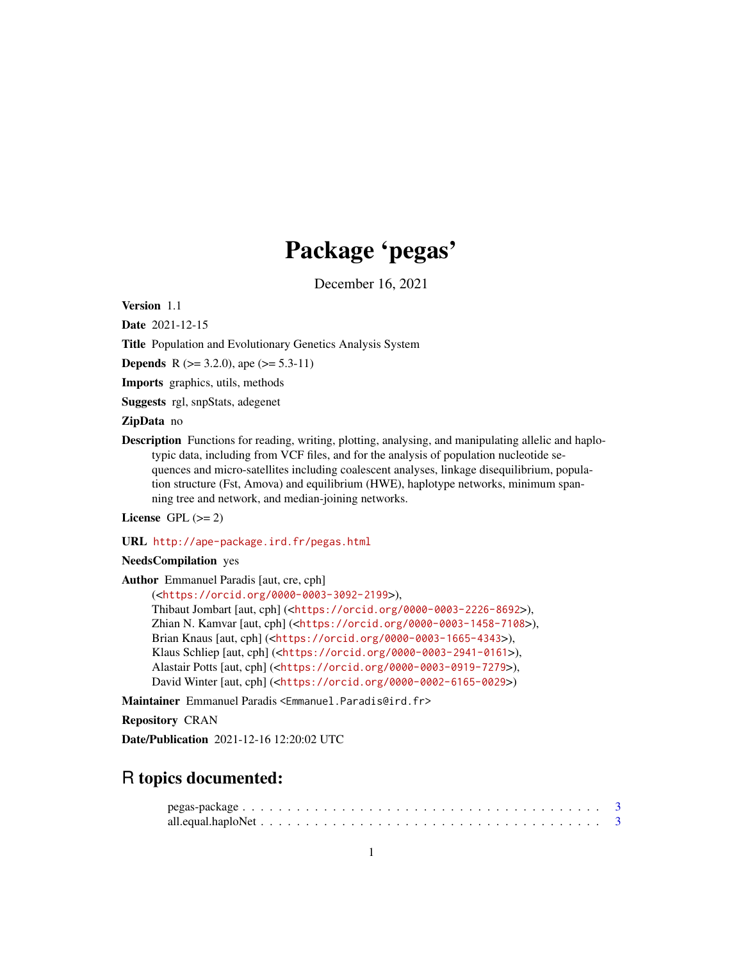# Package 'pegas'

December 16, 2021

<span id="page-0-0"></span>Version 1.1

Date 2021-12-15

Title Population and Evolutionary Genetics Analysis System

**Depends** R ( $>= 3.2.0$ ), ape ( $>= 5.3-11$ )

Imports graphics, utils, methods

Suggests rgl, snpStats, adegenet

## ZipData no

Description Functions for reading, writing, plotting, analysing, and manipulating allelic and haplotypic data, including from VCF files, and for the analysis of population nucleotide sequences and micro-satellites including coalescent analyses, linkage disequilibrium, population structure (Fst, Amova) and equilibrium (HWE), haplotype networks, minimum spanning tree and network, and median-joining networks.

License GPL  $(>= 2)$ 

URL <http://ape-package.ird.fr/pegas.html>

NeedsCompilation yes

Author Emmanuel Paradis [aut, cre, cph]

```
(<https://orcid.org/0000-0003-3092-2199>),
Thibaut Jombart [aut, cph] (<https://orcid.org/0000-0003-2226-8692>),
Zhian N. Kamvar [aut, cph] (<https://orcid.org/0000-0003-1458-7108>),
Brian Knaus [aut, cph] (<https://orcid.org/0000-0003-1665-4343>),
Klaus Schliep [aut, cph] (<https://orcid.org/0000-0003-2941-0161>),
Alastair Potts [aut, cph] (<https://orcid.org/0000-0003-0919-7279>),
David Winter [aut, cph] (<https://orcid.org/0000-0002-6165-0029>)
```
Maintainer Emmanuel Paradis <Emmanuel.Paradis@ird.fr>

Repository CRAN

Date/Publication 2021-12-16 12:20:02 UTC

## R topics documented: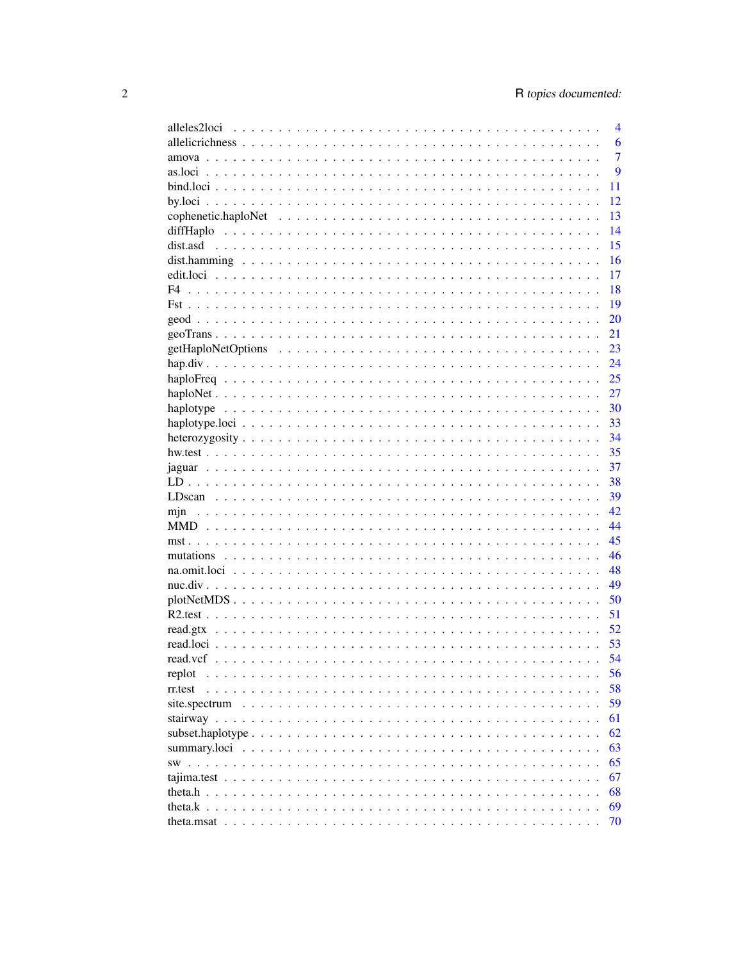|                                 | $\overline{4}$ |
|---------------------------------|----------------|
|                                 | 6              |
|                                 | $\overline{7}$ |
|                                 | 9              |
|                                 | 11             |
|                                 | 12             |
|                                 | 13             |
|                                 | 14             |
|                                 | 15             |
|                                 | 16             |
|                                 | 17             |
| F <sub>4</sub>                  | 18             |
|                                 | 19             |
|                                 | 20             |
|                                 | 21             |
|                                 | 23             |
|                                 | 24             |
|                                 | 25             |
|                                 | 27             |
|                                 | -30            |
|                                 | -33            |
|                                 | -34            |
|                                 | 35             |
|                                 |                |
|                                 | 37             |
|                                 | 38             |
|                                 | 39             |
| mjn                             | 42             |
|                                 | 44             |
|                                 | 45             |
|                                 | 46             |
|                                 | 48             |
|                                 | 49             |
|                                 | 50             |
|                                 | 51             |
| read.gtx                        | 52             |
|                                 | 53             |
| read.vcf                        | 54             |
| replot<br>$\ddot{\phantom{a}}$  | 56             |
| rr.test<br>$\ddot{\phantom{0}}$ | 58             |
| site.spectrum<br>$\cdots$       | 59             |
| stairway $\ldots$               | 61             |
| subset.haplotype                | 62             |
| summary.loci<br>$\ddotsc$       | 63             |
| SW.<br>$\ddot{\phantom{0}}$     | 65             |
| tajima.test.<br>$\sim$          | 67             |
| theta.h<br>$\sim$               | 68             |
| theta. $k$ .                    | 69             |
| theta.msat                      | 70             |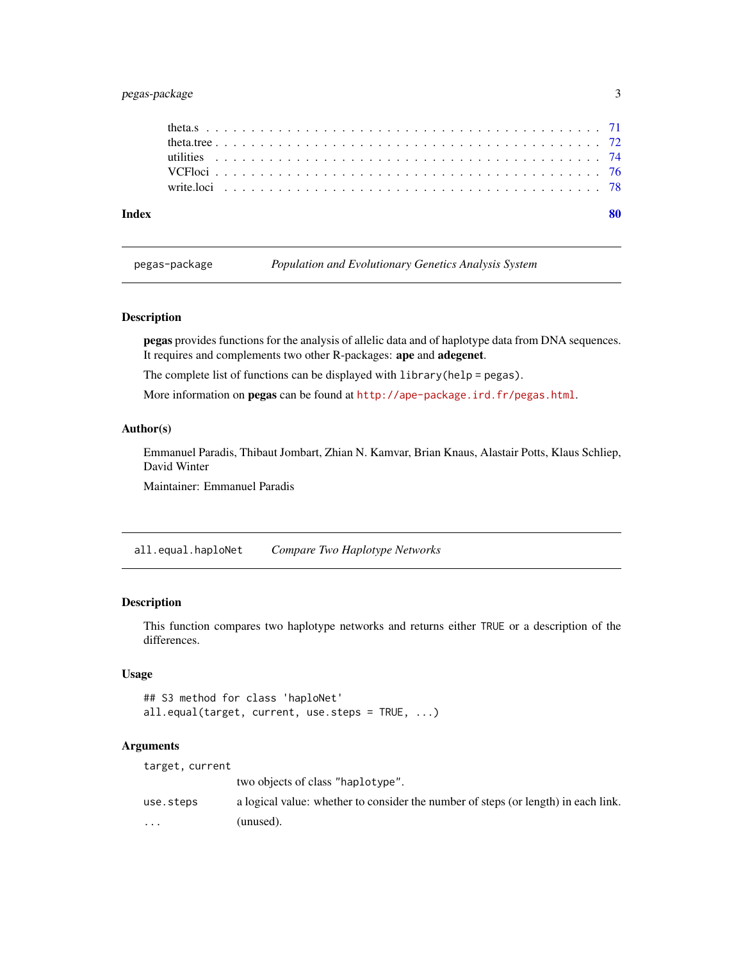## <span id="page-2-0"></span>pegas-package 3

pegas-package *Population and Evolutionary Genetics Analysis System*

#### Description

pegas provides functions for the analysis of allelic data and of haplotype data from DNA sequences. It requires and complements two other R-packages: ape and adegenet.

The complete list of functions can be displayed with library(help = pegas).

More information on **pegas** can be found at  $http://ape-package.ird.fr/pegas.html.$  $http://ape-package.ird.fr/pegas.html.$ 

#### Author(s)

Emmanuel Paradis, Thibaut Jombart, Zhian N. Kamvar, Brian Knaus, Alastair Potts, Klaus Schliep, David Winter

Maintainer: Emmanuel Paradis

all.equal.haploNet *Compare Two Haplotype Networks*

#### Description

This function compares two haplotype networks and returns either TRUE or a description of the differences.

## Usage

## S3 method for class 'haploNet' all.equal(target, current, use.steps = TRUE, ...)

#### Arguments

| target, current |                                                                                    |
|-----------------|------------------------------------------------------------------------------------|
|                 | two objects of class "haplotype".                                                  |
| use.steps       | a logical value: whether to consider the number of steps (or length) in each link. |
| $\cdots$        | (unused).                                                                          |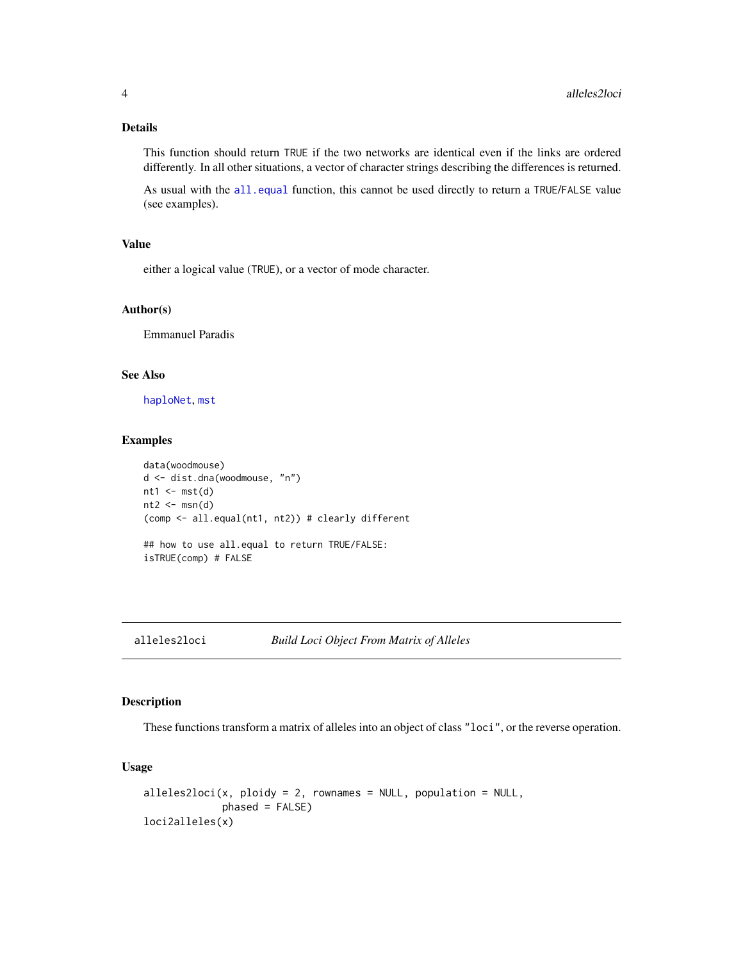## <span id="page-3-0"></span>Details

This function should return TRUE if the two networks are identical even if the links are ordered differently. In all other situations, a vector of character strings describing the differences is returned.

As usual with the [all.equal](#page-0-0) function, this cannot be used directly to return a TRUE/FALSE value (see examples).

## Value

either a logical value (TRUE), or a vector of mode character.

#### Author(s)

Emmanuel Paradis

#### See Also

[haploNet](#page-26-1), [mst](#page-44-1)

## Examples

```
data(woodmouse)
d <- dist.dna(woodmouse, "n")
nt1 < -mst(d)nt2 < -msn(d)(comp <- all.equal(nt1, nt2)) # clearly different
## how to use all.equal to return TRUE/FALSE:
isTRUE(comp) # FALSE
```
## <span id="page-3-1"></span>alleles2loci *Build Loci Object From Matrix of Alleles*

## Description

These functions transform a matrix of alleles into an object of class "loci", or the reverse operation.

## Usage

```
alleles2loci(x, ploidy = 2, rownames = NULL, population = NULL,
            phase = FALSE)
loci2alleles(x)
```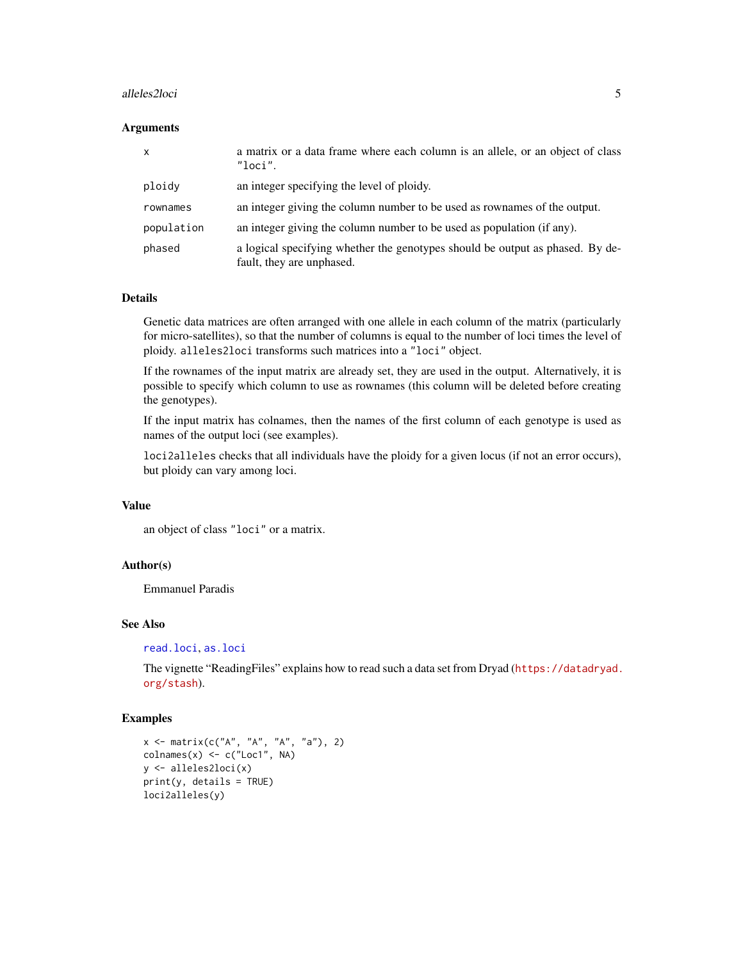#### alleles2loci 5

#### **Arguments**

| $\mathsf{x}$ | a matrix or a data frame where each column is an allele, or an object of class<br>"loci".                  |
|--------------|------------------------------------------------------------------------------------------------------------|
| ploidy       | an integer specifying the level of ploidy.                                                                 |
| rownames     | an integer giving the column number to be used as rownames of the output.                                  |
| population   | an integer giving the column number to be used as population (if any).                                     |
| phased       | a logical specifying whether the genotypes should be output as phased. By de-<br>fault, they are unphased. |

#### Details

Genetic data matrices are often arranged with one allele in each column of the matrix (particularly for micro-satellites), so that the number of columns is equal to the number of loci times the level of ploidy. alleles2loci transforms such matrices into a "loci" object.

If the rownames of the input matrix are already set, they are used in the output. Alternatively, it is possible to specify which column to use as rownames (this column will be deleted before creating the genotypes).

If the input matrix has colnames, then the names of the first column of each genotype is used as names of the output loci (see examples).

loci2alleles checks that all individuals have the ploidy for a given locus (if not an error occurs), but ploidy can vary among loci.

#### Value

an object of class "loci" or a matrix.

#### Author(s)

Emmanuel Paradis

#### See Also

[read.loci](#page-52-1), [as.loci](#page-8-1)

The vignette "ReadingFiles" explains how to read such a data set from Dryad ([https://datadryad.](https://datadryad.org/stash) [org/stash](https://datadryad.org/stash)).

#### Examples

```
x \le - matrix(c("A", "A", "A", "a"), 2)
\text{columns}(x) \leq c("Loc1", \text{NA})y <- alleles2loci(x)
print(y, details = TRUE)
loci2alleles(y)
```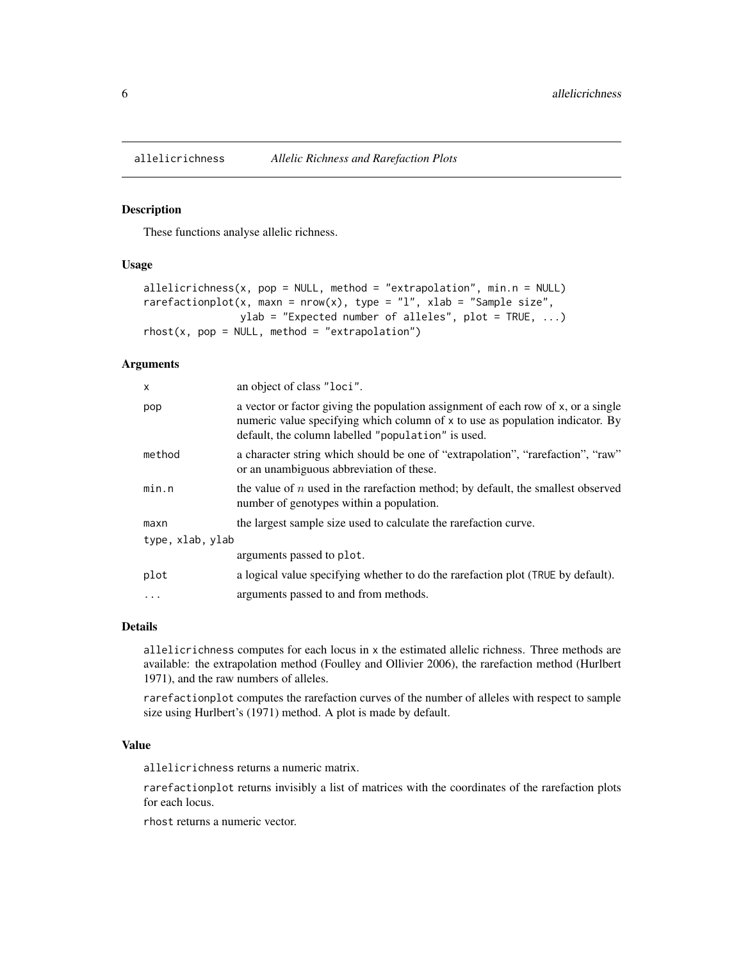<span id="page-5-0"></span>

#### Description

These functions analyse allelic richness.

## Usage

```
allelicrichness(x, pop = NULL, method = "extrapolation", min.n = NULL)
rarefactionplot(x, maxn = nrow(x), type = "l", xlab = "Sample size",
                ylab = "Expected number of alleles", plot = TRUE, \ldots)
rhost(x, pop = NULL, method = "extrapolation")
```
#### Arguments

| X                | an object of class "loci".                                                                                                                                                                                               |
|------------------|--------------------------------------------------------------------------------------------------------------------------------------------------------------------------------------------------------------------------|
| pop              | a vector or factor giving the population assignment of each row of x, or a single<br>numeric value specifying which column of x to use as population indicator. By<br>default, the column labelled "population" is used. |
| method           | a character string which should be one of "extrapolation", "rarefaction", "raw"<br>or an unambiguous abbreviation of these.                                                                                              |
| min.n            | the value of $n$ used in the rarefaction method; by default, the smallest observed<br>number of genotypes within a population.                                                                                           |
| maxn             | the largest sample size used to calculate the rarefaction curve.                                                                                                                                                         |
| type, xlab, ylab |                                                                                                                                                                                                                          |
|                  | arguments passed to plot.                                                                                                                                                                                                |
| plot             | a logical value specifying whether to do the rarefaction plot (TRUE by default).                                                                                                                                         |
| .                | arguments passed to and from methods.                                                                                                                                                                                    |

## Details

allelicrichness computes for each locus in x the estimated allelic richness. Three methods are available: the extrapolation method (Foulley and Ollivier 2006), the rarefaction method (Hurlbert 1971), and the raw numbers of alleles.

rarefactionplot computes the rarefaction curves of the number of alleles with respect to sample size using Hurlbert's (1971) method. A plot is made by default.

#### Value

allelicrichness returns a numeric matrix.

rarefactionplot returns invisibly a list of matrices with the coordinates of the rarefaction plots for each locus.

rhost returns a numeric vector.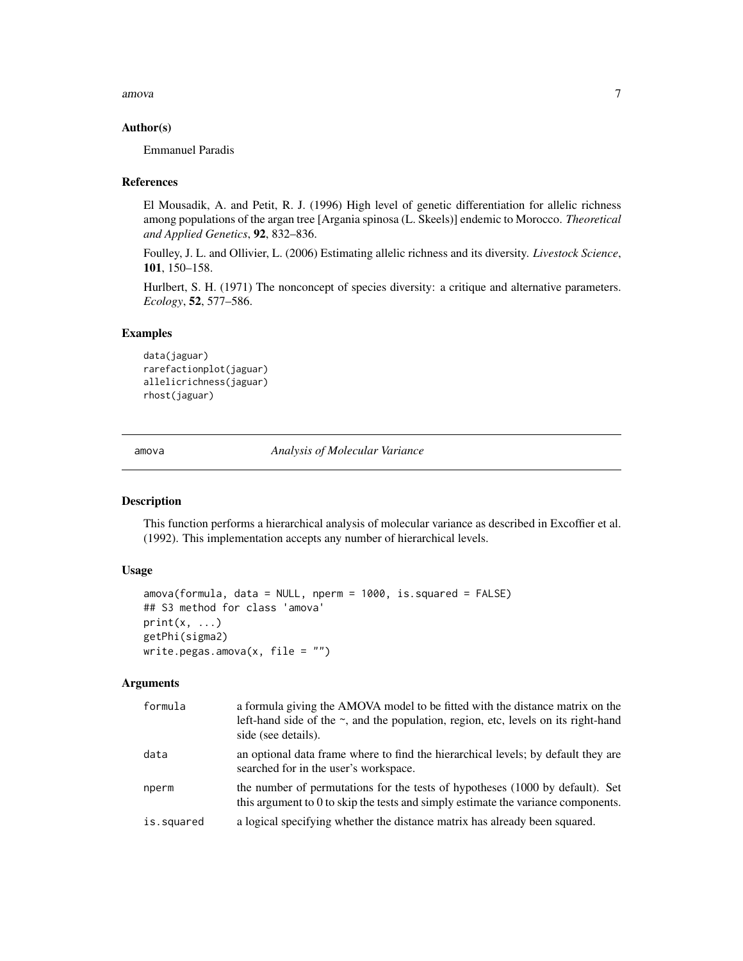<span id="page-6-0"></span>amova amova anticometric control of the control of the control of the control of the control of the control of the control of the control of the control of the control of the control of the control of the control of the co

#### Author(s)

Emmanuel Paradis

#### References

El Mousadik, A. and Petit, R. J. (1996) High level of genetic differentiation for allelic richness among populations of the argan tree [Argania spinosa (L. Skeels)] endemic to Morocco. *Theoretical and Applied Genetics*, 92, 832–836.

Foulley, J. L. and Ollivier, L. (2006) Estimating allelic richness and its diversity. *Livestock Science*, 101, 150–158.

Hurlbert, S. H. (1971) The nonconcept of species diversity: a critique and alternative parameters. *Ecology*, 52, 577–586.

## Examples

```
data(jaguar)
rarefactionplot(jaguar)
allelicrichness(jaguar)
rhost(jaguar)
```
amova *Analysis of Molecular Variance*

## Description

This function performs a hierarchical analysis of molecular variance as described in Excoffier et al. (1992). This implementation accepts any number of hierarchical levels.

#### Usage

```
amova(formula, data = NULL, nperm = 1000, is.squared = FALSE)
## S3 method for class 'amova'
print(x, \ldots)getPhi(sigma2)
write.pegas.amova(x, file = "")
```
#### Arguments

| formula    | a formula giving the AMOVA model to be fitted with the distance matrix on the<br>left-hand side of the $\sim$ , and the population, region, etc, levels on its right-hand<br>side (see details). |
|------------|--------------------------------------------------------------------------------------------------------------------------------------------------------------------------------------------------|
| data       | an optional data frame where to find the hierarchical levels; by default they are<br>searched for in the user's workspace.                                                                       |
| nperm      | the number of permutations for the tests of hypotheses (1000 by default). Set<br>this argument to 0 to skip the tests and simply estimate the variance components.                               |
| is.squared | a logical specifying whether the distance matrix has already been squared.                                                                                                                       |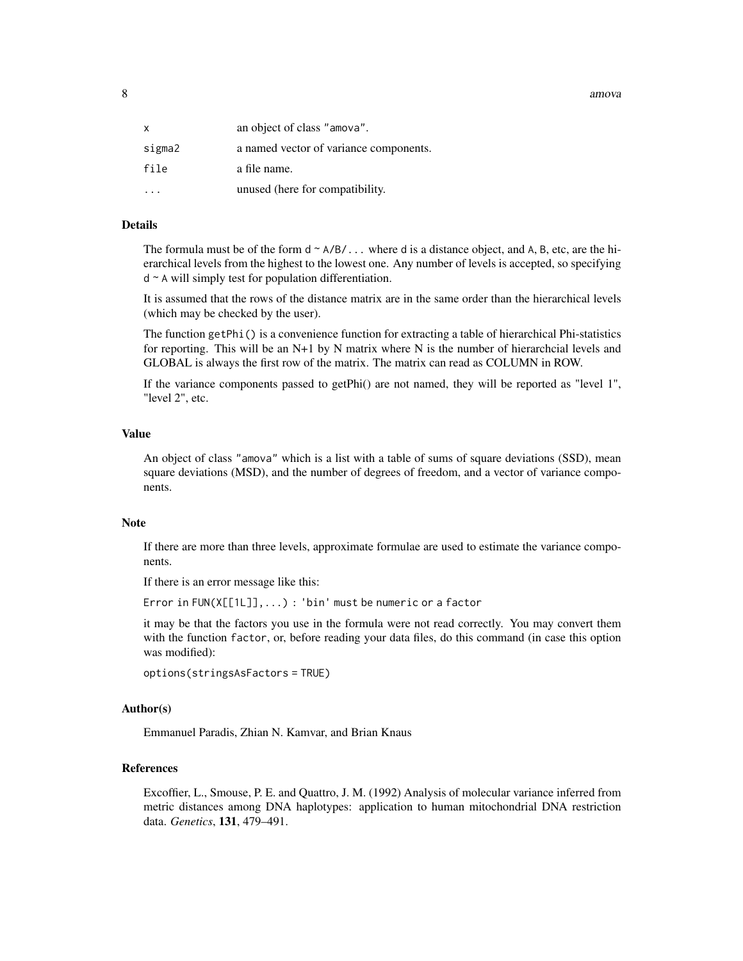8 amova amova and the set of the set of the set of the set of the set of the set of the set of the set of the set of the set of the set of the set of the set of the set of the set of the set of the set of the set of the se

| x      | an object of class "amova".            |
|--------|----------------------------------------|
| sigma2 | a named vector of variance components. |
| file   | a file name.                           |
|        | unused (here for compatibility.        |

#### Details

The formula must be of the form  $d \sim A/B/$ ... where d is a distance object, and A, B, etc, are the hierarchical levels from the highest to the lowest one. Any number of levels is accepted, so specifying d ~ A will simply test for population differentiation.

It is assumed that the rows of the distance matrix are in the same order than the hierarchical levels (which may be checked by the user).

The function getPhi() is a convenience function for extracting a table of hierarchical Phi-statistics for reporting. This will be an N+1 by N matrix where N is the number of hierarchcial levels and GLOBAL is always the first row of the matrix. The matrix can read as COLUMN in ROW.

If the variance components passed to getPhi() are not named, they will be reported as "level 1", "level 2", etc.

## Value

An object of class "amova" which is a list with a table of sums of square deviations (SSD), mean square deviations (MSD), and the number of degrees of freedom, and a vector of variance components.

#### Note

If there are more than three levels, approximate formulae are used to estimate the variance components.

If there is an error message like this:

Error in FUN(X[[1L]],...) : 'bin' must be numeric or a factor

it may be that the factors you use in the formula were not read correctly. You may convert them with the function factor, or, before reading your data files, do this command (in case this option was modified):

```
options(stringsAsFactors = TRUE)
```
#### Author(s)

Emmanuel Paradis, Zhian N. Kamvar, and Brian Knaus

#### References

Excoffier, L., Smouse, P. E. and Quattro, J. M. (1992) Analysis of molecular variance inferred from metric distances among DNA haplotypes: application to human mitochondrial DNA restriction data. *Genetics*, 131, 479–491.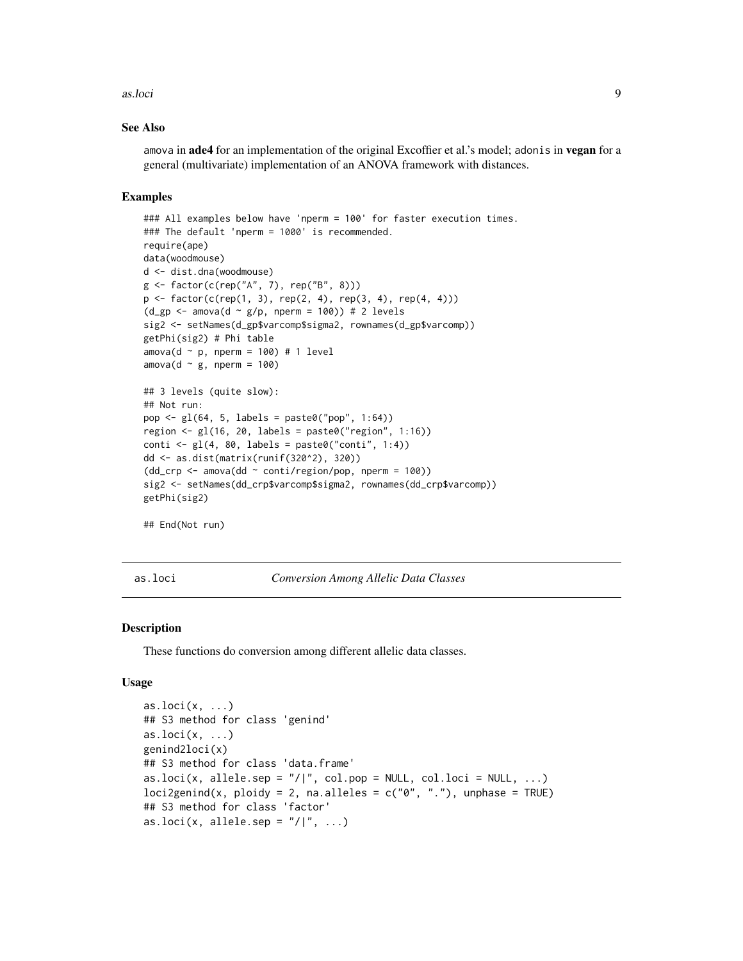#### <span id="page-8-0"></span>as.loci 9

#### See Also

amova in **ade4** for an implementation of the original Excoffier et al.'s model; adonis in **vegan** for a general (multivariate) implementation of an ANOVA framework with distances.

#### Examples

```
### All examples below have 'nperm = 100' for faster execution times.
### The default 'nperm = 1000' is recommended.
require(ape)
data(woodmouse)
d <- dist.dna(woodmouse)
g <- factor(c(rep("A", 7), rep("B", 8)))
p \leq - factor(c(rep(1, 3), rep(2, 4), rep(3, 4), rep(4, 4)))
(d_gp \leftarrow \text{amova}(d \sim g/p, \text{nperm} = 100)) # 2 levels
sig2 <- setNames(d_gp$varcomp$sigma2, rownames(d_gp$varcomp))
getPhi(sig2) # Phi table
amova(d ~ p, nperm = 100) # 1 level
amova(d \sim g, nperm = 100)
## 3 levels (quite slow):
## Not run:
pop \leq g1(64, 5, labels = paste0("pop", 1:64))region \leq gl(16, 20, labels = paste0("region", 1:16))
conti \leq gl(4, 80, labels = paste0("conti", 1:4))
dd <- as.dist(matrix(runif(320^2), 320))
(dd_crp \leq -amova(dd \sim conti/region/pop, nperm = 100)sig2 <- setNames(dd_crp$varcomp$sigma2, rownames(dd_crp$varcomp))
getPhi(sig2)
## End(Not run)
```
<span id="page-8-1"></span>

as.loci *Conversion Among Allelic Data Classes*

#### Description

These functions do conversion among different allelic data classes.

#### Usage

```
as.loci(x, \ldots)## S3 method for class 'genind'
as.loci(x, \ldots)genind2loci(x)
## S3 method for class 'data.frame'
as.loci(x, allele.sep = ''/|", col.pop = NULL, col.loci = NULL, ...)
locizgenind(x, ploidy = 2, na.alleles = c("0", "."), unphase = TRUE)
## S3 method for class 'factor'
as.loci(x, allele.sep = ''/|'', ...)
```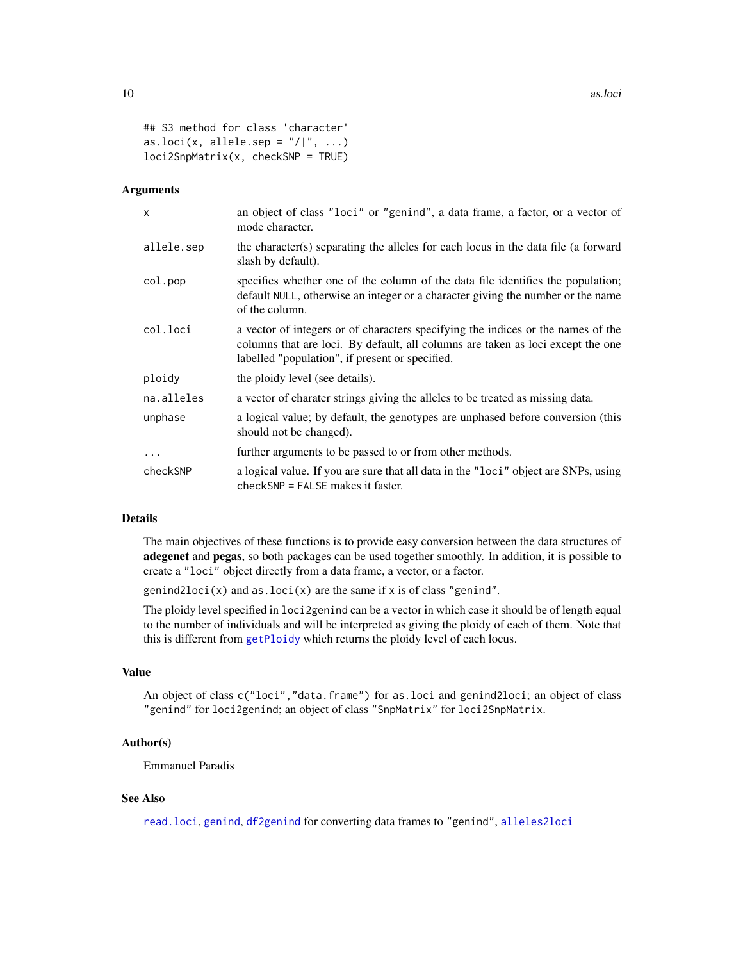```
## S3 method for class 'character'
as.loci(x, allele.sep = ''/|'', ...)
loci2SnpMatrix(x, checkSNP = TRUE)
```
#### Arguments

| X          | an object of class "loci" or "genind", a data frame, a factor, or a vector of<br>mode character.                                                                                                                       |
|------------|------------------------------------------------------------------------------------------------------------------------------------------------------------------------------------------------------------------------|
| allele.sep | the character(s) separating the alleles for each locus in the data file (a forward<br>slash by default).                                                                                                               |
| col.pop    | specifies whether one of the column of the data file identifies the population;<br>default NULL, otherwise an integer or a character giving the number or the name<br>of the column.                                   |
| col.loci   | a vector of integers or of characters specifying the indices or the names of the<br>columns that are loci. By default, all columns are taken as loci except the one<br>labelled "population", if present or specified. |
| ploidy     | the ploidy level (see details).                                                                                                                                                                                        |
| na.alleles | a vector of charater strings giving the alleles to be treated as missing data.                                                                                                                                         |
| unphase    | a logical value; by default, the genotypes are unphased before conversion (this<br>should not be changed).                                                                                                             |
| $\ddotsc$  | further arguments to be passed to or from other methods.                                                                                                                                                               |
| checkSNP   | a logical value. If you are sure that all data in the "loci" object are SNPs, using<br>$checkSNP = FALSE makes it faster.$                                                                                             |

#### Details

The main objectives of these functions is to provide easy conversion between the data structures of adegenet and pegas, so both packages can be used together smoothly. In addition, it is possible to create a "loci" object directly from a data frame, a vector, or a factor.

genind2loci(x) and as.loci(x) are the same if  $x$  is of class "genind".

The ploidy level specified in loci2genind can be a vector in which case it should be of length equal to the number of individuals and will be interpreted as giving the ploidy of each of them. Note that this is different from [getPloidy](#page-73-1) which returns the ploidy level of each locus.

#### Value

An object of class c("loci","data.frame") for as.loci and genind2loci; an object of class "genind" for loci2genind; an object of class "SnpMatrix" for loci2SnpMatrix.

#### Author(s)

Emmanuel Paradis

## See Also

[read.loci](#page-52-1), [genind](#page-0-0), [df2genind](#page-0-0) for converting data frames to "genind", [alleles2loci](#page-3-1)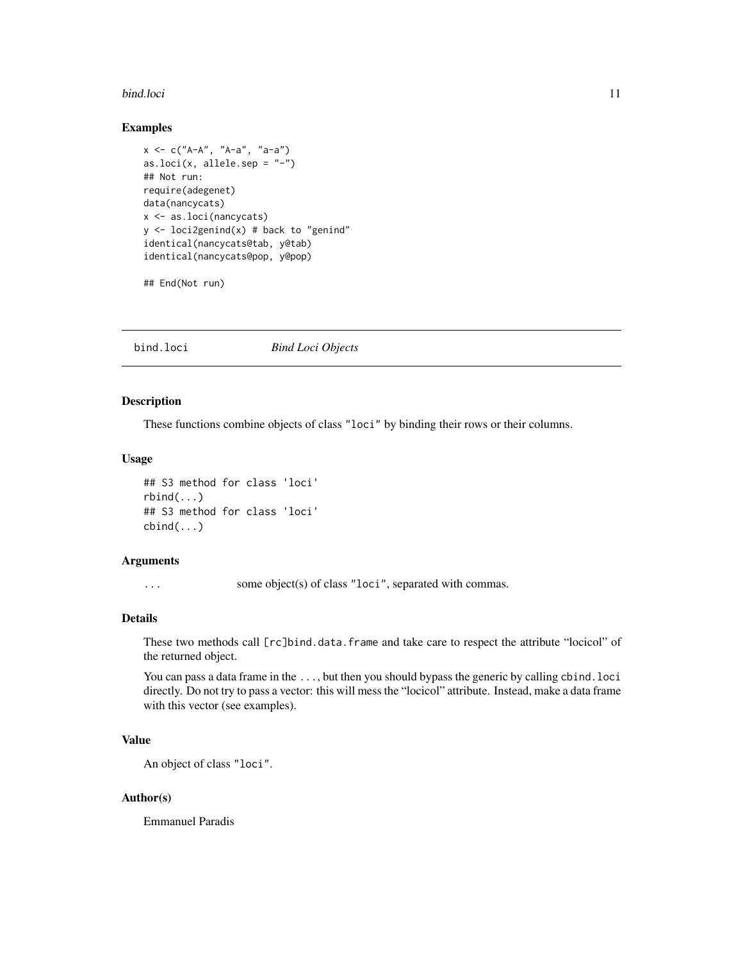#### <span id="page-10-0"></span>bind.loci and the state of the state of the state of the state of the state of the state of the state of the state of the state of the state of the state of the state of the state of the state of the state of the state of

## Examples

```
x \le -c("A-A", "A-a", "a-a")as.loci(x, allele.sep = "-")
## Not run:
require(adegenet)
data(nancycats)
x <- as.loci(nancycats)
y \le -\text{loci2genind}(x) \# \text{back to "genind"}identical(nancycats@tab, y@tab)
identical(nancycats@pop, y@pop)
```
## End(Not run)

bind.loci *Bind Loci Objects*

## Description

These functions combine objects of class "loci" by binding their rows or their columns.

## Usage

```
## S3 method for class 'loci'
rbind(...)
## S3 method for class 'loci'
cbind(...)
```
#### Arguments

... some object(s) of class "loci", separated with commas.

#### Details

These two methods call [rc]bind.data.frame and take care to respect the attribute "locicol" of the returned object.

You can pass a data frame in the ..., but then you should bypass the generic by calling cbind.loci directly. Do not try to pass a vector: this will mess the "locicol" attribute. Instead, make a data frame with this vector (see examples).

## Value

An object of class "loci".

## Author(s)

Emmanuel Paradis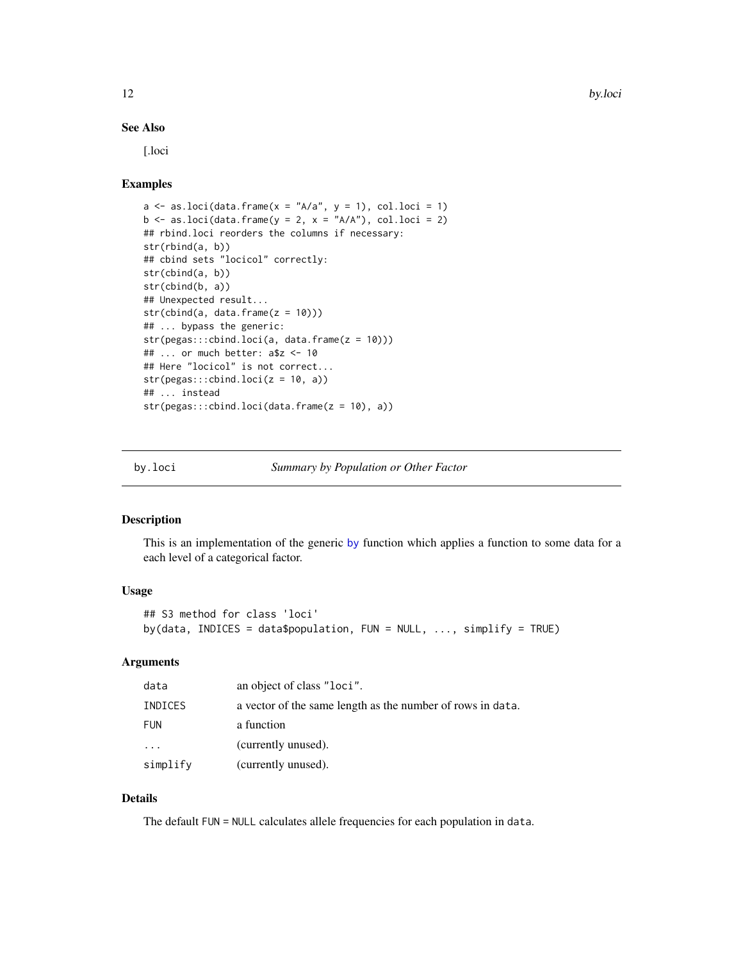## <span id="page-11-0"></span>See Also

[.loci

## Examples

```
a \leftarrow as. loci(data.frame(x = "A/a", y = 1), col. loci = 1)b \leftarrow as. loci(data.fname(y = 2, x = "A/A"), col. loci = 2)## rbind.loci reorders the columns if necessary:
str(rbind(a, b))
## cbind sets "locicol" correctly:
str(cbind(a, b))
str(cbind(b, a))
## Unexpected result...
str(cbind(a, data-frame(z = 10)))## ... bypass the generic:
str(pegas:::cbind.loci(a, data.frame(z = 10)))
## ... or much better: a$z <- 10
## Here "locicol" is not correct...
str(pegas:::cbind.loci(z = 10, a))## ... instead
str(pegas:::cbind.loci(data.frame(z = 10), a))
```
<span id="page-11-1"></span>

by.loci *Summary by Population or Other Factor*

## Description

This is an implementation of the generic [by](#page-0-0) function which applies a function to some data for a each level of a categorical factor.

## Usage

```
## S3 method for class 'loci'
by(data, INDICES = data$population, FUN = NULL, \ldots, simplify = TRUE)
```
## Arguments

| data     | an object of class "loci".                                 |
|----------|------------------------------------------------------------|
| INDICES  | a vector of the same length as the number of rows in data. |
| FUN      | a function                                                 |
| .        | (currently unused).                                        |
| simplify | (currently unused).                                        |

## Details

The default FUN = NULL calculates allele frequencies for each population in data.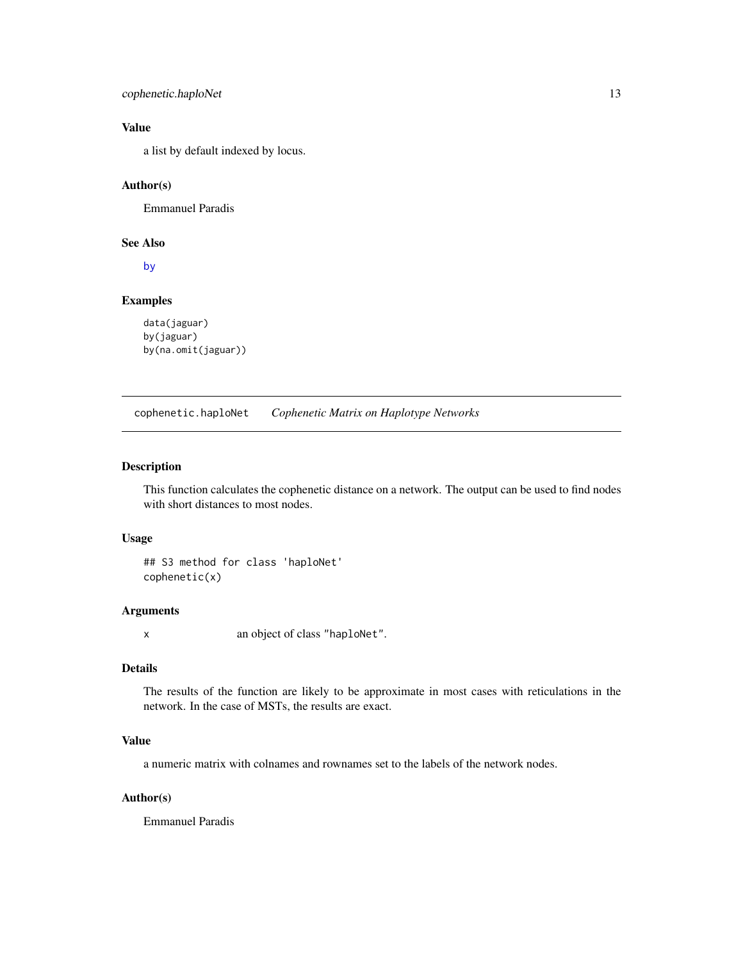<span id="page-12-0"></span>cophenetic.haploNet 13

## Value

a list by default indexed by locus.

## Author(s)

Emmanuel Paradis

## See Also

[by](#page-0-0)

## Examples

```
data(jaguar)
by(jaguar)
by(na.omit(jaguar))
```
cophenetic.haploNet *Cophenetic Matrix on Haplotype Networks*

## Description

This function calculates the cophenetic distance on a network. The output can be used to find nodes with short distances to most nodes.

## Usage

```
## S3 method for class 'haploNet'
cophenetic(x)
```
#### Arguments

x an object of class "haploNet".

## Details

The results of the function are likely to be approximate in most cases with reticulations in the network. In the case of MSTs, the results are exact.

## Value

a numeric matrix with colnames and rownames set to the labels of the network nodes.

## Author(s)

Emmanuel Paradis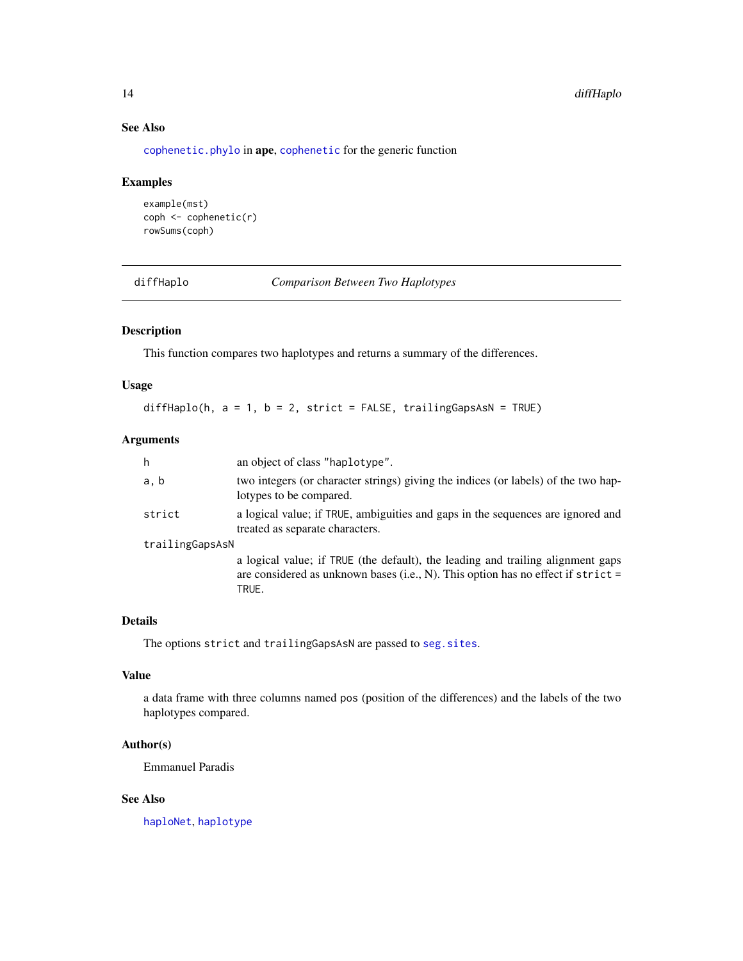## See Also

[cophenetic.phylo](#page-0-0) in ape, [cophenetic](#page-0-0) for the generic function

## Examples

```
example(mst)
coph <- cophenetic(r)
rowSums(coph)
```
<span id="page-13-1"></span>diffHaplo *Comparison Between Two Haplotypes*

## Description

This function compares two haplotypes and returns a summary of the differences.

#### Usage

diffHaplo(h,  $a = 1$ ,  $b = 2$ , strict = FALSE, trailingGapsAsN = TRUE)

## Arguments

| h               | an object of class "haplotype".                                                                                                                                                |
|-----------------|--------------------------------------------------------------------------------------------------------------------------------------------------------------------------------|
| a, b            | two integers (or character strings) giving the indices (or labels) of the two hap-<br>lotypes to be compared.                                                                  |
| strict          | a logical value; if TRUE, ambiguities and gaps in the sequences are ignored and<br>treated as separate characters.                                                             |
| trailingGapsAsN |                                                                                                                                                                                |
|                 | a logical value; if TRUE (the default), the leading and trailing alignment gaps<br>are considered as unknown bases (i.e., N). This option has no effect if $strict =$<br>TRUE. |

## Details

The options strict and trailingGapsAsN are passed to seg. sites.

## Value

a data frame with three columns named pos (position of the differences) and the labels of the two haplotypes compared.

## Author(s)

Emmanuel Paradis

## See Also

[haploNet](#page-26-1), [haplotype](#page-29-1)

<span id="page-13-0"></span>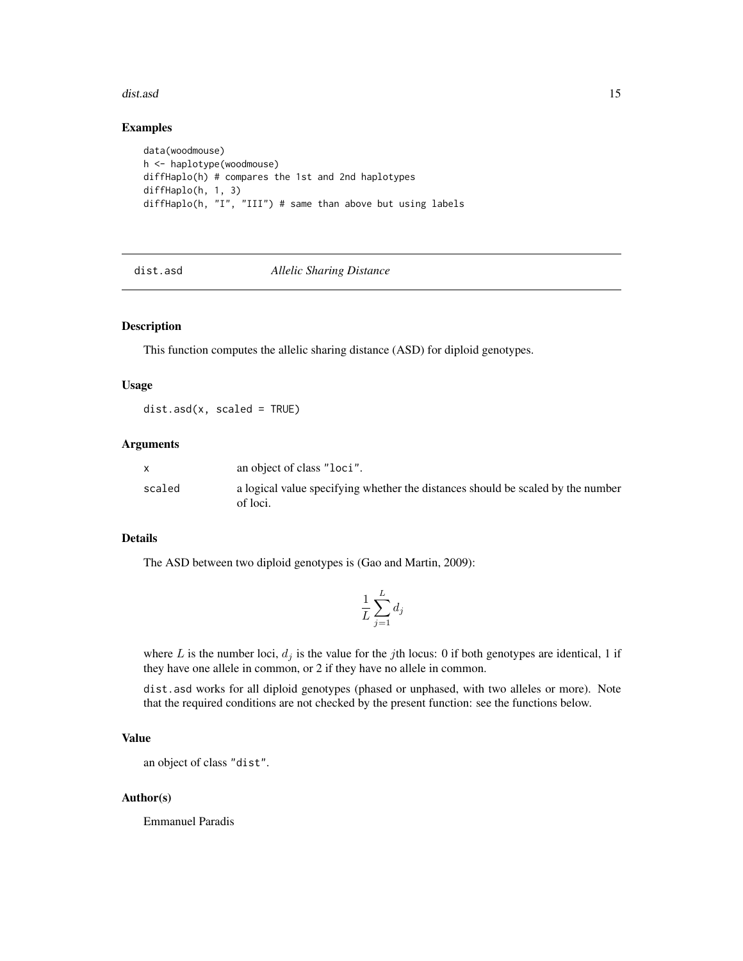#### <span id="page-14-0"></span>dist.asd 15

#### Examples

```
data(woodmouse)
h <- haplotype(woodmouse)
diffHaplo(h) # compares the 1st and 2nd haplotypes
diffHaplo(h, 1, 3)
diffHaplo(h, "I", "III") # same than above but using labels
```
dist.asd *Allelic Sharing Distance*

## Description

This function computes the allelic sharing distance (ASD) for diploid genotypes.

#### Usage

 $dist.add(x, scaled = TRUE)$ 

#### Arguments

|        | an object of class "loci".                                                                  |
|--------|---------------------------------------------------------------------------------------------|
| scaled | a logical value specifying whether the distances should be scaled by the number<br>of loci. |

#### Details

The ASD between two diploid genotypes is (Gao and Martin, 2009):

$$
\frac{1}{L} \sum_{j=1}^{L} d_j
$$

where L is the number loci,  $d_j$  is the value for the jth locus: 0 if both genotypes are identical, 1 if they have one allele in common, or 2 if they have no allele in common.

dist.asd works for all diploid genotypes (phased or unphased, with two alleles or more). Note that the required conditions are not checked by the present function: see the functions below.

## Value

an object of class "dist".

## Author(s)

Emmanuel Paradis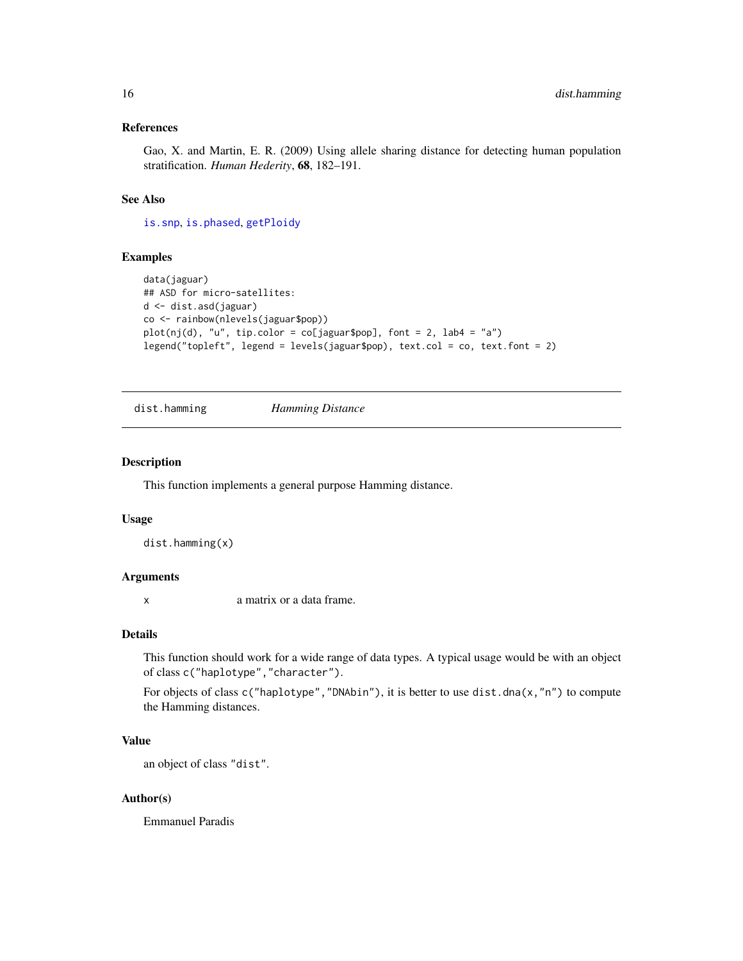## <span id="page-15-0"></span>References

Gao, X. and Martin, E. R. (2009) Using allele sharing distance for detecting human population stratification. *Human Hederity*, 68, 182–191.

## See Also

[is.snp](#page-73-1), [is.phased](#page-73-1), [getPloidy](#page-73-1)

#### Examples

```
data(jaguar)
## ASD for micro-satellites:
d <- dist.asd(jaguar)
co <- rainbow(nlevels(jaguar$pop))
plot(nj(d), "u", tip-color = col[jaguar$pop], font = 2, lab4 = "a")legend("topleft", legend = levels(jaguar$pop), text.col = co, text.font = 2)
```
dist.hamming *Hamming Distance*

#### Description

This function implements a general purpose Hamming distance.

#### Usage

```
dist.hamming(x)
```
#### Arguments

x a matrix or a data frame.

#### Details

This function should work for a wide range of data types. A typical usage would be with an object of class c("haplotype","character").

For objects of class  $c("haplotype", "DNAbin"),$  it is better to use dist.dna(x,"n") to compute the Hamming distances.

## Value

an object of class "dist".

## Author(s)

Emmanuel Paradis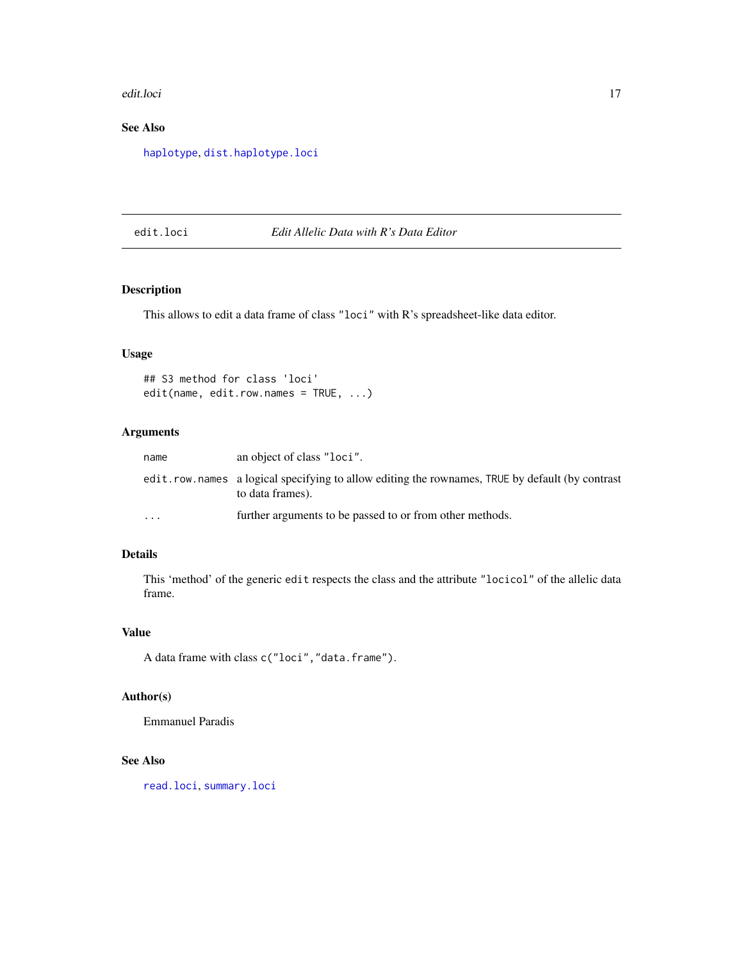<span id="page-16-0"></span>edit.loci il suome suome suome suome suome suome suome suome suome suome suome suome suome suome suome suome s

## See Also

[haplotype](#page-29-1), [dist.haplotype.loci](#page-32-1)

## edit.loci *Edit Allelic Data with R's Data Editor*

## Description

This allows to edit a data frame of class "loci" with R's spreadsheet-like data editor.

## Usage

```
## S3 method for class 'loci'
edit(name, edit.row.names = TRUE, ...)
```
#### Arguments

| name                    | an object of class "loci".                                                                                            |
|-------------------------|-----------------------------------------------------------------------------------------------------------------------|
|                         | edit. row. names a logical specifying to allow editing the rownames, TRUE by default (by contrast<br>to data frames). |
| $\cdot$ $\cdot$ $\cdot$ | further arguments to be passed to or from other methods.                                                              |

## Details

This 'method' of the generic edit respects the class and the attribute "locicol" of the allelic data frame.

## Value

A data frame with class c("loci","data.frame").

## Author(s)

Emmanuel Paradis

## See Also

[read.loci](#page-52-1), [summary.loci](#page-62-1)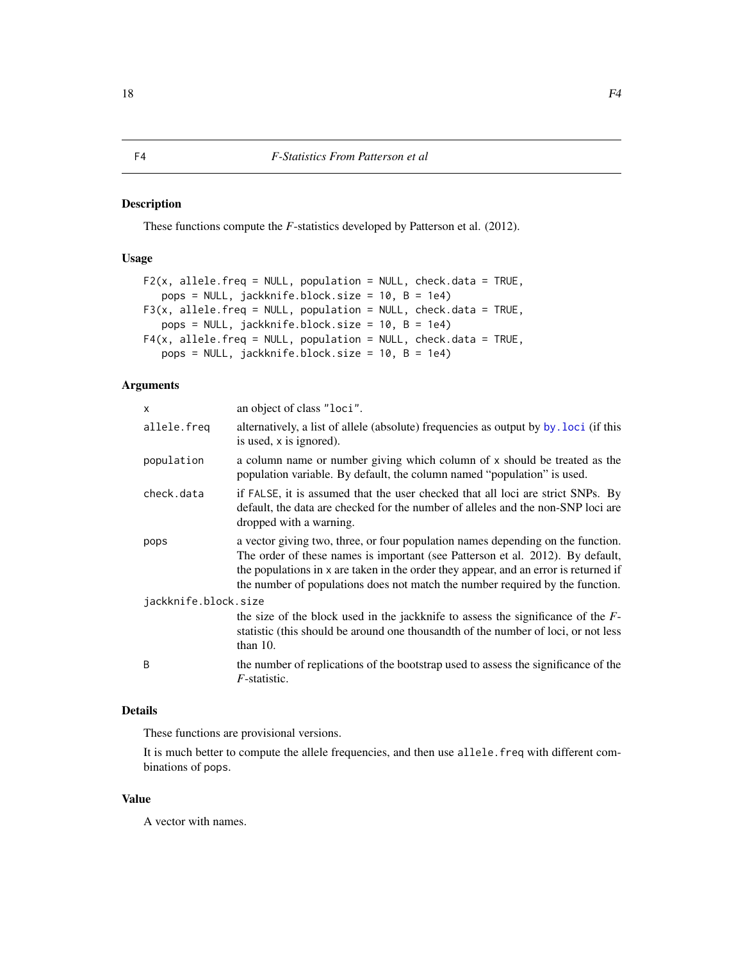#### <span id="page-17-0"></span>Description

These functions compute the *F*-statistics developed by Patterson et al. (2012).

## Usage

```
F2(x, allele.freq = NULL, population = NULL, check.data = TRUE,
   pops = NULL, jackknife.block.size = 10, B = 1e4)
F3(x, allele.freq = NULL, population = NULL, check.data = TRUE,
   pops = NULL, jackknife.block.size = 10, B = 1e4)
F4(x, allele.freq = NULL, population = NULL, check.data = TRUE,pops = NULL, jackknife.block.size = 10, B = 1e4)
```
## Arguments

| $\mathsf{x}$         | an object of class "loci".                                                                                                                                                                                                                                                                                                                 |
|----------------------|--------------------------------------------------------------------------------------------------------------------------------------------------------------------------------------------------------------------------------------------------------------------------------------------------------------------------------------------|
| allele.freq          | alternatively, a list of allele (absolute) frequencies as output by by loci (if this<br>is used, x is ignored).                                                                                                                                                                                                                            |
| population           | a column name or number giving which column of x should be treated as the<br>population variable. By default, the column named "population" is used.                                                                                                                                                                                       |
| check.data           | if FALSE, it is assumed that the user checked that all loci are strict SNPs. By<br>default, the data are checked for the number of alleles and the non-SNP loci are<br>dropped with a warning.                                                                                                                                             |
| pops                 | a vector giving two, three, or four population names depending on the function.<br>The order of these names is important (see Patterson et al. 2012). By default,<br>the populations in x are taken in the order they appear, and an error is returned if<br>the number of populations does not match the number required by the function. |
| jackknife.block.size |                                                                                                                                                                                                                                                                                                                                            |
|                      | the size of the block used in the jackknife to assess the significance of the $F-$<br>statistic (this should be around one thousandth of the number of loci, or not less<br>than $10$ .                                                                                                                                                    |
| <sub>B</sub>         | the number of replications of the bootstrap used to assess the significance of the<br>$F$ -statistic.                                                                                                                                                                                                                                      |

#### Details

These functions are provisional versions.

It is much better to compute the allele frequencies, and then use allele.freq with different combinations of pops.

## Value

A vector with names.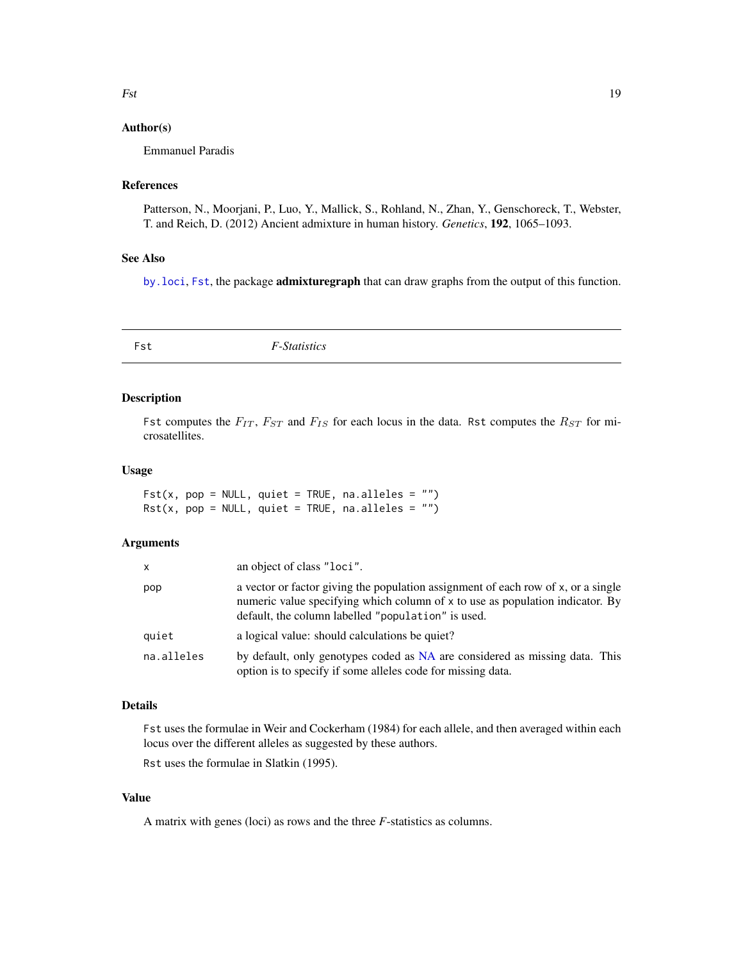## <span id="page-18-0"></span>Author(s)

Emmanuel Paradis

#### References

Patterson, N., Moorjani, P., Luo, Y., Mallick, S., Rohland, N., Zhan, Y., Genschoreck, T., Webster, T. and Reich, D. (2012) Ancient admixture in human history. *Genetics*, 192, 1065–1093.

#### See Also

[by.loci](#page-11-1), [Fst](#page-18-1), the package admixturegraph that can draw graphs from the output of this function.

<span id="page-18-1"></span>

| Fst | <i>F-Statistics</i> |  |
|-----|---------------------|--|
|     |                     |  |

## Description

Fst computes the  $F_{IT}$ ,  $F_{ST}$  and  $F_{IS}$  for each locus in the data. Rst computes the  $R_{ST}$  for microsatellites.

#### Usage

Fst(x, pop = NULL, quiet = TRUE, na.alleles =  $"$ )  $Rst(x, pop = NULL, quiet = TRUE, na. alleles = "")$ 

## Arguments

| x          | an object of class "loci".                                                                                                                                                                                               |
|------------|--------------------------------------------------------------------------------------------------------------------------------------------------------------------------------------------------------------------------|
| pop        | a vector or factor giving the population assignment of each row of x, or a single<br>numeric value specifying which column of x to use as population indicator. By<br>default, the column labelled "population" is used. |
| quiet      | a logical value: should calculations be quiet?                                                                                                                                                                           |
| na.alleles | by default, only genotypes coded as NA are considered as missing data. This<br>option is to specify if some alleles code for missing data.                                                                               |

#### Details

Fst uses the formulae in Weir and Cockerham (1984) for each allele, and then averaged within each locus over the different alleles as suggested by these authors.

Rst uses the formulae in Slatkin (1995).

#### Value

A matrix with genes (loci) as rows and the three *F*-statistics as columns.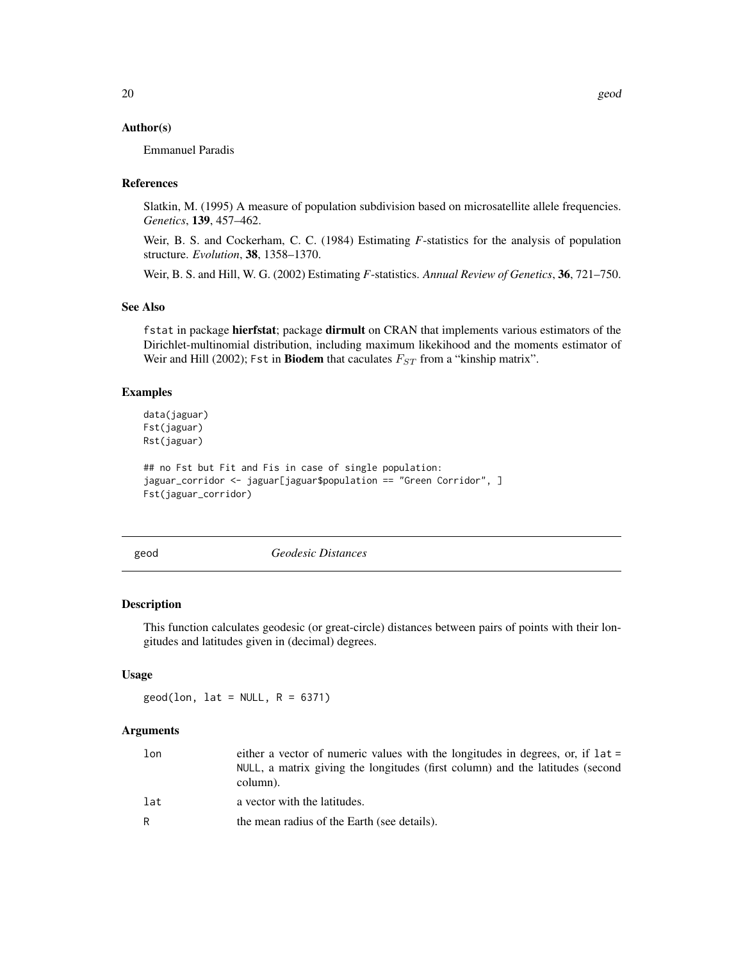#### <span id="page-19-0"></span>Author(s)

Emmanuel Paradis

#### References

Slatkin, M. (1995) A measure of population subdivision based on microsatellite allele frequencies. *Genetics*, 139, 457–462.

Weir, B. S. and Cockerham, C. C. (1984) Estimating *F*-statistics for the analysis of population structure. *Evolution*, 38, 1358–1370.

Weir, B. S. and Hill, W. G. (2002) Estimating *F*-statistics. *Annual Review of Genetics*, 36, 721–750.

#### See Also

fstat in package hierfstat; package dirmult on CRAN that implements various estimators of the Dirichlet-multinomial distribution, including maximum likekihood and the moments estimator of Weir and Hill (2002); Fst in Biodem that caculates  $F_{ST}$  from a "kinship matrix".

#### Examples

```
data(jaguar)
Fst(jaguar)
Rst(jaguar)
```

```
## no Fst but Fit and Fis in case of single population:
jaguar_corridor <- jaguar[jaguar$population == "Green Corridor", ]
Fst(jaguar_corridor)
```
<span id="page-19-1"></span>

geod *Geodesic Distances*

#### Description

This function calculates geodesic (or great-circle) distances between pairs of points with their longitudes and latitudes given in (decimal) degrees.

## Usage

 $geod(lon, lat = NULL, R = 6371)$ 

#### Arguments

| lon | either a vector of numeric values with the longitudes in degrees, or, if lat =<br>NULL, a matrix giving the longitudes (first column) and the latitudes (second<br>column). |
|-----|-----------------------------------------------------------------------------------------------------------------------------------------------------------------------------|
| lat | a vector with the latitudes.                                                                                                                                                |
| R   | the mean radius of the Earth (see details).                                                                                                                                 |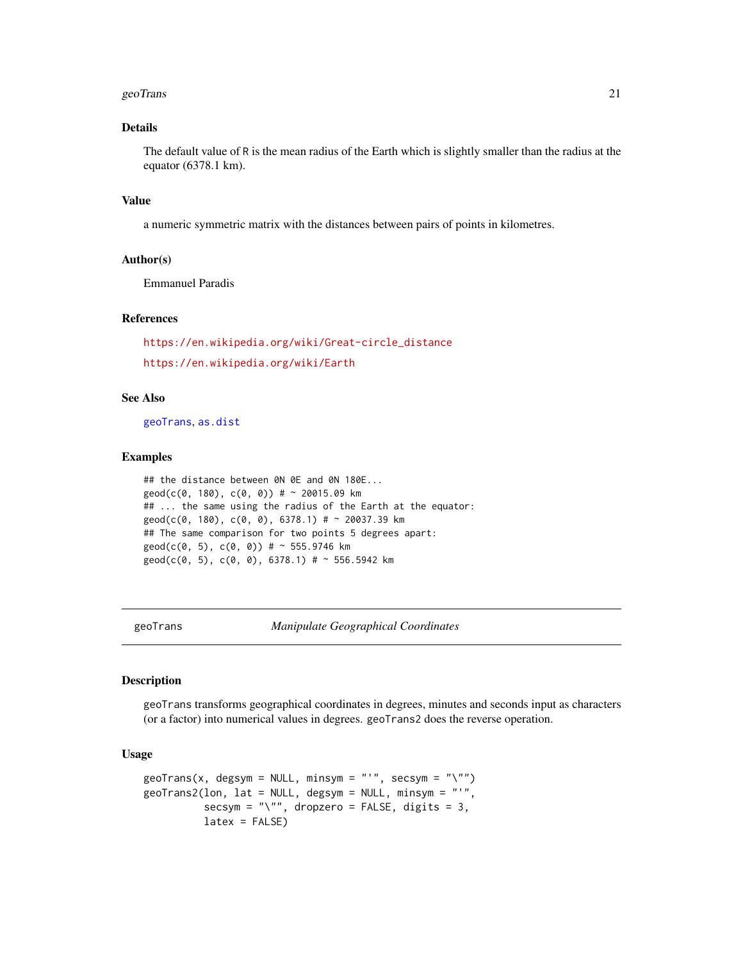#### <span id="page-20-0"></span>geoTrans 21

## Details

The default value of R is the mean radius of the Earth which is slightly smaller than the radius at the equator (6378.1 km).

#### Value

a numeric symmetric matrix with the distances between pairs of points in kilometres.

## Author(s)

Emmanuel Paradis

## References

```
https://en.wikipedia.org/wiki/Great-circle_distance
https://en.wikipedia.org/wiki/Earth
```
## See Also

[geoTrans](#page-20-1), [as.dist](#page-0-0)

#### Examples

```
## the distance between 0N 0E and 0N 180E...
geod(c(0, 180), c(0, 0)) # ~ 20015.09 km
## ... the same using the radius of the Earth at the equator:
geod(c(0, 180), c(0, 0), 6378.1) # ~ 20037.39 km
## The same comparison for two points 5 degrees apart:
geod(c(0, 5), c(0, 0)) # ~ 555.9746 km
geod(c(0, 5), c(0, 0), 6378.1) # ~ 556.5942 km
```
<span id="page-20-1"></span>geoTrans *Manipulate Geographical Coordinates*

#### Description

geoTrans transforms geographical coordinates in degrees, minutes and seconds input as characters (or a factor) into numerical values in degrees. geoTrans2 does the reverse operation.

## Usage

```
geoTrans(x, degsym = NULL, minsym = "'", secsym = "\"")
geoTrans2(lon, lat = NULL, degsym = NULL, minsym = "'",
          secsym = "\verb|"", dropzero = FALSE, digits = 3,
          latex = FALSE)
```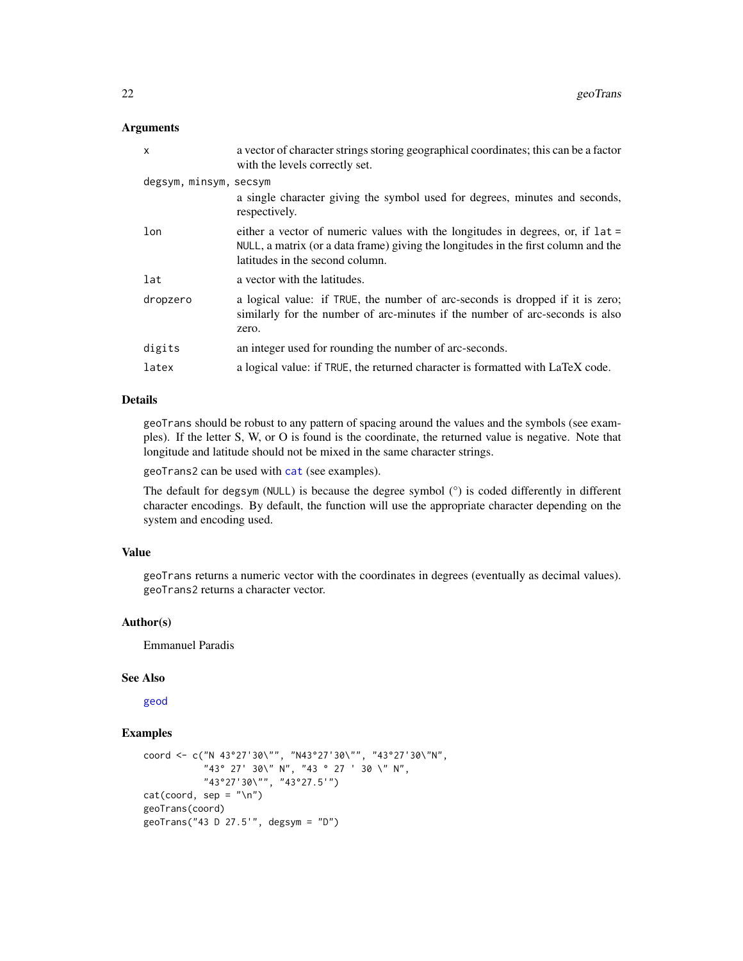#### Arguments

| $\mathsf{x}$           | a vector of character strings storing geographical coordinates; this can be a factor<br>with the levels correctly set.                                                                                    |
|------------------------|-----------------------------------------------------------------------------------------------------------------------------------------------------------------------------------------------------------|
| degsym, minsym, secsym |                                                                                                                                                                                                           |
|                        | a single character giving the symbol used for degrees, minutes and seconds,<br>respectively.                                                                                                              |
| lon                    | either a vector of numeric values with the longitudes in degrees, or, if $lat =$<br>NULL, a matrix (or a data frame) giving the longitudes in the first column and the<br>latitudes in the second column. |
| lat                    | a vector with the latitudes.                                                                                                                                                                              |
| dropzero               | a logical value: if TRUE, the number of arc-seconds is dropped if it is zero;<br>similarly for the number of arc-minutes if the number of arc-seconds is also<br>zero.                                    |
| digits                 | an integer used for rounding the number of arc-seconds.                                                                                                                                                   |
| latex                  | a logical value: if TRUE, the returned character is formatted with LaTeX code.                                                                                                                            |

## Details

geoTrans should be robust to any pattern of spacing around the values and the symbols (see examples). If the letter S, W, or O is found is the coordinate, the returned value is negative. Note that longitude and latitude should not be mixed in the same character strings.

geoTrans2 can be used with [cat](#page-0-0) (see examples).

The default for degsym (NULL) is because the degree symbol (°) is coded differently in different character encodings. By default, the function will use the appropriate character depending on the system and encoding used.

## Value

geoTrans returns a numeric vector with the coordinates in degrees (eventually as decimal values). geoTrans2 returns a character vector.

## Author(s)

Emmanuel Paradis

## See Also

[geod](#page-19-1)

## Examples

```
coord <- c("N 43°27'30\"", "N43°27'30\"", "43°27'30\"N",
           "43° 27' 30\" N", "43 ° 27 ' 30 \" N",
           "43°27'30\"", "43°27.5'")
cat(cord, sep = "n")geoTrans(coord)
geoTrans("43 D 27.5'", degsym = "D")
```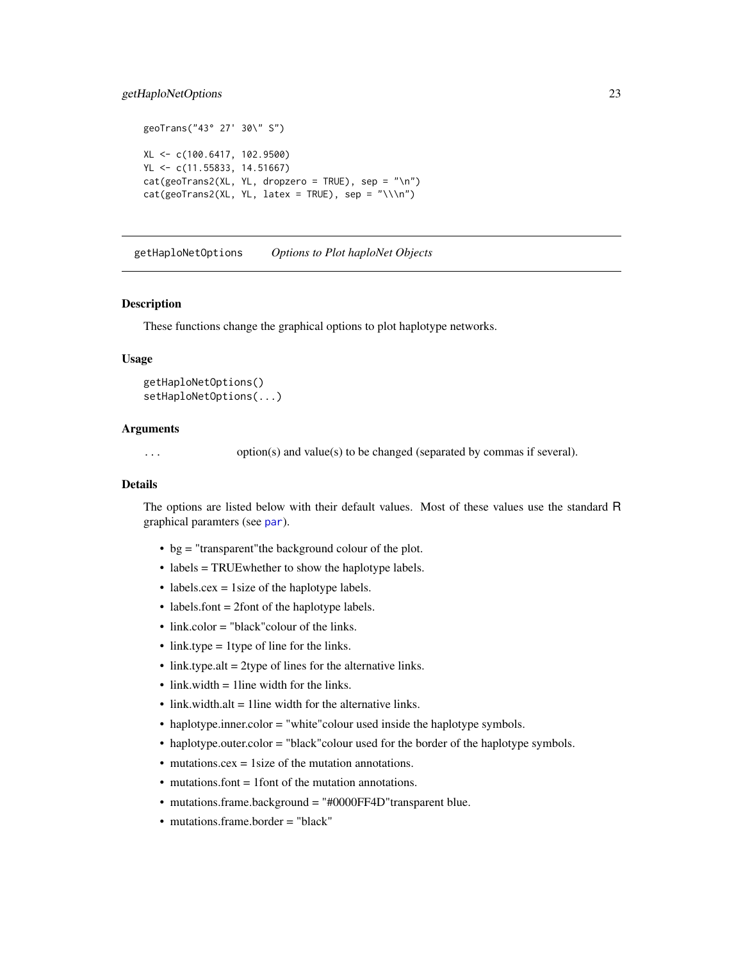## <span id="page-22-0"></span>getHaploNetOptions 23

```
geoTrans("43° 27' 30\" S")
XL <- c(100.6417, 102.9500)
YL <- c(11.55833, 14.51667)
cat(geoTrans2(XL, YL, dropzero = TRUE), sep = "\\n")cat(geoTrans2(XL, YL, latex = TRUE), sep = "\\ \n\langle \rangle
```
getHaploNetOptions *Options to Plot haploNet Objects*

#### **Description**

These functions change the graphical options to plot haplotype networks.

## Usage

getHaploNetOptions() setHaploNetOptions(...)

#### Arguments

... option(s) and value(s) to be changed (separated by commas if several).

## Details

The options are listed below with their default values. Most of these values use the standard R graphical paramters (see [par](#page-0-0)).

- bg = "transparent"the background colour of the plot.
- labels = TRUE whether to show the haplotype labels.
- labels.cex = 1size of the haplotype labels.
- labels.font = 2font of the haplotype labels.
- link.color = "black" colour of the links.
- link.type = 1type of line for the links.
- link.type.alt = 2type of lines for the alternative links.
- link.width  $=$  1 line width for the links.
- link.width.alt = 1line width for the alternative links.
- haplotype.inner.color = "white" colour used inside the haplotype symbols.
- haplotype.outer.color = "black"colour used for the border of the haplotype symbols.
- mutations.cex = 1 size of the mutation annotations.
- mutations.font = 1 font of the mutation annotations.
- mutations.frame.background = "#0000FF4D"transparent blue.
- mutations.frame.border = "black"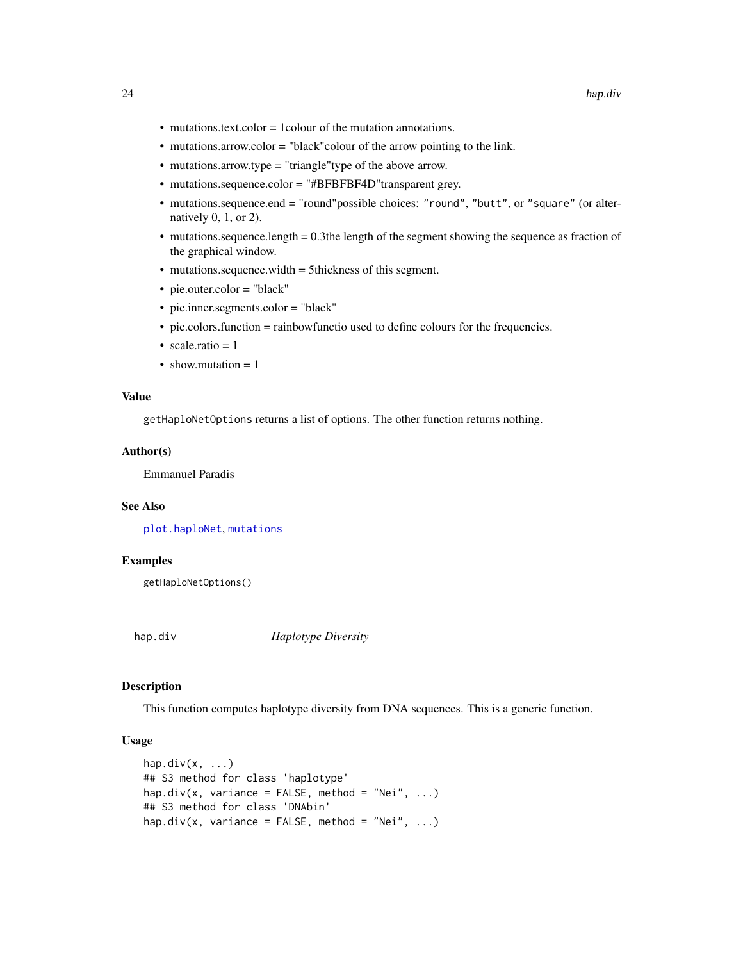- <span id="page-23-0"></span>• mutations.text.color = 1colour of the mutation annotations.
- mutations.arrow.color = "black"colour of the arrow pointing to the link.
- mutations.arrow.type = "triangle"type of the above arrow.
- mutations.sequence.color = "#BFBFBF4D"transparent grey.
- mutations.sequence.end = "round"possible choices: "round", "butt", or "square" (or alternatively 0, 1, or 2).
- mutations.sequence.length = 0.3the length of the segment showing the sequence as fraction of the graphical window.
- mutations.sequence.width = 5thickness of this segment.
- pie.outer.color = "black"
- pie.inner.segments.color = "black"
- pie.colors.function = rainbowfunctio used to define colours for the frequencies.
- scale.ratio  $= 1$
- show.mutation  $= 1$

#### Value

getHaploNetOptions returns a list of options. The other function returns nothing.

#### Author(s)

Emmanuel Paradis

#### See Also

[plot.haploNet](#page-26-2), [mutations](#page-45-1)

## Examples

getHaploNetOptions()

hap.div *Haplotype Diversity*

#### Description

This function computes haplotype diversity from DNA sequences. This is a generic function.

## Usage

```
hap.div(x, \ldots)## S3 method for class 'haplotype'
hap.div(x, variance = FALSE, method = "Nei", \dots)
## S3 method for class 'DNAbin'
hap.div(x, variance = FALSE, method = "Nei", \dots)
```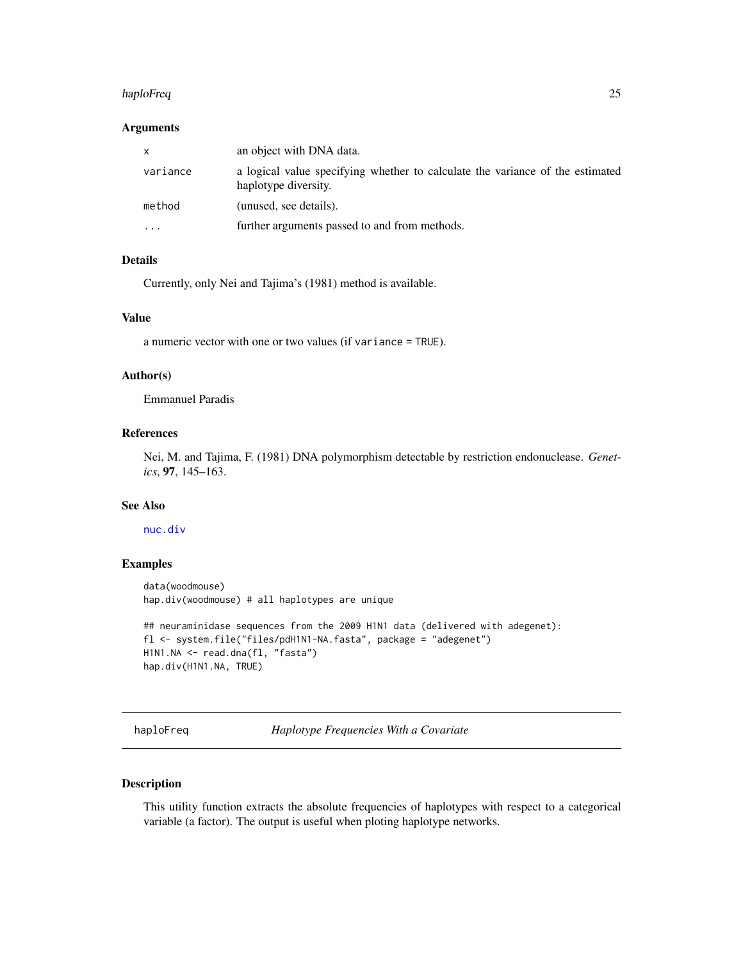#### <span id="page-24-0"></span>haploFreq 25

## Arguments

|           | an object with DNA data.                                                                              |
|-----------|-------------------------------------------------------------------------------------------------------|
| variance  | a logical value specifying whether to calculate the variance of the estimated<br>haplotype diversity. |
| method    | (unused, see details).                                                                                |
| $\ddotsc$ | further arguments passed to and from methods.                                                         |

## Details

Currently, only Nei and Tajima's (1981) method is available.

## Value

a numeric vector with one or two values (if variance = TRUE).

## Author(s)

Emmanuel Paradis

## References

Nei, M. and Tajima, F. (1981) DNA polymorphism detectable by restriction endonuclease. *Genetics*, 97, 145–163.

#### See Also

[nuc.div](#page-48-1)

#### Examples

```
data(woodmouse)
hap.div(woodmouse) # all haplotypes are unique
## neuraminidase sequences from the 2009 H1N1 data (delivered with adegenet):
fl <- system.file("files/pdH1N1-NA.fasta", package = "adegenet")
H1N1.NA <- read.dna(fl, "fasta")
hap.div(H1N1.NA, TRUE)
```
<span id="page-24-1"></span>haploFreq *Haplotype Frequencies With a Covariate*

## Description

This utility function extracts the absolute frequencies of haplotypes with respect to a categorical variable (a factor). The output is useful when ploting haplotype networks.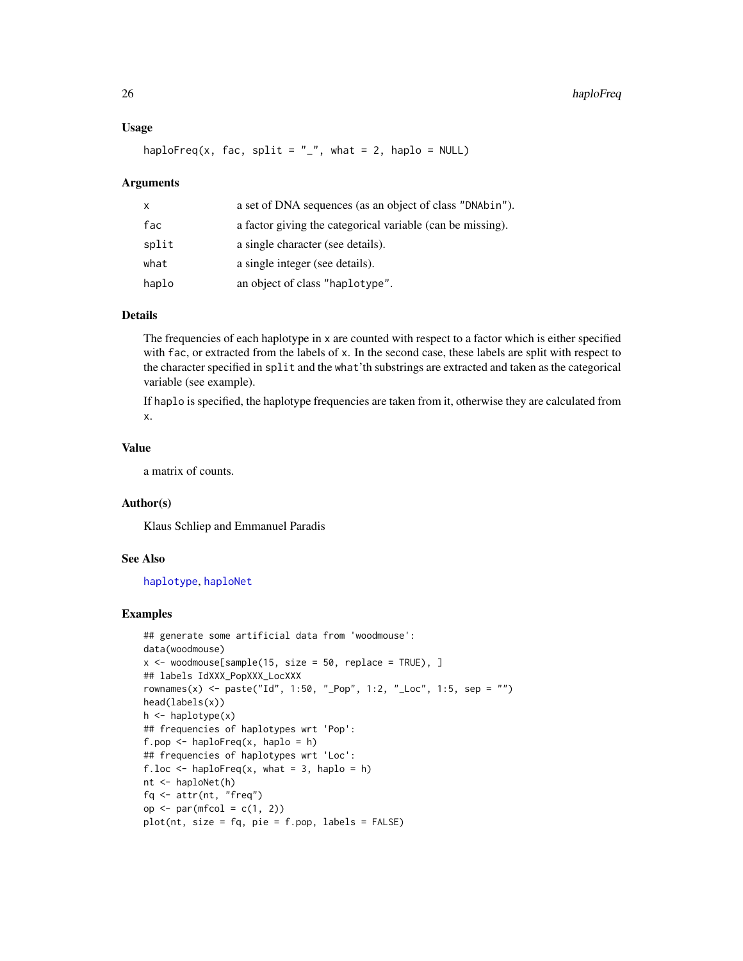#### Usage

```
haploFreq(x, fac, split = "_", what = 2, haplo = NULL)
```
#### Arguments

| x     | a set of DNA sequences (as an object of class "DNAbin").   |
|-------|------------------------------------------------------------|
| fac   | a factor giving the categorical variable (can be missing). |
| split | a single character (see details).                          |
| what  | a single integer (see details).                            |
| haplo | an object of class "haplotype".                            |

## Details

The frequencies of each haplotype in x are counted with respect to a factor which is either specified with fac, or extracted from the labels of x. In the second case, these labels are split with respect to the character specified in split and the what'th substrings are extracted and taken as the categorical variable (see example).

If haplo is specified, the haplotype frequencies are taken from it, otherwise they are calculated from x.

#### Value

a matrix of counts.

#### Author(s)

Klaus Schliep and Emmanuel Paradis

#### See Also

[haplotype](#page-29-1), [haploNet](#page-26-1)

#### Examples

```
## generate some artificial data from 'woodmouse':
data(woodmouse)
x \le - woodmouse[sample(15, size = 50, replace = TRUE), ]
## labels IdXXX_PopXXX_LocXXX
rownames(x) <- paste("Id", 1:50, "_Pop", 1:2, "_Loc", 1:5, sep = "")
head(labels(x))
h \leftarrow haplotype(x)## frequencies of haplotypes wrt 'Pop':
f.pop \leq haploFreq(x, haplo = h)
## frequencies of haplotypes wrt 'Loc':
f.loc \leq haploFreq(x, what = 3, haplo = h)
nt <- haploNet(h)
fq <- attr(nt, "freq")
op \leq par(mfcol = c(1, 2))
plot(nt, size = fq, pie = f.pop, labels = FALSE)
```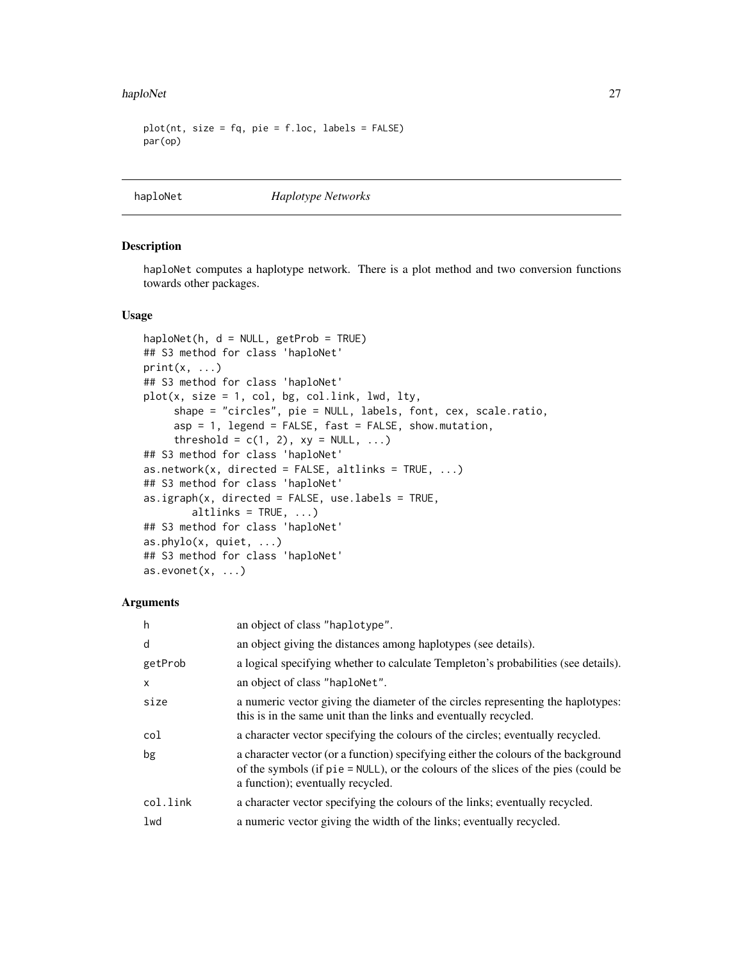#### <span id="page-26-0"></span>haploNet 27

```
plot(nt, size = fq, pie = f.loc, labels = FALSE)par(op)
```
## <span id="page-26-1"></span>haploNet *Haplotype Networks*

## <span id="page-26-2"></span>Description

haploNet computes a haplotype network. There is a plot method and two conversion functions towards other packages.

#### Usage

```
haploNet(h, d = NULL, getProb = TRUE)## S3 method for class 'haploNet'
print(x, \ldots)## S3 method for class 'haploNet'
plot(x, size = 1, col, bg, col.link, lwd, lty,
     shape = "circles", pie = NULL, labels, font, cex, scale.ratio,
     asp = 1, legend = FALSE, fast = FALSE, show.mutation,
     threshold = c(1, 2), xy = NULL, ...)
## S3 method for class 'haploNet'
as.network(x, directed = FALSE, altlinks = TRUE, ...)
## S3 method for class 'haploNet'
as.ijraph(x, directed = FALSE, use. labels = TRUE,altlinks = TRUE, ...)
## S3 method for class 'haploNet'
as.phylo(x, quiet, ...)
## S3 method for class 'haploNet'
as.evonet(x, \ldots)
```
#### **Arguments**

| h            | an object of class "haplotype".                                                                                                                                                                                  |
|--------------|------------------------------------------------------------------------------------------------------------------------------------------------------------------------------------------------------------------|
| d            | an object giving the distances among haplotypes (see details).                                                                                                                                                   |
| getProb      | a logical specifying whether to calculate Templeton's probabilities (see details).                                                                                                                               |
| $\mathsf{x}$ | an object of class "haplonet".                                                                                                                                                                                   |
| size         | a numeric vector giving the diameter of the circles representing the haplotypes:<br>this is in the same unit than the links and eventually recycled.                                                             |
| col          | a character vector specifying the colours of the circles; eventually recycled.                                                                                                                                   |
| bg           | a character vector (or a function) specifying either the colours of the background<br>of the symbols (if $pie = NULL$ ), or the colours of the slices of the pies (could be<br>a function); eventually recycled. |
| col.link     | a character vector specifying the colours of the links; eventually recycled.                                                                                                                                     |
| lwd          | a numeric vector giving the width of the links; eventually recycled.                                                                                                                                             |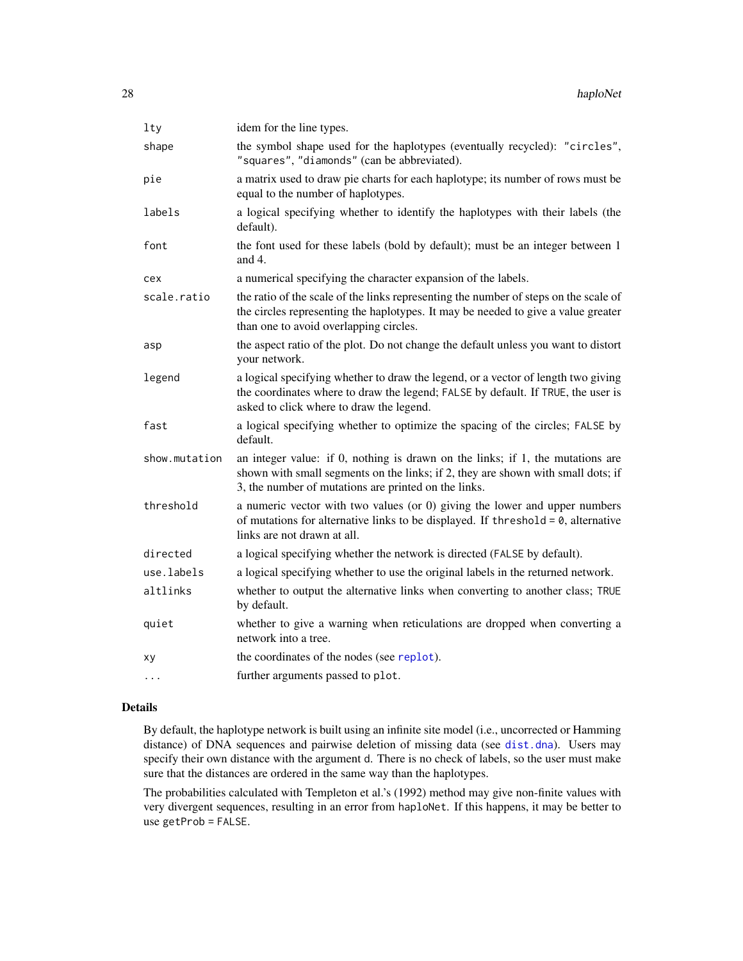| lty           | idem for the line types.                                                                                                                                                                                                   |
|---------------|----------------------------------------------------------------------------------------------------------------------------------------------------------------------------------------------------------------------------|
| shape         | the symbol shape used for the haplotypes (eventually recycled): "circles",<br>"squares", "diamonds" (can be abbreviated).                                                                                                  |
| pie           | a matrix used to draw pie charts for each haplotype; its number of rows must be<br>equal to the number of haplotypes.                                                                                                      |
| labels        | a logical specifying whether to identify the haplotypes with their labels (the<br>default).                                                                                                                                |
| font          | the font used for these labels (bold by default); must be an integer between 1<br>and $4$ .                                                                                                                                |
| cex           | a numerical specifying the character expansion of the labels.                                                                                                                                                              |
| scale.ratio   | the ratio of the scale of the links representing the number of steps on the scale of<br>the circles representing the haplotypes. It may be needed to give a value greater<br>than one to avoid overlapping circles.        |
| asp           | the aspect ratio of the plot. Do not change the default unless you want to distort<br>your network.                                                                                                                        |
| legend        | a logical specifying whether to draw the legend, or a vector of length two giving<br>the coordinates where to draw the legend; FALSE by default. If TRUE, the user is<br>asked to click where to draw the legend.          |
| fast          | a logical specifying whether to optimize the spacing of the circles; FALSE by<br>default.                                                                                                                                  |
| show.mutation | an integer value: if 0, nothing is drawn on the links; if 1, the mutations are<br>shown with small segments on the links; if 2, they are shown with small dots; if<br>3, the number of mutations are printed on the links. |
| threshold     | a numeric vector with two values (or $0$ ) giving the lower and upper numbers<br>of mutations for alternative links to be displayed. If threshold = $0$ , alternative<br>links are not drawn at all.                       |
| directed      | a logical specifying whether the network is directed (FALSE by default).                                                                                                                                                   |
| use.labels    | a logical specifying whether to use the original labels in the returned network.                                                                                                                                           |
| altlinks      | whether to output the alternative links when converting to another class; TRUE<br>by default.                                                                                                                              |
| quiet         | whether to give a warning when reticulations are dropped when converting a<br>network into a tree.                                                                                                                         |
| xу            | the coordinates of the nodes (see replot).                                                                                                                                                                                 |
| $\ddots$ .    | further arguments passed to plot.                                                                                                                                                                                          |
|               |                                                                                                                                                                                                                            |

## Details

By default, the haplotype network is built using an infinite site model (i.e., uncorrected or Hamming distance) of DNA sequences and pairwise deletion of missing data (see [dist.dna](#page-0-0)). Users may specify their own distance with the argument d. There is no check of labels, so the user must make sure that the distances are ordered in the same way than the haplotypes.

The probabilities calculated with Templeton et al.'s (1992) method may give non-finite values with very divergent sequences, resulting in an error from haploNet. If this happens, it may be better to use getProb = FALSE.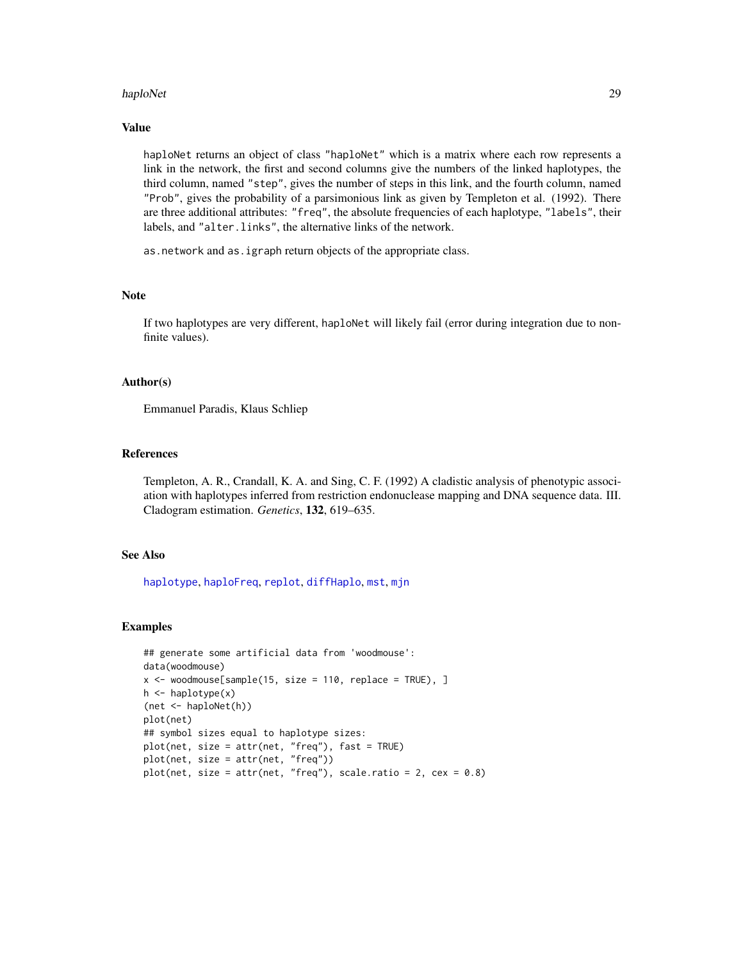#### haploNet 29

## Value

haploNet returns an object of class "haploNet" which is a matrix where each row represents a link in the network, the first and second columns give the numbers of the linked haplotypes, the third column, named "step", gives the number of steps in this link, and the fourth column, named "Prob", gives the probability of a parsimonious link as given by Templeton et al. (1992). There are three additional attributes: "freq", the absolute frequencies of each haplotype, "labels", their labels, and "alter.links", the alternative links of the network.

as.network and as.igraph return objects of the appropriate class.

#### **Note**

If two haplotypes are very different, haploNet will likely fail (error during integration due to nonfinite values).

#### Author(s)

Emmanuel Paradis, Klaus Schliep

#### References

Templeton, A. R., Crandall, K. A. and Sing, C. F. (1992) A cladistic analysis of phenotypic association with haplotypes inferred from restriction endonuclease mapping and DNA sequence data. III. Cladogram estimation. *Genetics*, 132, 619–635.

## See Also

[haplotype](#page-29-1), [haploFreq](#page-24-1), [replot](#page-55-1), [diffHaplo](#page-13-1), [mst](#page-44-1), [mjn](#page-41-1)

#### Examples

```
## generate some artificial data from 'woodmouse':
data(woodmouse)
x \le - woodmouse[sample(15, size = 110, replace = TRUE), ]
h <- haplotype(x)
(net <- haploNet(h))
plot(net)
## symbol sizes equal to haplotype sizes:
plot(net, size = attr(net, "freq"), fast = TRUE)
plot(net, size = attr(net, "freq"))
plot(net, size = attr(net, "freq"), scale.ratio = 2, cex = 0.8)
```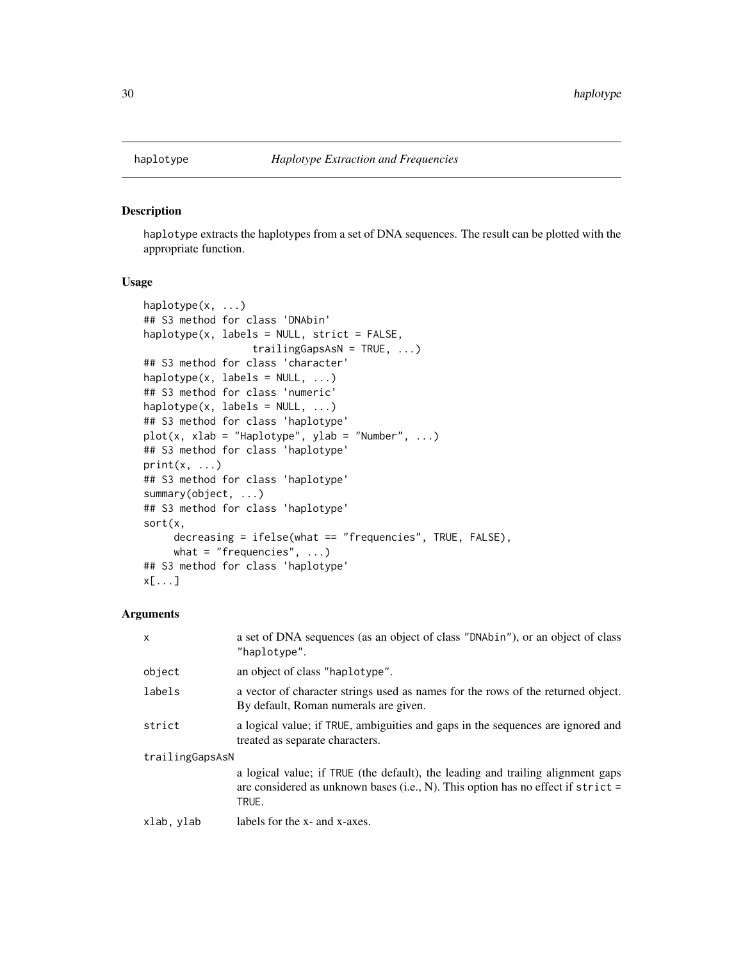<span id="page-29-1"></span><span id="page-29-0"></span>

#### Description

haplotype extracts the haplotypes from a set of DNA sequences. The result can be plotted with the appropriate function.

#### Usage

```
haplotype(x, ...)
## S3 method for class 'DNAbin'
haplotype(x, labels = NULL, strict = FALSE,
                  trailingGapsAsN = TRUE, ...)
## S3 method for class 'character'
haplotype(x, labels = NULL, ...)## S3 method for class 'numeric'
haplotype(x, labels = NULL, ...)## S3 method for class 'haplotype'
plot(x, xlab = "Haplotype", ylab = "Number", ...)## S3 method for class 'haplotype'
print(x, \ldots)## S3 method for class 'haplotype'
summary(object, ...)
## S3 method for class 'haplotype'
sort(x,
     decreasing = ifelse(what == "frequencies", TRUE, FALSE),
     what = "frequencies", \ldots)
## S3 method for class 'haplotype'
x[...]
```
## Arguments

| $\mathsf{x}$    | a set of DNA sequences (as an object of class "DNAbin"), or an object of class<br>"haplotype".                                                                               |
|-----------------|------------------------------------------------------------------------------------------------------------------------------------------------------------------------------|
| object          | an object of class "haplotype".                                                                                                                                              |
| labels          | a vector of character strings used as names for the rows of the returned object.<br>By default, Roman numerals are given.                                                    |
| strict          | a logical value; if TRUE, ambiguities and gaps in the sequences are ignored and<br>treated as separate characters.                                                           |
| trailingGapsAsN |                                                                                                                                                                              |
|                 | a logical value; if TRUE (the default), the leading and trailing alignment gaps<br>are considered as unknown bases (i.e., N). This option has no effect if strict =<br>TRUE. |
| xlab, ylab      | labels for the x- and x-axes.                                                                                                                                                |
|                 |                                                                                                                                                                              |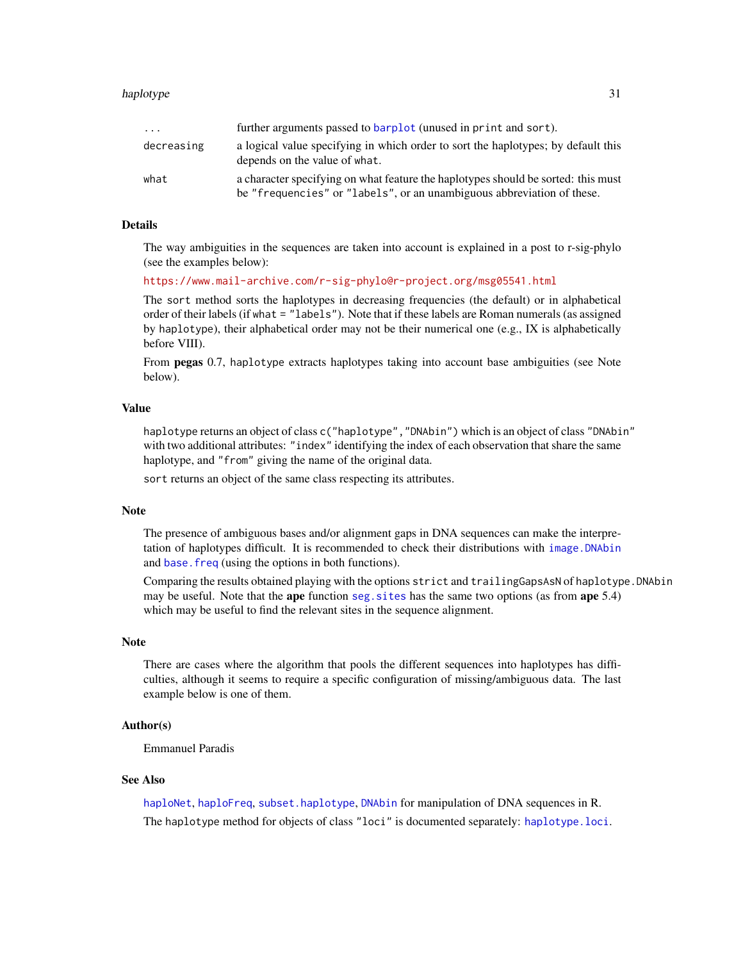| .          | further arguments passed to barplot (unused in print and sort).                                                                                             |
|------------|-------------------------------------------------------------------------------------------------------------------------------------------------------------|
| decreasing | a logical value specifying in which order to sort the haplotypes; by default this<br>depends on the value of what.                                          |
| what       | a character specifying on what feature the haplotypes should be sorted: this must<br>be "frequencies" or "labels", or an unambiguous abbreviation of these. |

#### Details

The way ambiguities in the sequences are taken into account is explained in a post to r-sig-phylo (see the examples below):

<https://www.mail-archive.com/r-sig-phylo@r-project.org/msg05541.html>

The sort method sorts the haplotypes in decreasing frequencies (the default) or in alphabetical order of their labels (if what = "labels"). Note that if these labels are Roman numerals (as assigned by haplotype), their alphabetical order may not be their numerical one  $(e.g., IX]$  is alphabetically before VIII).

From **pegas** 0.7, haplotype extracts haplotypes taking into account base ambiguities (see Note below).

## Value

haplotype returns an object of class c("haplotype", "DNAbin") which is an object of class "DNAbin" with two additional attributes: "index" identifying the index of each observation that share the same haplotype, and "from" giving the name of the original data.

sort returns an object of the same class respecting its attributes.

#### Note

The presence of ambiguous bases and/or alignment gaps in DNA sequences can make the interpretation of haplotypes difficult. It is recommended to check their distributions with [image.DNAbin](#page-0-0) and [base.freq](#page-0-0) (using the options in both functions).

Comparing the results obtained playing with the options strict and trailingGapsAsN of haplotype. DNAbin may be useful. Note that the **ape** function seg. sites has the same two options (as from **ape** 5.4) which may be useful to find the relevant sites in the sequence alignment.

#### **Note**

There are cases where the algorithm that pools the different sequences into haplotypes has difficulties, although it seems to require a specific configuration of missing/ambiguous data. The last example below is one of them.

## Author(s)

Emmanuel Paradis

## See Also

[haploNet](#page-26-1), [haploFreq](#page-24-1), [subset.haplotype](#page-61-1), [DNAbin](#page-0-0) for manipulation of DNA sequences in R. The haplotype method for objects of class "loci" is documented separately: [haplotype.loci](#page-32-2).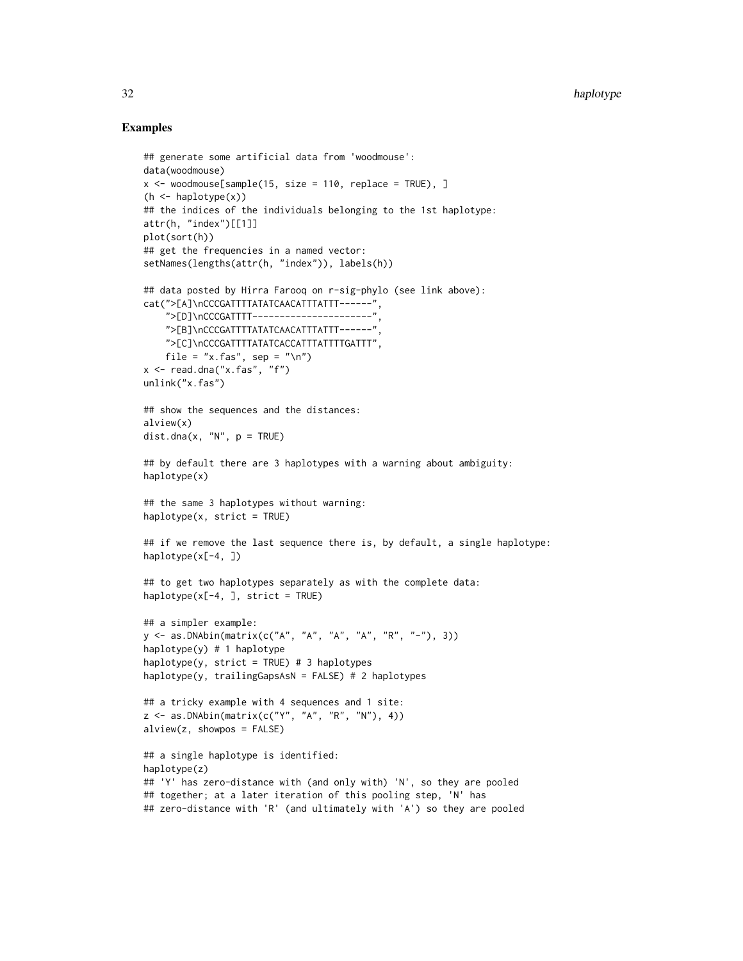#### Examples

```
## generate some artificial data from 'woodmouse':
data(woodmouse)
x \le woodmouse[sample(15, size = 110, replace = TRUE), ]
(h \leq haplotype(x))## the indices of the individuals belonging to the 1st haplotype:
attr(h, "index")[[1]]
plot(sort(h))
## get the frequencies in a named vector:
setNames(lengths(attr(h, "index")), labels(h))
## data posted by Hirra Farooq on r-sig-phylo (see link above):
cat(">[A]\nCCCGATTTTATATCAACATTTATTT------",
    ">[D]\nCCCGATTTT----------------------",
    ">[B]\nCCCGATTTTATATCAACATTTATTT------",
    ">[C]\nCCCGATTTTATATCACCATTTATTTTGATTT",
    file = "x.fas", sep = "\n")
x \leq - read.dna("x.fas", "f")
unlink("x.fas")
## show the sequences and the distances:
alview(x)
dist.dna(x, ''N'', p = TRUE)
## by default there are 3 haplotypes with a warning about ambiguity:
haplotype(x)
## the same 3 haplotypes without warning:
haplotype(x, strict = TRUE)## if we remove the last sequence there is, by default, a single haplotype:
haplotype(x[-4, ])
## to get two haplotypes separately as with the complete data:
haplotype(x[-4, ], strict = TRUE)
## a simpler example:
y <- as.DNAbin(matrix(c("A", "A", "A", "A", "R", "-"), 3))
haplotype(y) # 1 haplotype
haplotype(y, strict = TRUE) # 3 haplotypes
haplotype(y, trailingGapsAsN = FALSE) # 2 haplotypes
## a tricky example with 4 sequences and 1 site:
z \leq -as.DNAbin(matrix(c("Y", "A", "R", "N"), 4))
alview(z, showpos = FALSE)
## a single haplotype is identified:
haplotype(z)
## 'Y' has zero-distance with (and only with) 'N', so they are pooled
## together; at a later iteration of this pooling step, 'N' has
## zero-distance with 'R' (and ultimately with 'A') so they are pooled
```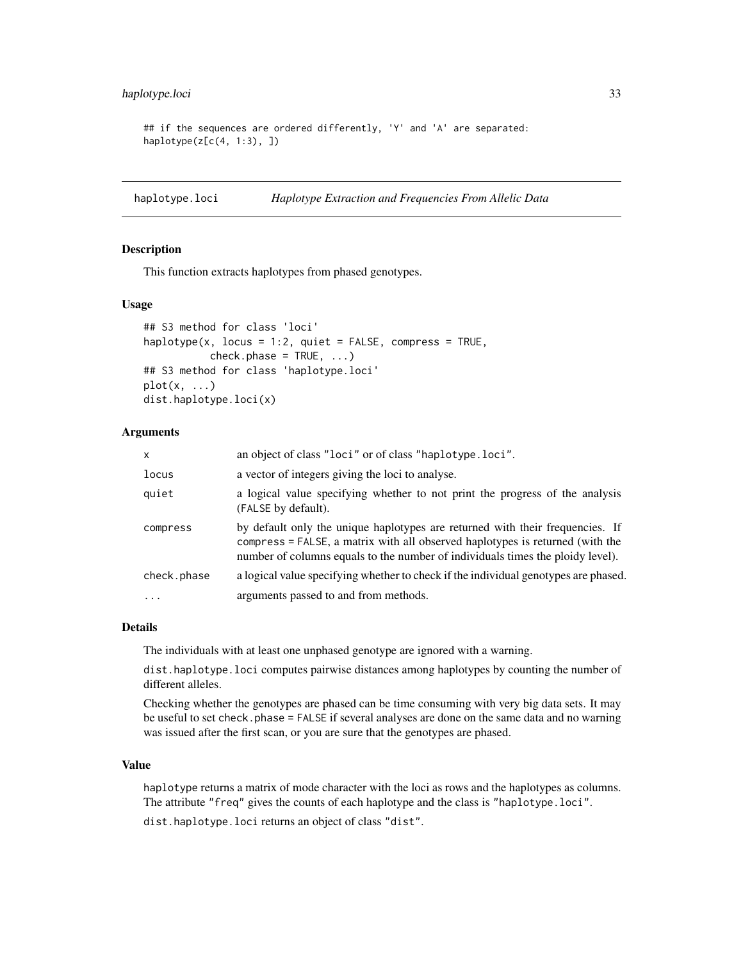## <span id="page-32-0"></span>haplotype.loci 33

```
## if the sequences are ordered differently, 'Y' and 'A' are separated:
haplotype(z[c(4, 1:3), ])
```
<span id="page-32-2"></span>haplotype.loci *Haplotype Extraction and Frequencies From Allelic Data*

#### <span id="page-32-1"></span>**Description**

This function extracts haplotypes from phased genotypes.

## Usage

```
## S3 method for class 'loci'
haplotype(x, locus = 1:2, quiet = FALSE, compress = TRUE,
          check.phase = TRUE, ...)## S3 method for class 'haplotype.loci'
plot(x, ...)
dist.haplotype.loci(x)
```
## Arguments

| $\mathsf{x}$ | an object of class "loci" or of class "haplotype.loci".                                                                                                                                                                                          |
|--------------|--------------------------------------------------------------------------------------------------------------------------------------------------------------------------------------------------------------------------------------------------|
| locus        | a vector of integers giving the loci to analyse.                                                                                                                                                                                                 |
| quiet        | a logical value specifying whether to not print the progress of the analysis<br>(FALSE by default).                                                                                                                                              |
| compress     | by default only the unique haplotypes are returned with their frequencies. If<br>compress = FALSE, a matrix with all observed haplotypes is returned (with the<br>number of columns equals to the number of individuals times the ploidy level). |
| check.phase  | a logical value specifying whether to check if the individual genotypes are phased.                                                                                                                                                              |
| $\ddotsc$    | arguments passed to and from methods.                                                                                                                                                                                                            |

## Details

The individuals with at least one unphased genotype are ignored with a warning.

dist.haplotype.loci computes pairwise distances among haplotypes by counting the number of different alleles.

Checking whether the genotypes are phased can be time consuming with very big data sets. It may be useful to set check.phase = FALSE if several analyses are done on the same data and no warning was issued after the first scan, or you are sure that the genotypes are phased.

#### Value

haplotype returns a matrix of mode character with the loci as rows and the haplotypes as columns. The attribute "freq" gives the counts of each haplotype and the class is "haplotype.loci".

dist.haplotype.loci returns an object of class "dist".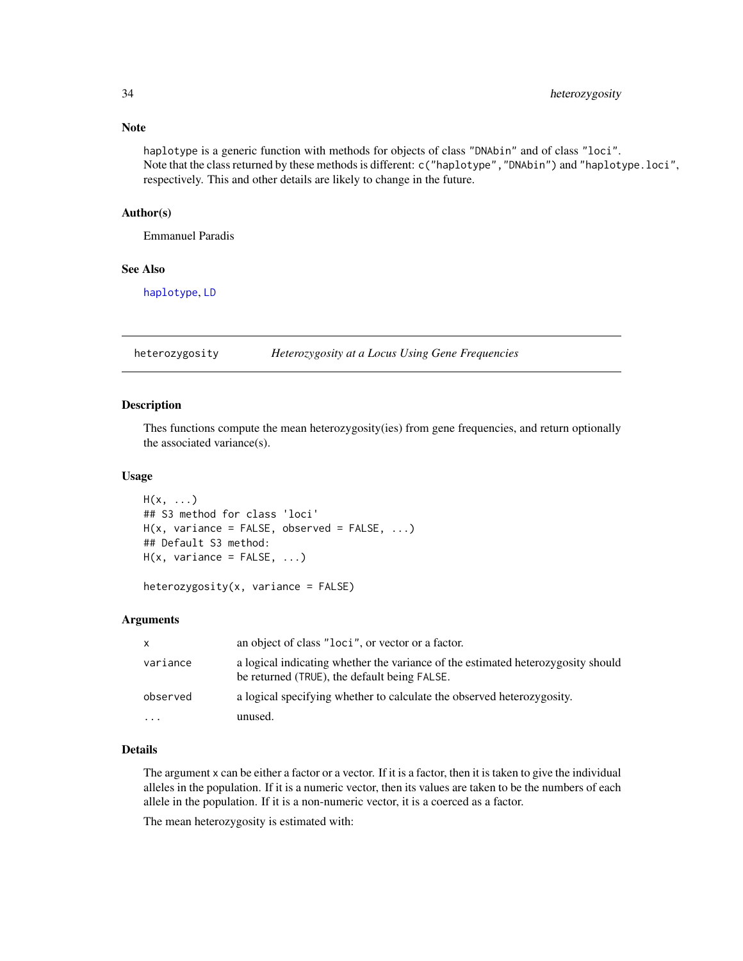haplotype is a generic function with methods for objects of class "DNAbin" and of class "loci". Note that the class returned by these methods is different: c("haplotype","DNAbin") and "haplotype.loci", respectively. This and other details are likely to change in the future.

## Author(s)

Emmanuel Paradis

#### See Also

[haplotype](#page-29-1), [LD](#page-37-1)

heterozygosity *Heterozygosity at a Locus Using Gene Frequencies*

#### Description

Thes functions compute the mean heterozygosity(ies) from gene frequencies, and return optionally the associated variance(s).

#### Usage

```
H(x, \ldots)## S3 method for class 'loci'
H(x, \text{ variance} = \text{FALSE}, \text{ observed} = \text{FALSE}, \dots)## Default S3 method:
H(x, \text{ variance} = FALSE, ...)
```

```
heterozygosity(x, variance = FALSE)
```
## Arguments

| $\mathsf{x}$ | an object of class "loci", or vector or a factor.                                                                                |
|--------------|----------------------------------------------------------------------------------------------------------------------------------|
| variance     | a logical indicating whether the variance of the estimated heterozygosity should<br>be returned (TRUE), the default being FALSE. |
| observed     | a logical specifying whether to calculate the observed heterozygosity.                                                           |
| $\cdots$     | unused.                                                                                                                          |

#### Details

The argument x can be either a factor or a vector. If it is a factor, then it is taken to give the individual alleles in the population. If it is a numeric vector, then its values are taken to be the numbers of each allele in the population. If it is a non-numeric vector, it is a coerced as a factor.

The mean heterozygosity is estimated with:

<span id="page-33-0"></span>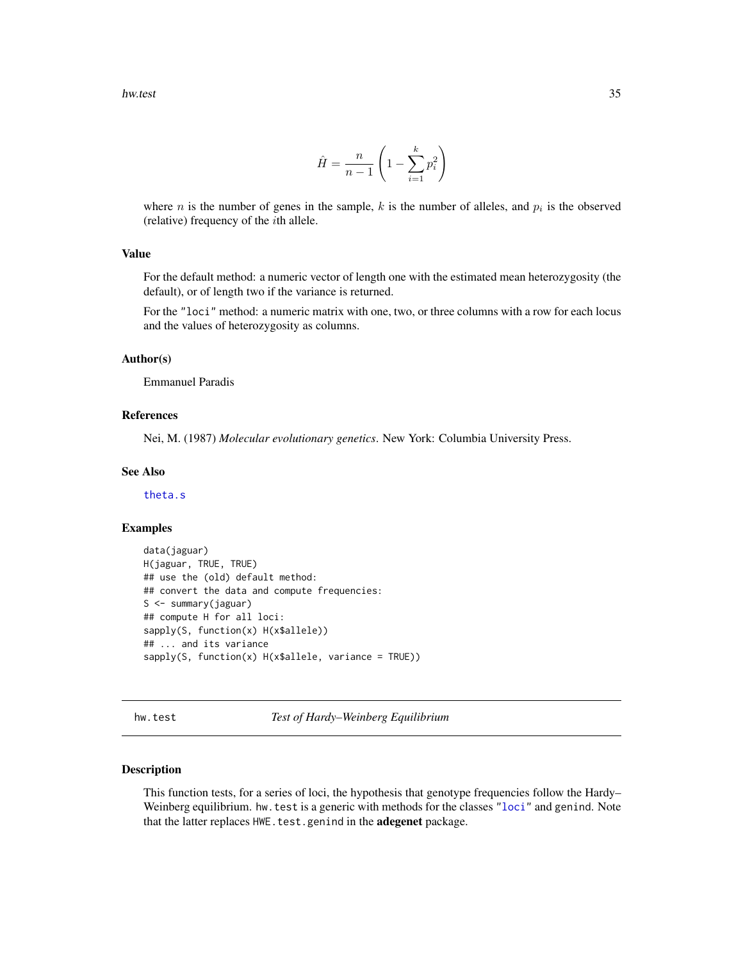$$
\hat{H} = \frac{n}{n-1} \left( 1 - \sum_{i=1}^{k} p_i^2 \right)
$$

<span id="page-34-0"></span>where *n* is the number of genes in the sample, k is the number of alleles, and  $p_i$  is the observed (relative) frequency of the ith allele.

## Value

For the default method: a numeric vector of length one with the estimated mean heterozygosity (the default), or of length two if the variance is returned.

For the "loci" method: a numeric matrix with one, two, or three columns with a row for each locus and the values of heterozygosity as columns.

## Author(s)

Emmanuel Paradis

#### References

Nei, M. (1987) *Molecular evolutionary genetics*. New York: Columbia University Press.

#### See Also

[theta.s](#page-70-1)

#### Examples

```
data(jaguar)
H(jaguar, TRUE, TRUE)
## use the (old) default method:
## convert the data and compute frequencies:
S <- summary(jaguar)
## compute H for all loci:
sapply(S, function(x) H(x$allele))
## ... and its variance
sapply(S, function(x) H(x$allele, variance = TRUE))
```
hw.test *Test of Hardy–Weinberg Equilibrium*

## Description

This function tests, for a series of loci, the hypothesis that genotype frequencies follow the Hardy– Weinberg equilibrium. hw. test is a generic with methods for the classes ["loci"](#page-52-2) and genind. Note that the latter replaces HWE.test.genind in the adegenet package.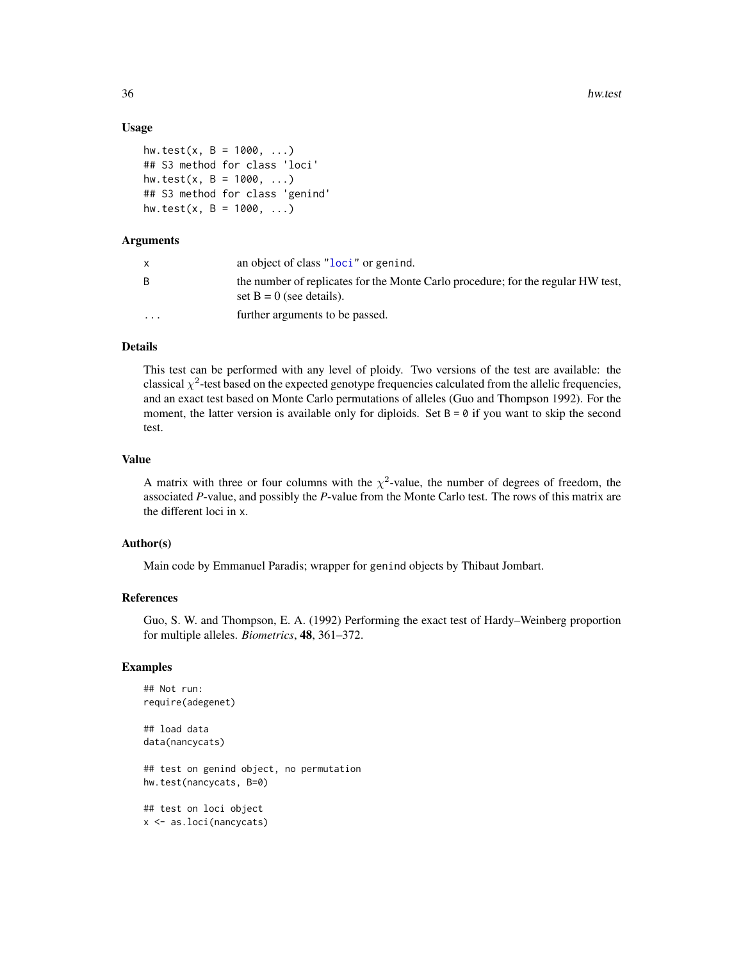36 hw.test

#### Usage

```
hw.test(x, B = 1000, ...)
## S3 method for class 'loci'
hw.test(x, B = 1000, ...)
## S3 method for class 'genind'
hw.test(x, B = 1000, ...)
```
## Arguments

|                         | an object of class "loci" or genind.                                                                           |
|-------------------------|----------------------------------------------------------------------------------------------------------------|
| B.                      | the number of replicates for the Monte Carlo procedure; for the regular HW test,<br>set $B = 0$ (see details). |
| $\cdot$ $\cdot$ $\cdot$ | further arguments to be passed.                                                                                |

## Details

This test can be performed with any level of ploidy. Two versions of the test are available: the classical  $\chi^2$ -test based on the expected genotype frequencies calculated from the allelic frequencies, and an exact test based on Monte Carlo permutations of alleles (Guo and Thompson 1992). For the moment, the latter version is available only for diploids. Set  $B = 0$  if you want to skip the second test.

## Value

A matrix with three or four columns with the  $\chi^2$ -value, the number of degrees of freedom, the associated *P*-value, and possibly the *P*-value from the Monte Carlo test. The rows of this matrix are the different loci in x.

## Author(s)

Main code by Emmanuel Paradis; wrapper for genind objects by Thibaut Jombart.

#### References

Guo, S. W. and Thompson, E. A. (1992) Performing the exact test of Hardy–Weinberg proportion for multiple alleles. *Biometrics*, 48, 361–372.

## Examples

```
## Not run:
require(adegenet)
## load data
data(nancycats)
## test on genind object, no permutation
hw.test(nancycats, B=0)
## test on loci object
x <- as.loci(nancycats)
```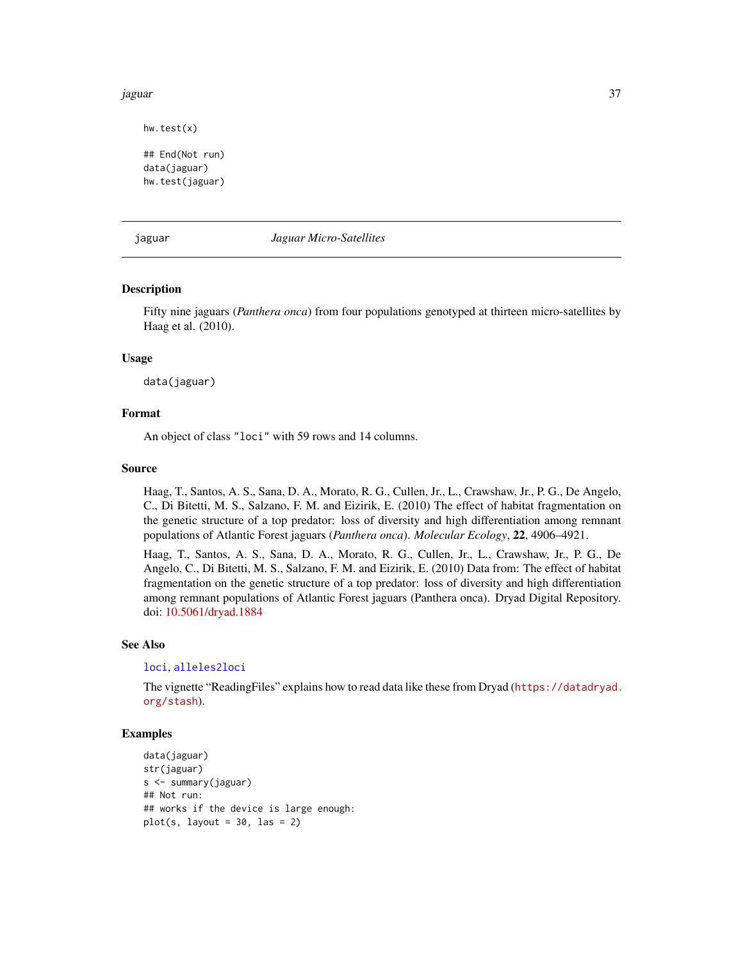#### jaguar 37

hw.test(x)

```
## End(Not run)
data(jaguar)
hw.test(jaguar)
```
jaguar *Jaguar Micro-Satellites*

## Description

Fifty nine jaguars (*Panthera onca*) from four populations genotyped at thirteen micro-satellites by Haag et al. (2010).

## Usage

data(jaguar)

# Format

An object of class "loci" with 59 rows and 14 columns.

# Source

Haag, T., Santos, A. S., Sana, D. A., Morato, R. G., Cullen, Jr., L., Crawshaw, Jr., P. G., De Angelo, C., Di Bitetti, M. S., Salzano, F. M. and Eizirik, E. (2010) The effect of habitat fragmentation on the genetic structure of a top predator: loss of diversity and high differentiation among remnant populations of Atlantic Forest jaguars (*Panthera onca*). *Molecular Ecology*, 22, 4906–4921.

Haag, T., Santos, A. S., Sana, D. A., Morato, R. G., Cullen, Jr., L., Crawshaw, Jr., P. G., De Angelo, C., Di Bitetti, M. S., Salzano, F. M. and Eizirik, E. (2010) Data from: The effect of habitat fragmentation on the genetic structure of a top predator: loss of diversity and high differentiation among remnant populations of Atlantic Forest jaguars (Panthera onca). Dryad Digital Repository. doi: [10.5061/dryad.1884](https://doi.org/10.5061/dryad.1884)

#### See Also

## [loci](#page-52-0), [alleles2loci](#page-3-0)

The vignette "ReadingFiles" explains how to read data like these from Dryad ([https://datadryad.](https://datadryad.org/stash) [org/stash](https://datadryad.org/stash)).

```
data(jaguar)
str(jaguar)
s <- summary(jaguar)
## Not run:
## works if the device is large enough:
plot(s, layout = 30, las = 2)
```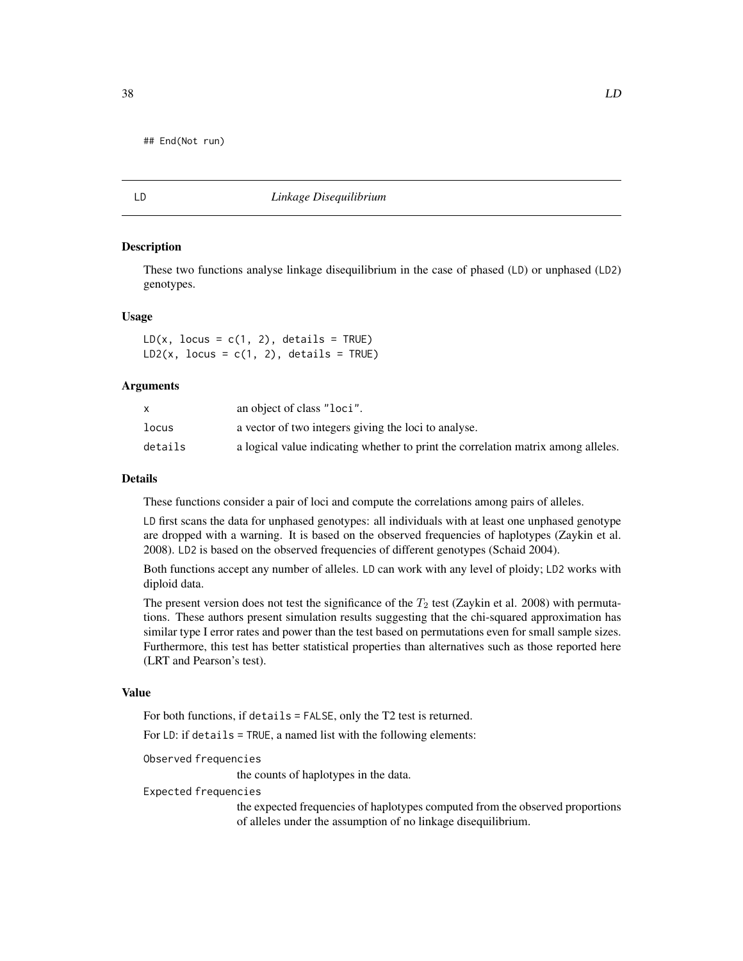## End(Not run)

<span id="page-37-0"></span>

#### LD *Linkage Disequilibrium*

# **Description**

These two functions analyse linkage disequilibrium in the case of phased (LD) or unphased (LD2) genotypes.

#### Usage

 $LD(x, locus = c(1, 2), details = TRUE)$  $LD2(x, locus = c(1, 2), details = TRUE)$ 

## Arguments

|         | an object of class "loci".                                                        |
|---------|-----------------------------------------------------------------------------------|
| locus   | a vector of two integers giving the loci to analyse.                              |
| details | a logical value indicating whether to print the correlation matrix among alleles. |

## Details

These functions consider a pair of loci and compute the correlations among pairs of alleles.

LD first scans the data for unphased genotypes: all individuals with at least one unphased genotype are dropped with a warning. It is based on the observed frequencies of haplotypes (Zaykin et al. 2008). LD2 is based on the observed frequencies of different genotypes (Schaid 2004).

Both functions accept any number of alleles. LD can work with any level of ploidy; LD2 works with diploid data.

The present version does not test the significance of the  $T_2$  test (Zaykin et al. 2008) with permutations. These authors present simulation results suggesting that the chi-squared approximation has similar type I error rates and power than the test based on permutations even for small sample sizes. Furthermore, this test has better statistical properties than alternatives such as those reported here (LRT and Pearson's test).

# Value

For both functions, if details = FALSE, only the T2 test is returned.

For LD: if details = TRUE, a named list with the following elements:

Observed frequencies

the counts of haplotypes in the data.

# Expected frequencies

the expected frequencies of haplotypes computed from the observed proportions of alleles under the assumption of no linkage disequilibrium.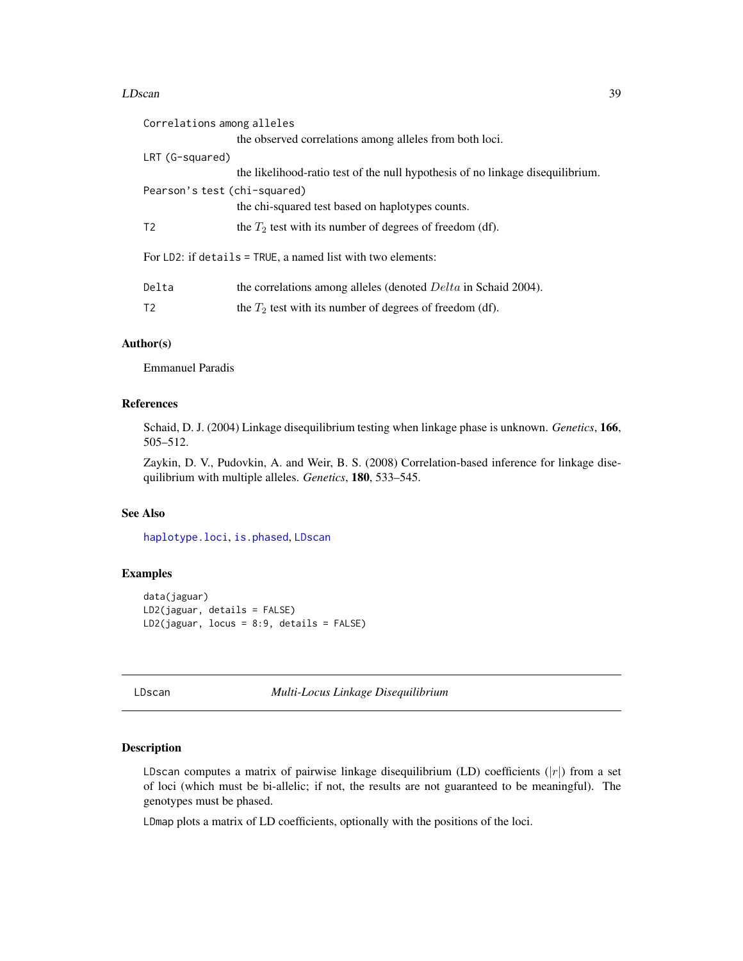#### LDscan 39

| Correlations among alleles   |                                                                                |
|------------------------------|--------------------------------------------------------------------------------|
|                              | the observed correlations among alleles from both loci.                        |
| LRT (G-squared)              |                                                                                |
|                              | the likelihood-ratio test of the null hypothesis of no linkage disequilibrium. |
| Pearson's test (chi-squared) |                                                                                |
|                              | the chi-squared test based on haplotypes counts.                               |
| T2                           | the $T_2$ test with its number of degrees of freedom (df).                     |
|                              | For LD2: if details = TRUE, a named list with two elements:                    |
| Delta                        | the correlations among alleles (denoted <i>Delta</i> in Schaid 2004).          |
| T <sub>2</sub>               | the $T_2$ test with its number of degrees of freedom (df).                     |
|                              |                                                                                |

# Author(s)

Emmanuel Paradis

## References

Schaid, D. J. (2004) Linkage disequilibrium testing when linkage phase is unknown. *Genetics*, 166, 505–512.

Zaykin, D. V., Pudovkin, A. and Weir, B. S. (2008) Correlation-based inference for linkage disequilibrium with multiple alleles. *Genetics*, 180, 533–545.

# See Also

[haplotype.loci](#page-32-0), [is.phased](#page-73-0), [LDscan](#page-38-0)

# Examples

```
data(jaguar)
LD2(jaguar, details = FALSE)
LD2(jaguar, locus = 8:9, details = FALSE)
```
<span id="page-38-0"></span>LDscan *Multi-Locus Linkage Disequilibrium*

# Description

LDscan computes a matrix of pairwise linkage disequilibrium (LD) coefficients  $(|r|)$  from a set of loci (which must be bi-allelic; if not, the results are not guaranteed to be meaningful). The genotypes must be phased.

LDmap plots a matrix of LD coefficients, optionally with the positions of the loci.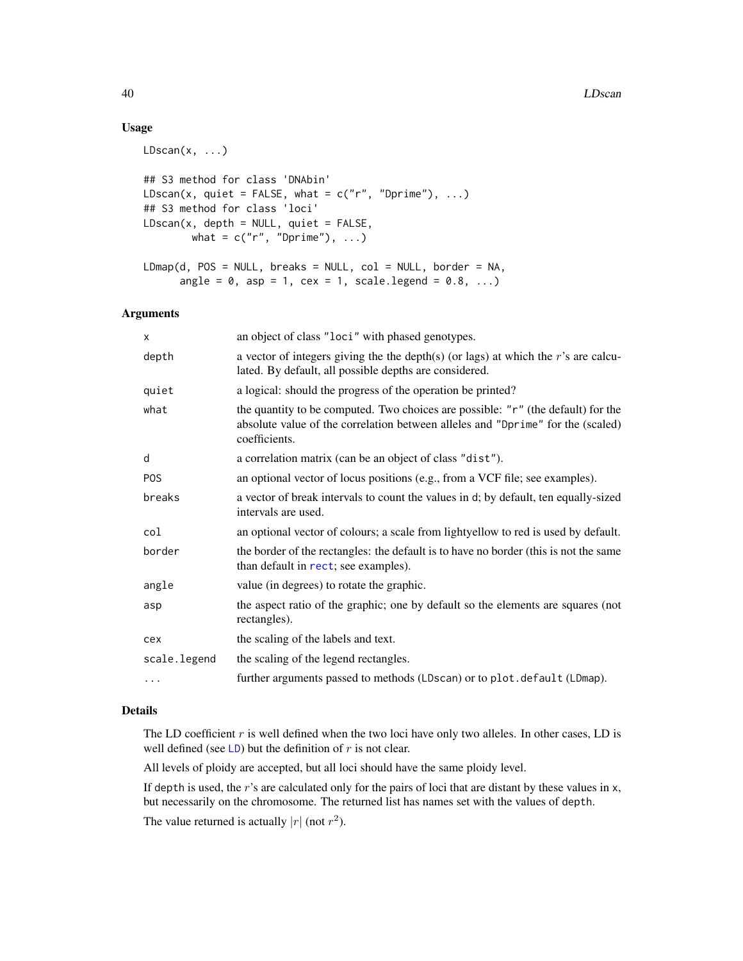# Usage

```
LDscan(x, ...)
```

```
## S3 method for class 'DNAbin'
LDscan(x, quiet = FALSE, what = c("r", "Dprime"), ...)
## S3 method for class 'loci'
LDScan(x, depth = NULL, quite = FALSE,what = c("r", "Dprime"), ...)LDmap(d, POS = NULL, breaks = NULL, col = NULL, border = NA,
      angle = 0, asp = 1, cex = 1, scale.legend = 0.8, ...)
```
## Arguments

| X            | an object of class "loci" with phased genotypes.                                                                                                                                     |
|--------------|--------------------------------------------------------------------------------------------------------------------------------------------------------------------------------------|
| depth        | a vector of integers giving the the depth(s) (or lags) at which the r's are calcu-<br>lated. By default, all possible depths are considered.                                         |
| quiet        | a logical: should the progress of the operation be printed?                                                                                                                          |
| what         | the quantity to be computed. Two choices are possible: "r" (the default) for the<br>absolute value of the correlation between alleles and "Dprime" for the (scaled)<br>coefficients. |
| d            | a correlation matrix (can be an object of class "dist").                                                                                                                             |
| <b>POS</b>   | an optional vector of locus positions (e.g., from a VCF file; see examples).                                                                                                         |
| breaks       | a vector of break intervals to count the values in d; by default, ten equally-sized<br>intervals are used.                                                                           |
| col          | an optional vector of colours; a scale from lightyellow to red is used by default.                                                                                                   |
| border       | the border of the rectangles: the default is to have no border (this is not the same<br>than default in rect; see examples).                                                         |
| angle        | value (in degrees) to rotate the graphic.                                                                                                                                            |
| asp          | the aspect ratio of the graphic; one by default so the elements are squares (not<br>rectangles).                                                                                     |
| cex          | the scaling of the labels and text.                                                                                                                                                  |
| scale.legend | the scaling of the legend rectangles.                                                                                                                                                |
| .            | further arguments passed to methods (LDscan) or to plot.default (LDmap).                                                                                                             |

## Details

The LD coefficient  $r$  is well defined when the two loci have only two alleles. In other cases, LD is well defined (see [LD](#page-37-0)) but the definition of  $r$  is not clear.

All levels of ploidy are accepted, but all loci should have the same ploidy level.

If depth is used, the  $r$ 's are calculated only for the pairs of loci that are distant by these values in  $x$ , but necessarily on the chromosome. The returned list has names set with the values of depth. The value returned is actually  $|r|$  (not  $r^2$ ).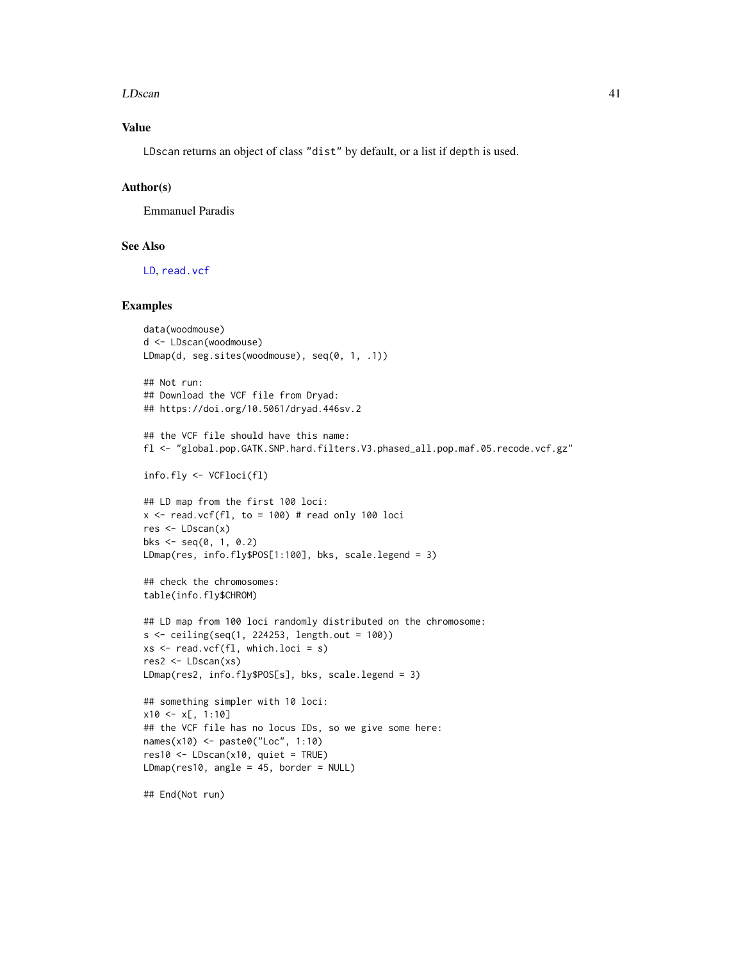#### LDscan 41

# Value

LDscan returns an object of class "dist" by default, or a list if depth is used.

# Author(s)

Emmanuel Paradis

## See Also

[LD](#page-37-0), [read.vcf](#page-53-0)

```
data(woodmouse)
d <- LDscan(woodmouse)
LDmap(d, seg.sites(woodmouse), seq(0, 1, .1))
## Not run:
## Download the VCF file from Dryad:
## https://doi.org/10.5061/dryad.446sv.2
## the VCF file should have this name:
fl <- "global.pop.GATK.SNP.hard.filters.V3.phased_all.pop.maf.05.recode.vcf.gz"
info.fly <- VCFloci(fl)
## LD map from the first 100 loci:
x \le read.vcf(fl, to = 100) # read only 100 loci
res <- LDscan(x)
bks \leq - seq(0, 1, 0.2)
LDmap(res, info.fly$POS[1:100], bks, scale.legend = 3)
## check the chromosomes:
table(info.fly$CHROM)
## LD map from 100 loci randomly distributed on the chromosome:
s <- ceiling(seq(1, 224253, length.out = 100))
xs < - read.vcf(f1, which.loci = s)res2 <- LDscan(xs)
LDmap(res2, info.fly$POS[s], bks, scale.legend = 3)
## something simpler with 10 loci:
x10 < -x[, 1:10]## the VCF file has no locus IDs, so we give some here:
names(x10) <- paste0("Loc", 1:10)
res10 <- LDscan(x10, quiet = TRUE)
LDmap(res10, angle = 45, border = NULL)
```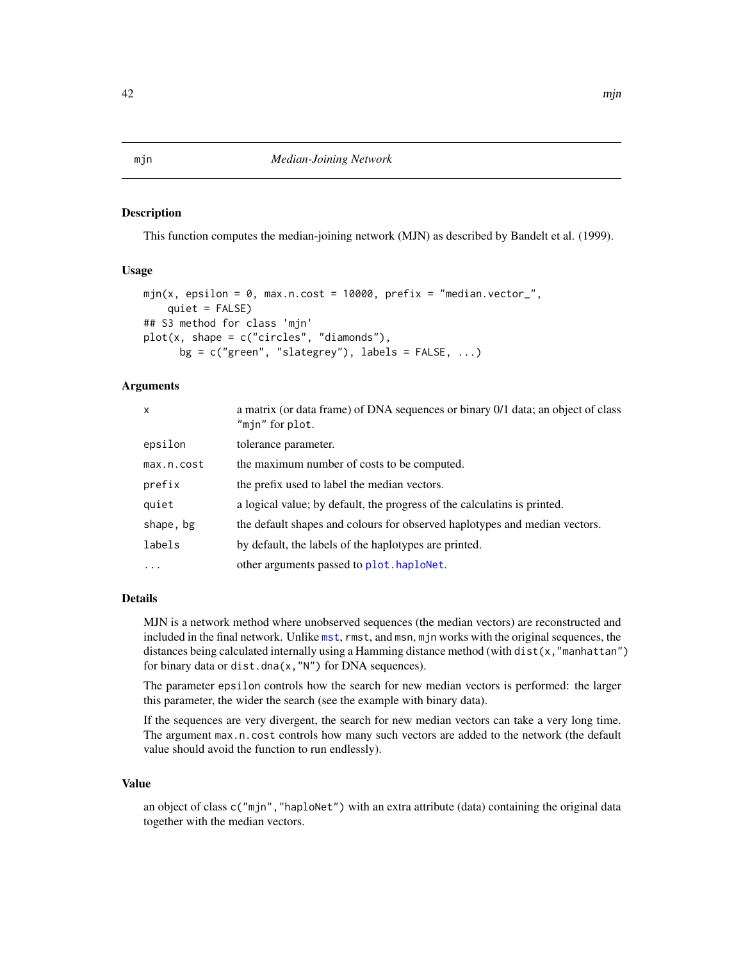## <span id="page-41-0"></span>Description

This function computes the median-joining network (MJN) as described by Bandelt et al. (1999).

#### Usage

```
mjn(x, epsilon = 0, max.n.cost = 10000, prefix = 'median.vector_",quiet = FALSE)
## S3 method for class 'mjn'
plot(x, shape = c("circles", "diamond,"),
     bg = c("green", "slategy"), labels = FALSE, ...)
```
## Arguments

| $\mathsf{x}$ | a matrix (or data frame) of DNA sequences or binary 0/1 data; an object of class<br>"min" for plot. |
|--------------|-----------------------------------------------------------------------------------------------------|
| epsilon      | tolerance parameter.                                                                                |
| max.n.cost   | the maximum number of costs to be computed.                                                         |
| prefix       | the prefix used to label the median vectors.                                                        |
| quiet        | a logical value; by default, the progress of the calculatins is printed.                            |
| shape, bg    | the default shapes and colours for observed haplotypes and median vectors.                          |
| labels       | by default, the labels of the haplotypes are printed.                                               |
| .            | other arguments passed to plot.haploNet.                                                            |

## Details

MJN is a network method where unobserved sequences (the median vectors) are reconstructed and included in the final network. Unlike [mst](#page-44-0), rmst, and msn, mjn works with the original sequences, the distances being calculated internally using a Hamming distance method (with dist(x,"manhattan") for binary data or dist.dna(x,"N") for DNA sequences).

The parameter epsilon controls how the search for new median vectors is performed: the larger this parameter, the wider the search (see the example with binary data).

If the sequences are very divergent, the search for new median vectors can take a very long time. The argument max.n.cost controls how many such vectors are added to the network (the default value should avoid the function to run endlessly).

# Value

an object of class c("mjn", "haploNet") with an extra attribute (data) containing the original data together with the median vectors.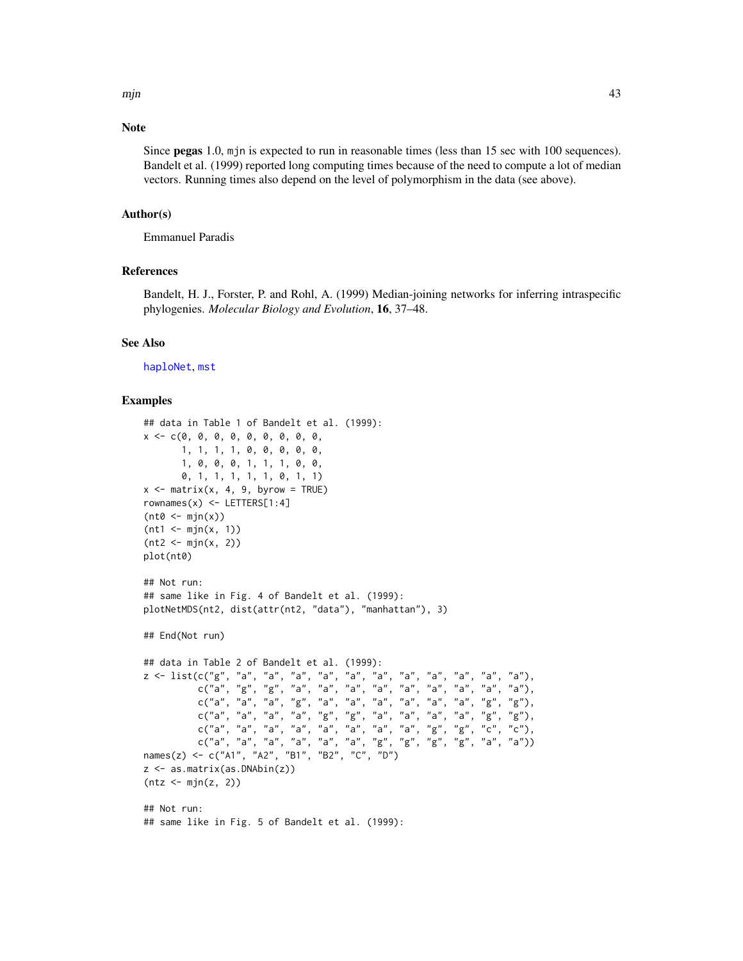mjn 43

# Note

Since pegas 1.0, mjn is expected to run in reasonable times (less than 15 sec with 100 sequences). Bandelt et al. (1999) reported long computing times because of the need to compute a lot of median vectors. Running times also depend on the level of polymorphism in the data (see above).

# Author(s)

Emmanuel Paradis

# References

Bandelt, H. J., Forster, P. and Rohl, A. (1999) Median-joining networks for inferring intraspecific phylogenies. *Molecular Biology and Evolution*, 16, 37–48.

#### See Also

[haploNet](#page-26-1), [mst](#page-44-0)

```
## data in Table 1 of Bandelt et al. (1999):
x \leq -c(0, 0, 0, 0, 0, 0, 0, 0, 0, 0, 0, 0, 0)1, 1, 1, 1, 0, 0, 0, 0, 0,
       1, 0, 0, 0, 1, 1, 1, 0, 0,
       0, 1, 1, 1, 1, 1, 0, 1, 1)
x \le - matrix(x, 4, 9, byrow = TRUE)
rownames(x) \leq LETTERS[1:4](nt0 < - min(x))(nt1 <- mjn(x, 1))
(nt2 < - min(x, 2))plot(nt0)
## Not run:
## same like in Fig. 4 of Bandelt et al. (1999):
plotNetMDS(nt2, dist(attr(nt2, "data"), "manhattan"), 3)
## End(Not run)
## data in Table 2 of Bandelt et al. (1999):
z <- list(c("g", "a", "a", "a", "a", "a", "a", "a", "a", "a", "a", "a"),
          c("a", "g", "g", "a", "a", "a", "a", "a", "a", "a", "a", "a"),
          c("a", "a", "a", "g", "a", "a", "a", "a", "a", "a", "g", "g"),
          c("a", "a", "a", "a", "g", "g", "a", "a", "a", "a", "g", "g"),
          c("a", "a", "a", "a", "a", "a", "a", "a", "g", "g", "c", "c"),
          c("a", "a", "a", "a", "a", "a", "a", "g", "g", "g", "g", "g", "a", "a"})names(z) <- c("A1", "A2", "B1", "B2", "C", "D")
z <- as.matrix(as.DNAbin(z))
(ntz < -mjn(z, 2))## Not run:
## same like in Fig. 5 of Bandelt et al. (1999):
```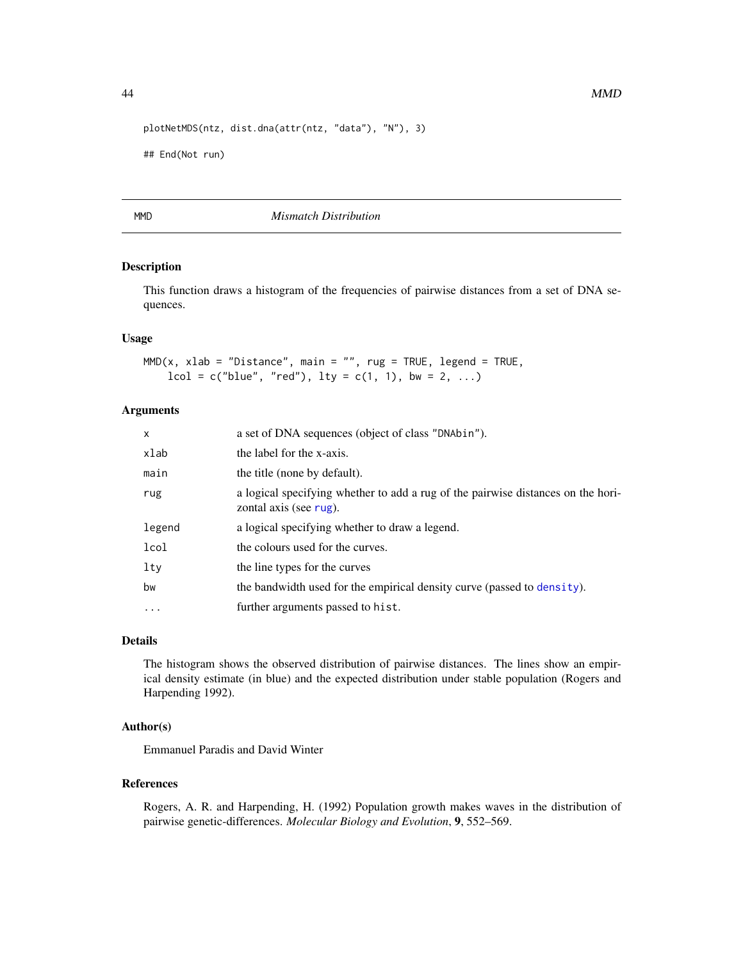```
plotNetMDS(ntz, dist.dna(attr(ntz, "data"), "N"), 3)
```
## End(Not run)

## MMD *Mismatch Distribution*

# Description

This function draws a histogram of the frequencies of pairwise distances from a set of DNA sequences.

#### Usage

 $MMD(x, xlab = "Distance", main = "", rug = TRUE, legend = TRUE,$  $lcol = c("blue", "red"), lty = c(1, 1), bw = 2, ...)$ 

## Arguments

| x        | a set of DNA sequences (object of class "DNAbin").                                                         |
|----------|------------------------------------------------------------------------------------------------------------|
| xlab     | the label for the x-axis.                                                                                  |
| main     | the title (none by default).                                                                               |
| rug      | a logical specifying whether to add a rug of the pairwise distances on the hori-<br>zontal axis (see rug). |
| legend   | a logical specifying whether to draw a legend.                                                             |
| lcol     | the colours used for the curves.                                                                           |
| lty      | the line types for the curves                                                                              |
| bw       | the bandwidth used for the empirical density curve (passed to density).                                    |
| $\ddots$ | further arguments passed to hist.                                                                          |

# Details

The histogram shows the observed distribution of pairwise distances. The lines show an empirical density estimate (in blue) and the expected distribution under stable population (Rogers and Harpending 1992).

# Author(s)

Emmanuel Paradis and David Winter

#### References

Rogers, A. R. and Harpending, H. (1992) Population growth makes waves in the distribution of pairwise genetic-differences. *Molecular Biology and Evolution*, 9, 552–569.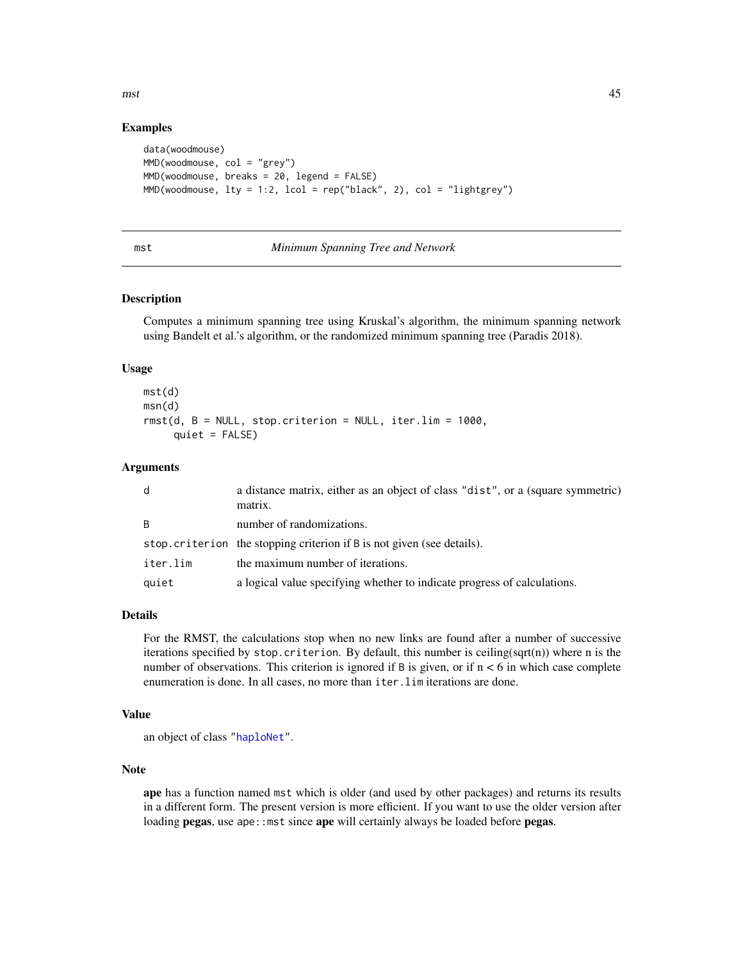$mst$  45

# Examples

```
data(woodmouse)
MMD(woodmouse, col = "grey")MMD(woodmouse, breaks = 20, legend = FALSE)
MMD(woodmouse, lty = 1:2, lcol = rep("black", 2), col = "lightgrey")
```
#### <span id="page-44-0"></span>mst *Minimum Spanning Tree and Network*

# Description

Computes a minimum spanning tree using Kruskal's algorithm, the minimum spanning network using Bandelt et al.'s algorithm, or the randomized minimum spanning tree (Paradis 2018).

## Usage

```
mst(d)
msn(d)
rmst(d, B = NULL, stop.criterion = NULL, iter.lim = 1000,
     quiet = FALSE)
```
# Arguments

| d            | a distance matrix, either as an object of class "dist", or a (square symmetric)<br>matrix. |
|--------------|--------------------------------------------------------------------------------------------|
| <sub>R</sub> | number of randomizations.                                                                  |
|              | stop.criterion the stopping criterion if B is not given (see details).                     |
| iter.lim     | the maximum number of iterations.                                                          |
| quiet        | a logical value specifying whether to indicate progress of calculations.                   |

# Details

For the RMST, the calculations stop when no new links are found after a number of successive iterations specified by stop.criterion. By default, this number is ceiling(sqrt(n)) where n is the number of observations. This criterion is ignored if  $B$  is given, or if  $n < 6$  in which case complete enumeration is done. In all cases, no more than iter.lim iterations are done.

#### Value

```
an object of class "haploNet".
```
# Note

ape has a function named mst which is older (and used by other packages) and returns its results in a different form. The present version is more efficient. If you want to use the older version after loading pegas, use ape:: mst since ape will certainly always be loaded before pegas.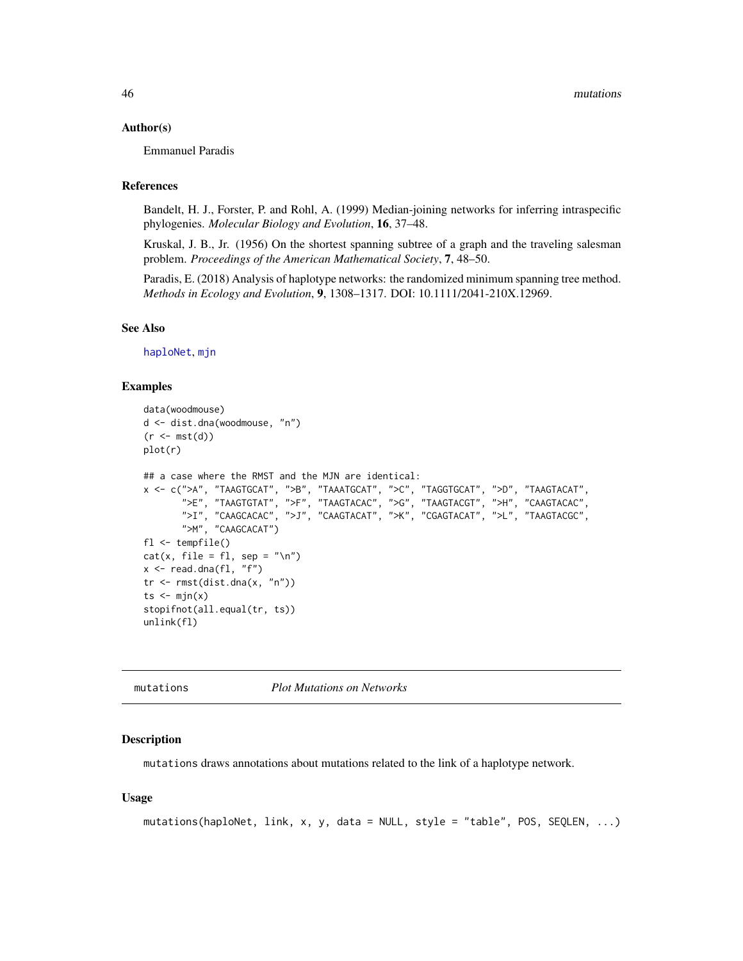### Author(s)

Emmanuel Paradis

# References

Bandelt, H. J., Forster, P. and Rohl, A. (1999) Median-joining networks for inferring intraspecific phylogenies. *Molecular Biology and Evolution*, 16, 37–48.

Kruskal, J. B., Jr. (1956) On the shortest spanning subtree of a graph and the traveling salesman problem. *Proceedings of the American Mathematical Society*, 7, 48–50.

Paradis, E. (2018) Analysis of haplotype networks: the randomized minimum spanning tree method. *Methods in Ecology and Evolution*, 9, 1308–1317. DOI: 10.1111/2041-210X.12969.

#### See Also

[haploNet](#page-26-1), [mjn](#page-41-0)

## Examples

```
data(woodmouse)
d <- dist.dna(woodmouse, "n")
(r < -mst(d))plot(r)
## a case where the RMST and the MJN are identical:
x <- c(">A", "TAAGTGCAT", ">B", "TAAATGCAT", ">C", "TAGGTGCAT", ">D", "TAAGTACAT",
       ">E", "TAAGTGTAT", ">F", "TAAGTACAC", ">G", "TAAGTACGT", ">H", "CAAGTACAC",
       ">I", "CAAGCACAC", ">J", "CAAGTACAT", ">K", "CGAGTACAT", ">L", "TAAGTACGC",
       ">M", "CAAGCACAT")
fl <- tempfile()
cat(x, file = f1, sep = "\n")x \leftarrow \text{read.dna}(f1, "f")tr < -rmst(dist.dna(x, "n"))
ts \leftarrow mjn(x)stopifnot(all.equal(tr, ts))
unlink(fl)
```
mutations *Plot Mutations on Networks*

#### Description

mutations draws annotations about mutations related to the link of a haplotype network.

## Usage

```
mutations(haploNet, link, x, y, data = NULL, style = "table", POS, SEQLEN, ...)
```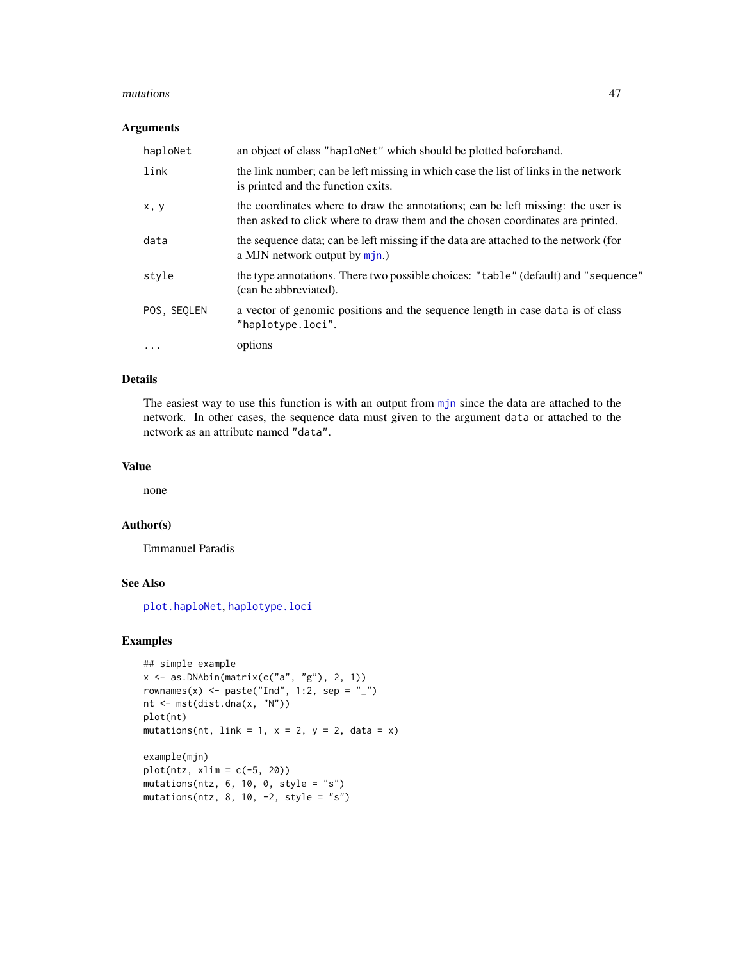#### mutations and the contract of the contract of the contract of the contract of the contract of the contract of the contract of the contract of the contract of the contract of the contract of the contract of the contract of

# Arguments

| haploNet    | an object of class "haplonet" which should be plotted beforehand.                                                                                                 |
|-------------|-------------------------------------------------------------------------------------------------------------------------------------------------------------------|
| link        | the link number; can be left missing in which case the list of links in the network<br>is printed and the function exits.                                         |
| x, y        | the coordinates where to draw the annotations; can be left missing: the user is<br>then asked to click where to draw them and the chosen coordinates are printed. |
| data        | the sequence data; can be left missing if the data are attached to the network (for<br>a MJN network output by $mj$ n.)                                           |
| style       | the type annotations. There two possible choices: "table" (default) and "sequence"<br>(can be abbreviated).                                                       |
| POS, SEQLEN | a vector of genomic positions and the sequence length in case data is of class<br>"haplotype.loci".                                                               |
| $\cdots$    | options                                                                                                                                                           |

# Details

The easiest way to use this function is with an output from [mjn](#page-41-0) since the data are attached to the network. In other cases, the sequence data must given to the argument data or attached to the network as an attribute named "data".

## Value

none

## Author(s)

Emmanuel Paradis

## See Also

[plot.haploNet](#page-26-0), [haplotype.loci](#page-32-0)

```
## simple example
x \leftarrow as.DNAbin(matrix(c("a", "g"), 2, 1))rownames(x) <- paste("Ind", 1:2, sep = "_")
nt <- mst(dist.dna(x, "N"))
plot(nt)
mutations(nt, link = 1, x = 2, y = 2, data = x)
example(mjn)
plot(ntz, xlim = c(-5, 20))
mutations(ntz, 6, 10, 0, style = "s")mutations(ntz, 8, 10, -2, style = "s")
```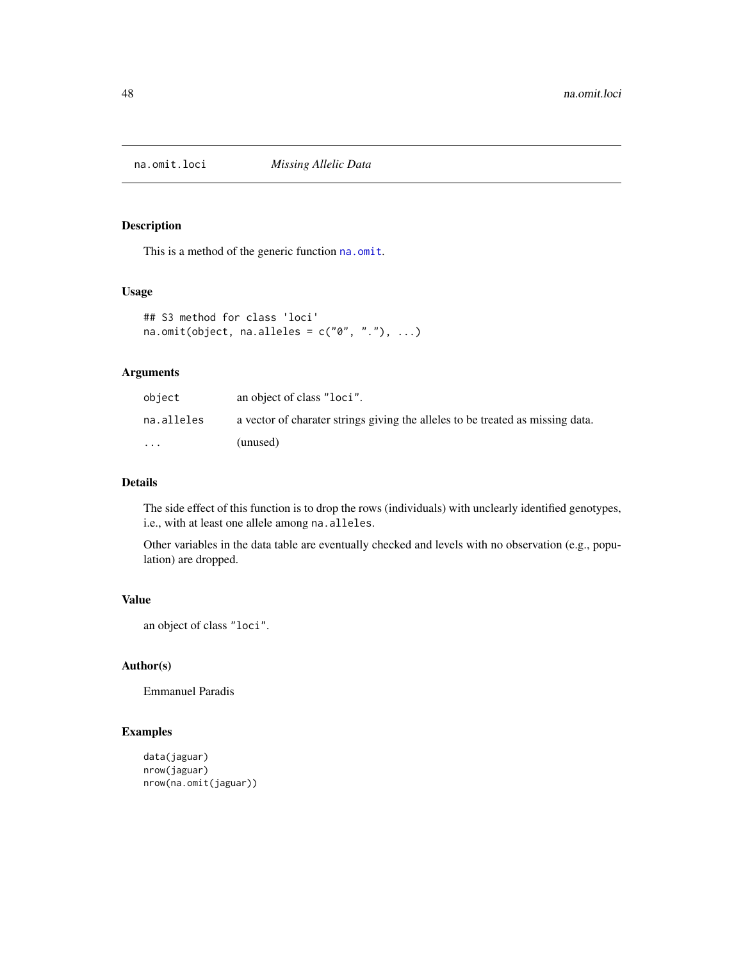# Description

This is a method of the generic function [na.omit](#page-0-0).

#### Usage

```
## S3 method for class 'loci'
na.omit(object, na.alleles = c("0", ".^"), ...)
```
# Arguments

| obiect     | an object of class "loci".                                                     |
|------------|--------------------------------------------------------------------------------|
| na.alleles | a vector of charater strings giving the alleles to be treated as missing data. |
| $\cdots$   | (unused)                                                                       |

# Details

The side effect of this function is to drop the rows (individuals) with unclearly identified genotypes, i.e., with at least one allele among na.alleles.

Other variables in the data table are eventually checked and levels with no observation (e.g., population) are dropped.

# Value

```
an object of class "loci".
```
## Author(s)

Emmanuel Paradis

```
data(jaguar)
nrow(jaguar)
nrow(na.omit(jaguar))
```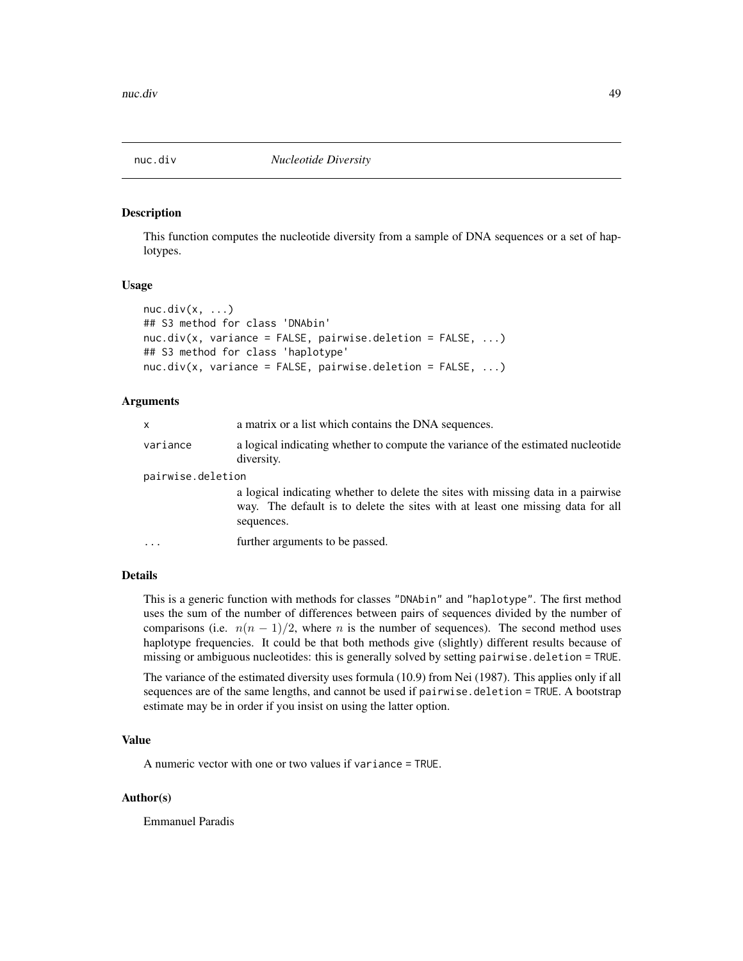<span id="page-48-0"></span>

# Description

This function computes the nucleotide diversity from a sample of DNA sequences or a set of haplotypes.

## Usage

```
nuc.div(x, \ldots)## S3 method for class 'DNAbin'
nuc.div(x, variance = FALSE, pairwise.deletion = FALSE, ...)## S3 method for class 'haplotype'
nuc.div(x, variance = FALSE, pairwise.deletion = FALSE, ...)
```
## Arguments

| x                 | a matrix or a list which contains the DNA sequences.                                                                                                                             |  |
|-------------------|----------------------------------------------------------------------------------------------------------------------------------------------------------------------------------|--|
| variance          | a logical indicating whether to compute the variance of the estimated nucleotide<br>diversity.                                                                                   |  |
| pairwise.deletion |                                                                                                                                                                                  |  |
|                   | a logical indicating whether to delete the sites with missing data in a pairwise<br>way. The default is to delete the sites with at least one missing data for all<br>sequences. |  |
| .                 | further arguments to be passed.                                                                                                                                                  |  |
|                   |                                                                                                                                                                                  |  |

# Details

This is a generic function with methods for classes "DNAbin" and "haplotype". The first method uses the sum of the number of differences between pairs of sequences divided by the number of comparisons (i.e.  $n(n - 1)/2$ , where n is the number of sequences). The second method uses haplotype frequencies. It could be that both methods give (slightly) different results because of missing or ambiguous nucleotides: this is generally solved by setting pairwise.deletion = TRUE.

The variance of the estimated diversity uses formula (10.9) from Nei (1987). This applies only if all sequences are of the same lengths, and cannot be used if pairwise.deletion = TRUE. A bootstrap estimate may be in order if you insist on using the latter option.

# Value

A numeric vector with one or two values if variance = TRUE.

# Author(s)

Emmanuel Paradis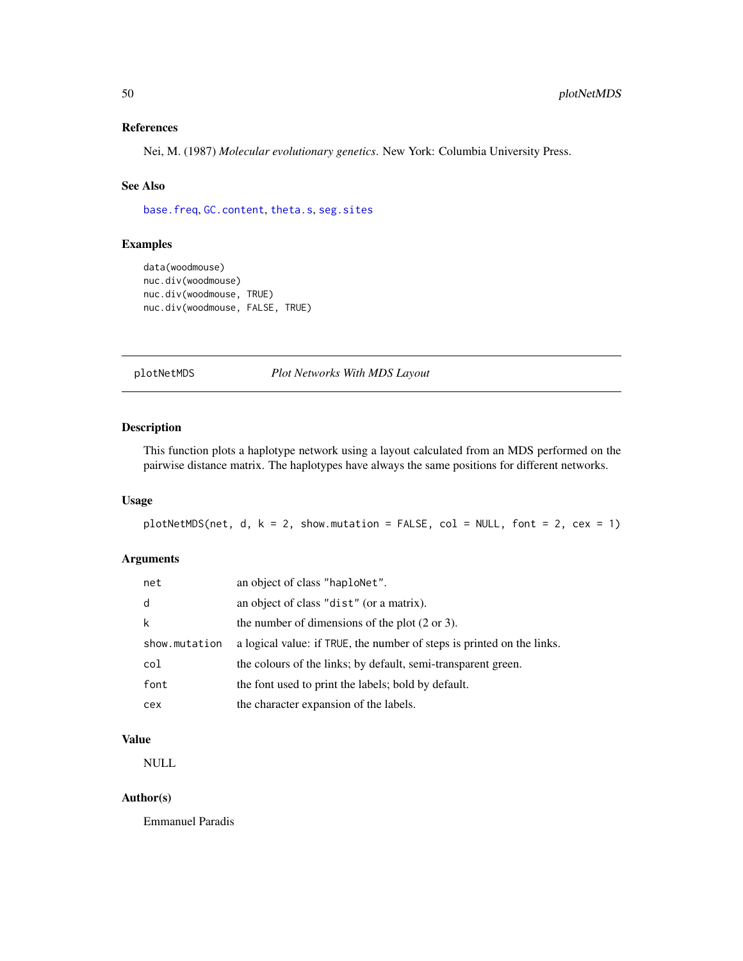# References

Nei, M. (1987) *Molecular evolutionary genetics*. New York: Columbia University Press.

# See Also

[base.freq](#page-0-0), [GC.content](#page-0-0), [theta.s](#page-70-0), [seg.sites](#page-0-0)

# Examples

```
data(woodmouse)
nuc.div(woodmouse)
nuc.div(woodmouse, TRUE)
nuc.div(woodmouse, FALSE, TRUE)
```
plotNetMDS *Plot Networks With MDS Layout*

# Description

This function plots a haplotype network using a layout calculated from an MDS performed on the pairwise distance matrix. The haplotypes have always the same positions for different networks.

# Usage

```
plotNetMDS(net, d, k = 2, show.mutation = FALSE, col = NULL, font = 2, cex = 1)
```
# Arguments

| net           | an object of class "haploNet".                                         |
|---------------|------------------------------------------------------------------------|
| d             | an object of class "dist" (or a matrix).                               |
| k             | the number of dimensions of the plot $(2 \text{ or } 3)$ .             |
| show.mutation | a logical value: if TRUE, the number of steps is printed on the links. |
| col           | the colours of the links; by default, semi-transparent green.          |
| font          | the font used to print the labels; bold by default.                    |
| cex           | the character expansion of the labels.                                 |

# Value

NULL

## Author(s)

Emmanuel Paradis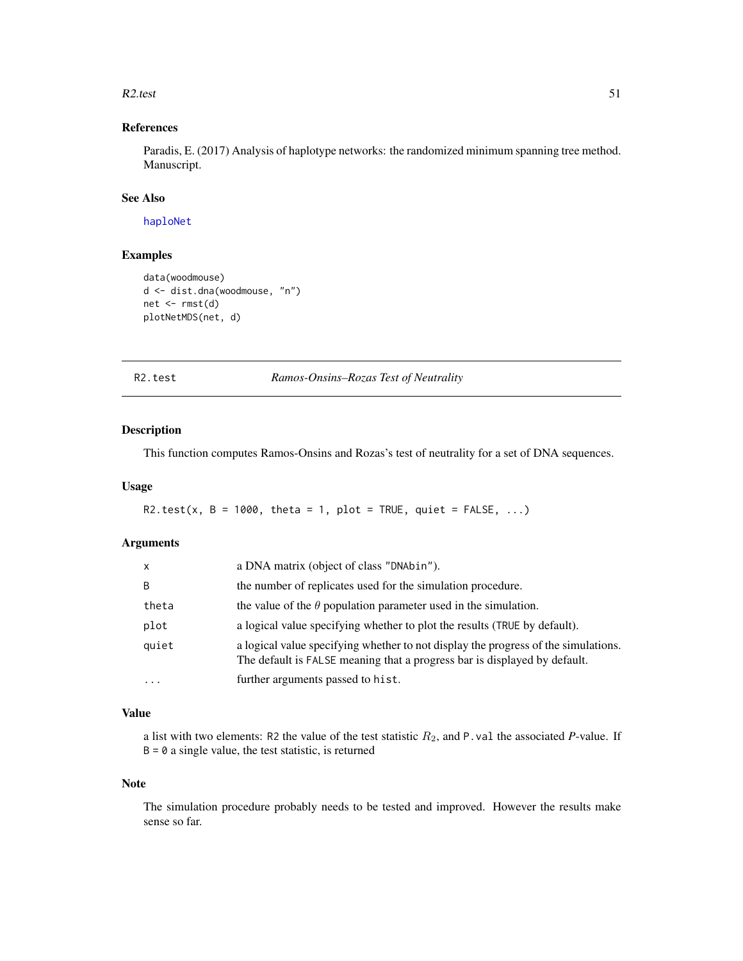#### $R2.test$  51

# References

Paradis, E. (2017) Analysis of haplotype networks: the randomized minimum spanning tree method. Manuscript.

## See Also

[haploNet](#page-26-1)

# Examples

```
data(woodmouse)
d <- dist.dna(woodmouse, "n")
net < -rmst(d)plotNetMDS(net, d)
```
R2.test *Ramos-Onsins–Rozas Test of Neutrality*

# Description

This function computes Ramos-Onsins and Rozas's test of neutrality for a set of DNA sequences.

# Usage

```
R2.test(x, B = 1000, theta = 1, plot = TRUE, quiet = FALSE, ...)
```
# Arguments

| $\mathsf{x}$ | a DNA matrix (object of class "DNAbin").                                                                                                                        |
|--------------|-----------------------------------------------------------------------------------------------------------------------------------------------------------------|
| B            | the number of replicates used for the simulation procedure.                                                                                                     |
| theta        | the value of the $\theta$ population parameter used in the simulation.                                                                                          |
| plot         | a logical value specifying whether to plot the results (TRUE by default).                                                                                       |
| quiet        | a logical value specifying whether to not display the progress of the simulations.<br>The default is FALSE meaning that a progress bar is displayed by default. |
| $\cdots$     | further arguments passed to hist.                                                                                                                               |

# Value

a list with two elements: R2 the value of the test statistic  $R_2$ , and P.val the associated *P*-value. If  $B = 0$  a single value, the test statistic, is returned

## Note

The simulation procedure probably needs to be tested and improved. However the results make sense so far.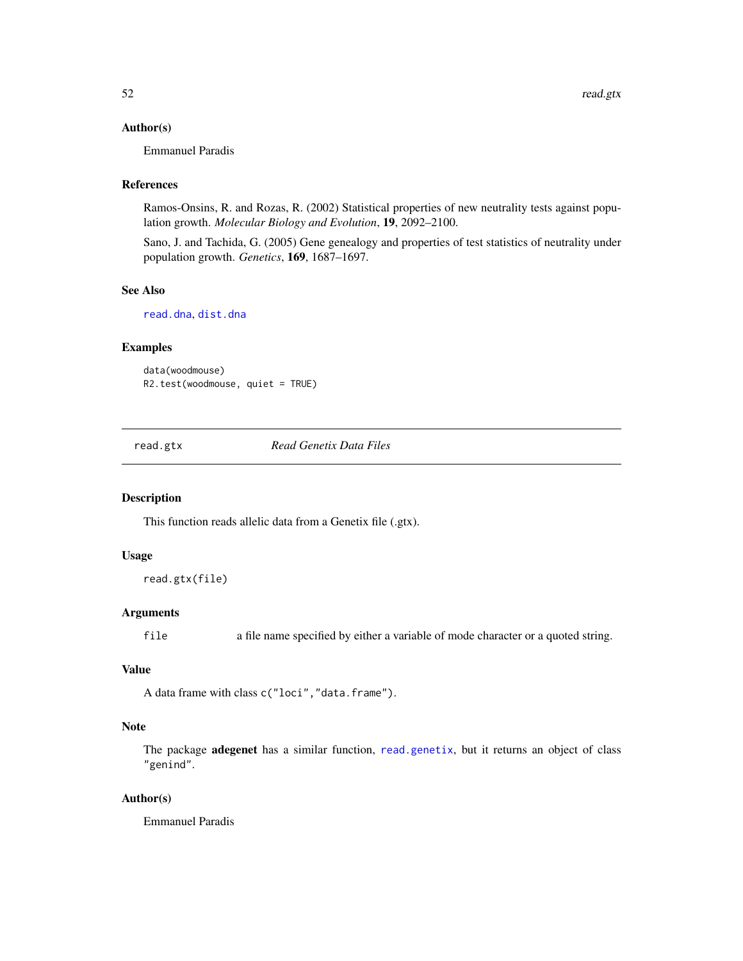## Author(s)

Emmanuel Paradis

## References

Ramos-Onsins, R. and Rozas, R. (2002) Statistical properties of new neutrality tests against population growth. *Molecular Biology and Evolution*, 19, 2092–2100.

Sano, J. and Tachida, G. (2005) Gene genealogy and properties of test statistics of neutrality under population growth. *Genetics*, 169, 1687–1697.

#### See Also

[read.dna](#page-0-0), [dist.dna](#page-0-0)

# Examples

data(woodmouse) R2.test(woodmouse, quiet = TRUE)

<span id="page-51-0"></span>read.gtx *Read Genetix Data Files*

#### Description

This function reads allelic data from a Genetix file (.gtx).

#### Usage

```
read.gtx(file)
```
## Arguments

file a file name specified by either a variable of mode character or a quoted string.

#### Value

```
A data frame with class c("loci","data.frame").
```
## Note

The package **adegenet** has a similar function, [read.genetix](#page-0-0), but it returns an object of class "genind".

## Author(s)

Emmanuel Paradis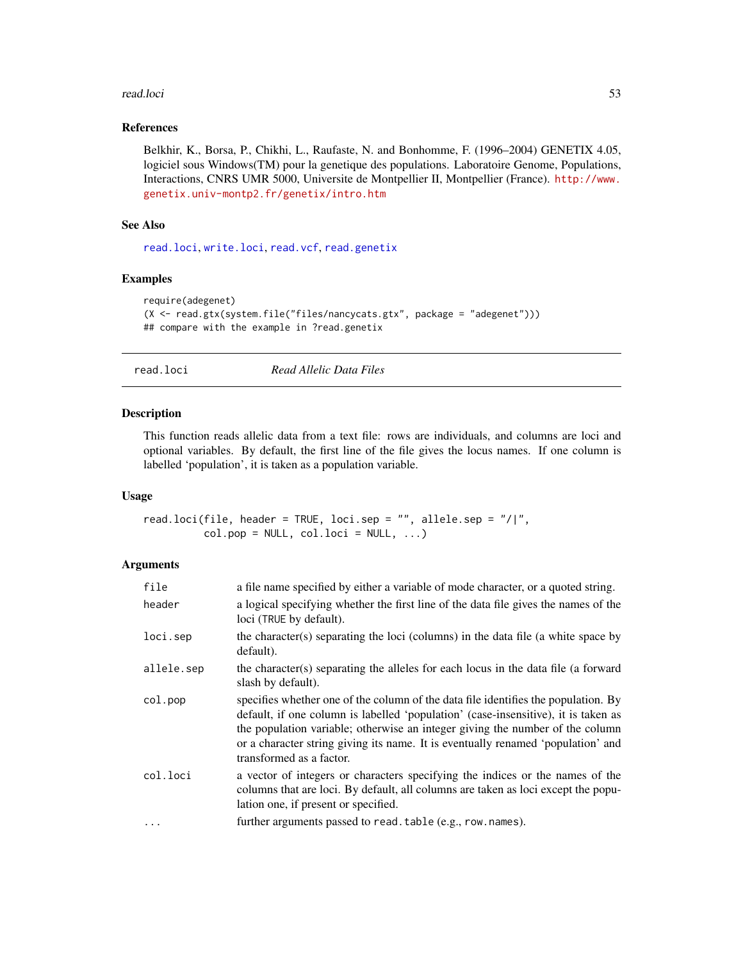#### read.loci 53

## References

Belkhir, K., Borsa, P., Chikhi, L., Raufaste, N. and Bonhomme, F. (1996–2004) GENETIX 4.05, logiciel sous Windows(TM) pour la genetique des populations. Laboratoire Genome, Populations, Interactions, CNRS UMR 5000, Universite de Montpellier II, Montpellier (France). [http://www.](http://www.genetix.univ-montp2.fr/genetix/intro.htm) [genetix.univ-montp2.fr/genetix/intro.htm](http://www.genetix.univ-montp2.fr/genetix/intro.htm)

# See Also

[read.loci](#page-52-1), [write.loci](#page-77-0), [read.vcf](#page-53-0), [read.genetix](#page-0-0)

# Examples

```
require(adegenet)
(X <- read.gtx(system.file("files/nancycats.gtx", package = "adegenet")))
## compare with the example in ?read.genetix
```
<span id="page-52-1"></span>read.loci *Read Allelic Data Files*

# <span id="page-52-0"></span>Description

This function reads allelic data from a text file: rows are individuals, and columns are loci and optional variables. By default, the first line of the file gives the locus names. If one column is labelled 'population', it is taken as a population variable.

#### Usage

read.loci(file, header = TRUE, loci.sep = "", allele.sep = "/|",  $col.pop = NULL, col.loci = NULL, ...)$ 

# Arguments

| file       | a file name specified by either a variable of mode character, or a quoted string.                                                                                                                                                                                                                                                                                         |
|------------|---------------------------------------------------------------------------------------------------------------------------------------------------------------------------------------------------------------------------------------------------------------------------------------------------------------------------------------------------------------------------|
| header     | a logical specifying whether the first line of the data file gives the names of the<br>loci (TRUE by default).                                                                                                                                                                                                                                                            |
| loci.sep   | the character(s) separating the loci (columns) in the data file (a white space by<br>default).                                                                                                                                                                                                                                                                            |
| allele.sep | the character(s) separating the alleles for each locus in the data file (a forward<br>slash by default).                                                                                                                                                                                                                                                                  |
| col.pop    | specifies whether one of the column of the data file identifies the population. By<br>default, if one column is labelled 'population' (case-insensitive), it is taken as<br>the population variable; otherwise an integer giving the number of the column<br>or a character string giving its name. It is eventually renamed 'population' and<br>transformed as a factor. |
| col.loci   | a vector of integers or characters specifying the indices or the names of the<br>columns that are loci. By default, all columns are taken as loci except the popu-<br>lation one, if present or specified.                                                                                                                                                                |
| $\ddotsc$  | further arguments passed to read. table (e.g., row. names).                                                                                                                                                                                                                                                                                                               |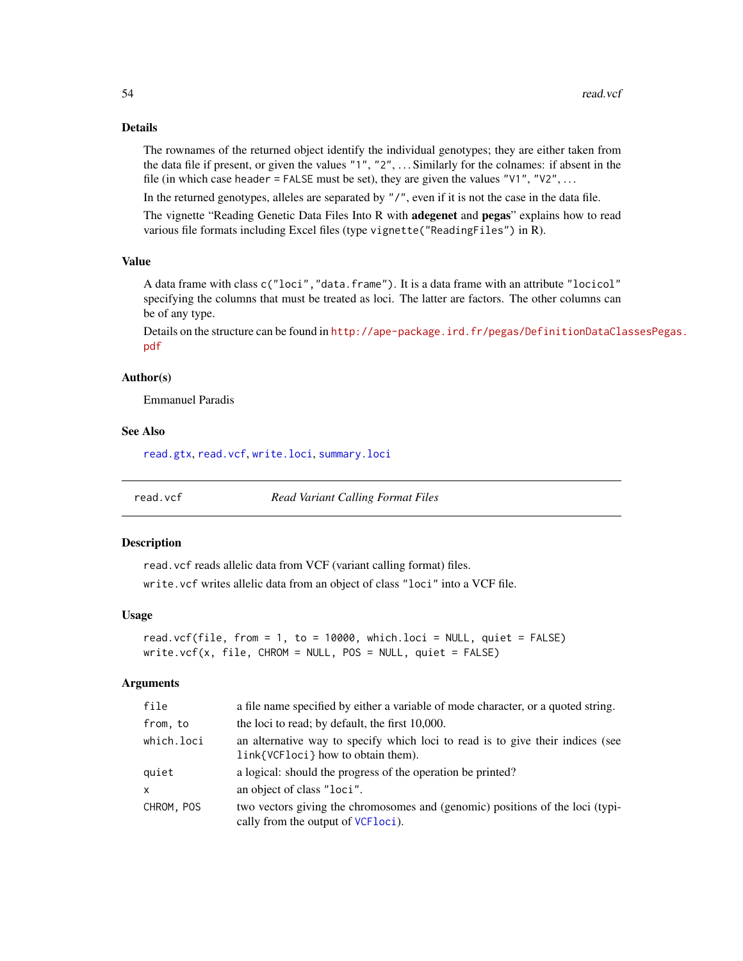# Details

The rownames of the returned object identify the individual genotypes; they are either taken from the data file if present, or given the values "1", "2", . . . Similarly for the colnames: if absent in the file (in which case header = FALSE must be set), they are given the values " $V1$ ", " $V2$ ", ...

In the returned genotypes, alleles are separated by "/", even if it is not the case in the data file.

The vignette "Reading Genetic Data Files Into R with **adegenet** and **pegas**" explains how to read various file formats including Excel files (type vignette("ReadingFiles") in R).

#### Value

A data frame with class c("loci", "data.frame"). It is a data frame with an attribute "locicol" specifying the columns that must be treated as loci. The latter are factors. The other columns can be of any type.

Details on the structure can be found in [http://ape-package.ird.fr/pegas/DefinitionDataCla](http://ape-package.ird.fr/pegas/DefinitionDataClassesPegas.pdf)ssesPegas. [pdf](http://ape-package.ird.fr/pegas/DefinitionDataClassesPegas.pdf)

#### Author(s)

Emmanuel Paradis

### See Also

[read.gtx](#page-51-0), [read.vcf](#page-53-0), [write.loci](#page-77-0), [summary.loci](#page-62-0)

<span id="page-53-0"></span>

read.vcf *Read Variant Calling Format Files*

#### Description

read.vcf reads allelic data from VCF (variant calling format) files.

write.vcf writes allelic data from an object of class "loci" into a VCF file.

## Usage

```
read.vcf(file, from = 1, to = 10000, which.loci = NULL, quiet = FALSE)
write.vcf(x, file, CHROM = NULL, POS = NULL, quite = FALSE)
```
#### **Arguments**

| file       | a file name specified by either a variable of mode character, or a quoted string.                                           |  |
|------------|-----------------------------------------------------------------------------------------------------------------------------|--|
| from, to   | the loci to read; by default, the first 10,000.                                                                             |  |
| which.loci | an alternative way to specify which loci to read is to give their indices (see<br>link{VCFloci} how to obtain them).        |  |
| quiet      | a logical: should the progress of the operation be printed?                                                                 |  |
| X          | an object of class "loci".                                                                                                  |  |
| CHROM, POS | two vectors giving the chromosomes and (genomic) positions of the loci (typi-<br>cally from the output of <i>VCF</i> loci). |  |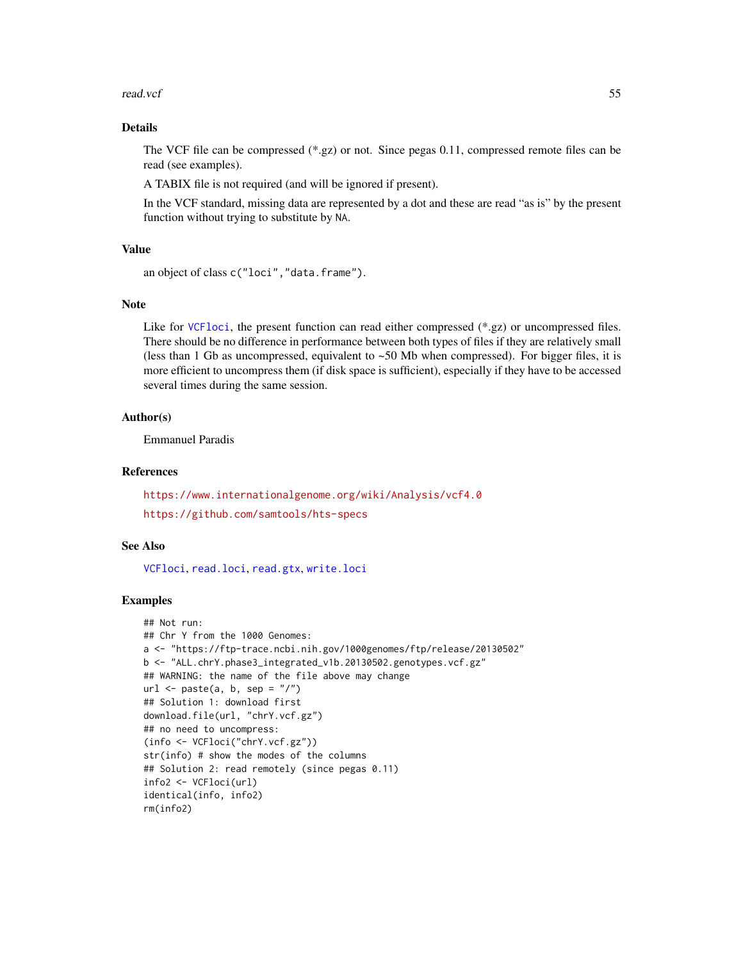#### read.vcf 55

# Details

The VCF file can be compressed (\*.gz) or not. Since pegas 0.11, compressed remote files can be read (see examples).

A TABIX file is not required (and will be ignored if present).

In the VCF standard, missing data are represented by a dot and these are read "as is" by the present function without trying to substitute by NA.

## Value

```
an object of class c("loci", "data.frame").
```
# Note

Like for VCF1oci, the present function can read either compressed (\*.gz) or uncompressed files. There should be no difference in performance between both types of files if they are relatively small (less than 1 Gb as uncompressed, equivalent to  $~50$  Mb when compressed). For bigger files, it is more efficient to uncompress them (if disk space is sufficient), especially if they have to be accessed several times during the same session.

# Author(s)

Emmanuel Paradis

#### References

<https://www.internationalgenome.org/wiki/Analysis/vcf4.0> <https://github.com/samtools/hts-specs>

## See Also

[VCFloci](#page-75-0), [read.loci](#page-52-1), [read.gtx](#page-51-0), [write.loci](#page-77-0)

```
## Not run:
## Chr Y from the 1000 Genomes:
a <- "https://ftp-trace.ncbi.nih.gov/1000genomes/ftp/release/20130502"
b <- "ALL.chrY.phase3_integrated_v1b.20130502.genotypes.vcf.gz"
## WARNING: the name of the file above may change
url \leq paste(a, b, sep = ''/")
## Solution 1: download first
download.file(url, "chrY.vcf.gz")
## no need to uncompress:
(info <- VCFloci("chrY.vcf.gz"))
str(info) # show the modes of the columns
## Solution 2: read remotely (since pegas 0.11)
info2 <- VCFloci(url)
identical(info, info2)
rm(info2)
```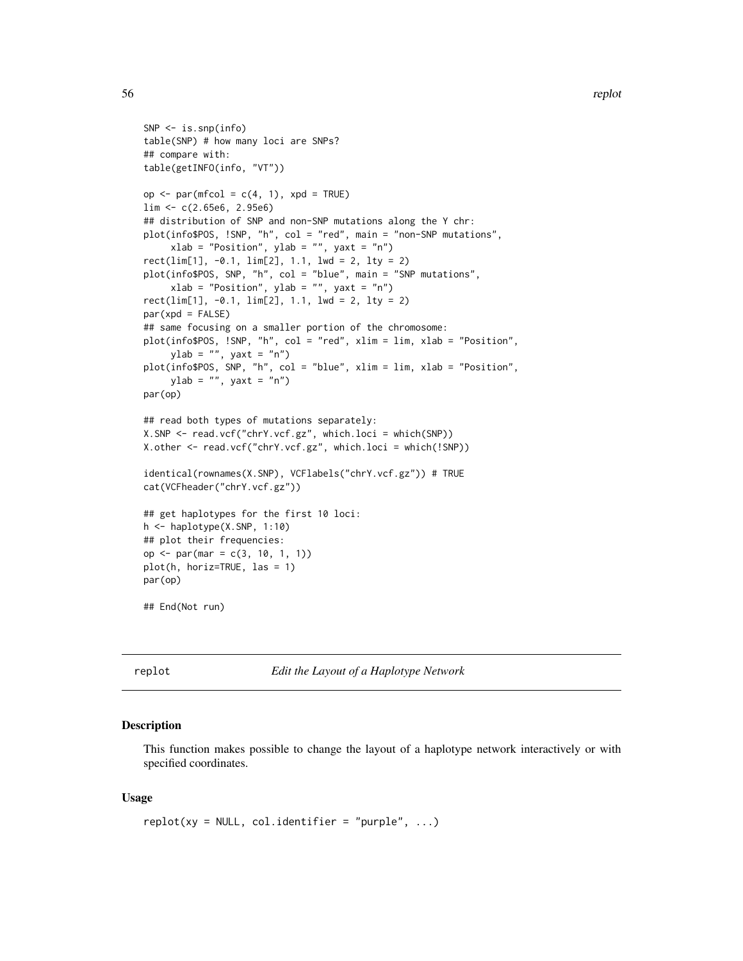```
SNP <- is.snp(info)
table(SNP) # how many loci are SNPs?
## compare with:
table(getINFO(info, "VT"))
op \leq par(mfcol = c(4, 1), xpd = TRUE)
lim <- c(2.65e6, 2.95e6)
## distribution of SNP and non-SNP mutations along the Y chr:
plot(info$POS, !SNP, "h", col = "red", main = "non-SNP mutations",
     xlab = "Position", ylab = "", yaxt = "n")rect(\text{lim}[1], -0.1, \text{lim}[2], 1.1, \text{1wd} = 2, \text{1ty} = 2)plot(info$POS, SNP, "h", col = "blue", main = "SNP mutations",
     xlab = "Position", ylab = "", yaxt = "n")rect(\text{lim}[1], -0.1, \text{lim}[2], 1.1, \text{1wd} = 2, \text{1ty} = 2)par(xpd = FALSE)## same focusing on a smaller portion of the chromosome:
plot(info$POS, !SNP, "h", col = "red", xlim = lim, xlab = "Position",
     ylab = "", yaxt = "n")plot(info$POS, SNP, "h", col = "blue", xlim = lim, xlab = "Position",
    ylab = "", yaxt = "n")par(op)
## read both types of mutations separately:
X.SNP <- read.vcf("chrY.vcf.gz", which.loci = which(SNP))
X.other <- read.vcf("chrY.vcf.gz", which.loci = which(!SNP))
identical(rownames(X.SNP), VCFlabels("chrY.vcf.gz")) # TRUE
cat(VCFheader("chrY.vcf.gz"))
## get haplotypes for the first 10 loci:
h <- haplotype(X.SNP, 1:10)
## plot their frequencies:
op <- par(mar = c(3, 10, 1, 1))
plot(h, horiz=TRUE, las = 1)
par(op)
## End(Not run)
```
replot *Edit the Layout of a Haplotype Network*

## Description

This function makes possible to change the layout of a haplotype network interactively or with specified coordinates.

## Usage

```
replot(xy = NULL, col.identifier = "purple", ...)
```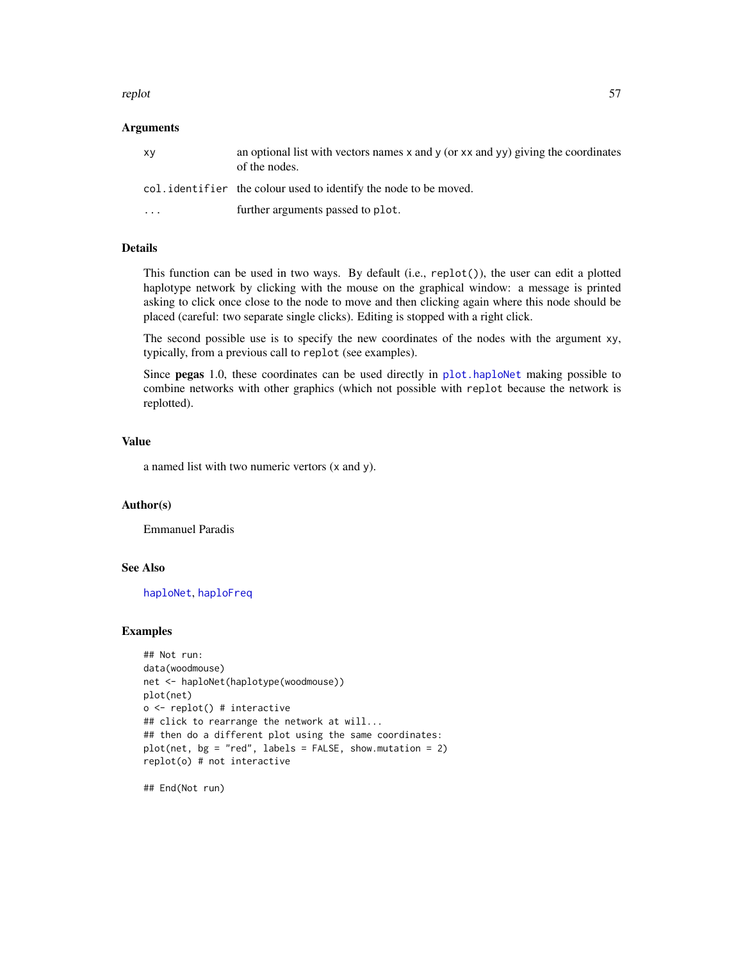#### replot 57

## Arguments

| XV        | an optional list with vectors names $x$ and $y$ (or $xx$ and $yy$ ) giving the coordinates<br>of the nodes. |
|-----------|-------------------------------------------------------------------------------------------------------------|
|           | col. identifier the colour used to identify the node to be moved.                                           |
| $\ddotsc$ | further arguments passed to plot.                                                                           |

# Details

This function can be used in two ways. By default (i.e., replot()), the user can edit a plotted haplotype network by clicking with the mouse on the graphical window: a message is printed asking to click once close to the node to move and then clicking again where this node should be placed (careful: two separate single clicks). Editing is stopped with a right click.

The second possible use is to specify the new coordinates of the nodes with the argument xy, typically, from a previous call to replot (see examples).

Since pegas 1.0, these coordinates can be used directly in [plot.haploNet](#page-26-0) making possible to combine networks with other graphics (which not possible with replot because the network is replotted).

# Value

a named list with two numeric vertors (x and y).

#### Author(s)

Emmanuel Paradis

## See Also

[haploNet](#page-26-1), [haploFreq](#page-24-0)

#### Examples

```
## Not run:
data(woodmouse)
net <- haploNet(haplotype(woodmouse))
plot(net)
o <- replot() # interactive
## click to rearrange the network at will...
## then do a different plot using the same coordinates:
plot(net, bg = "red", labels = FALSE, show.mutation = 2)replot(o) # not interactive
```
## End(Not run)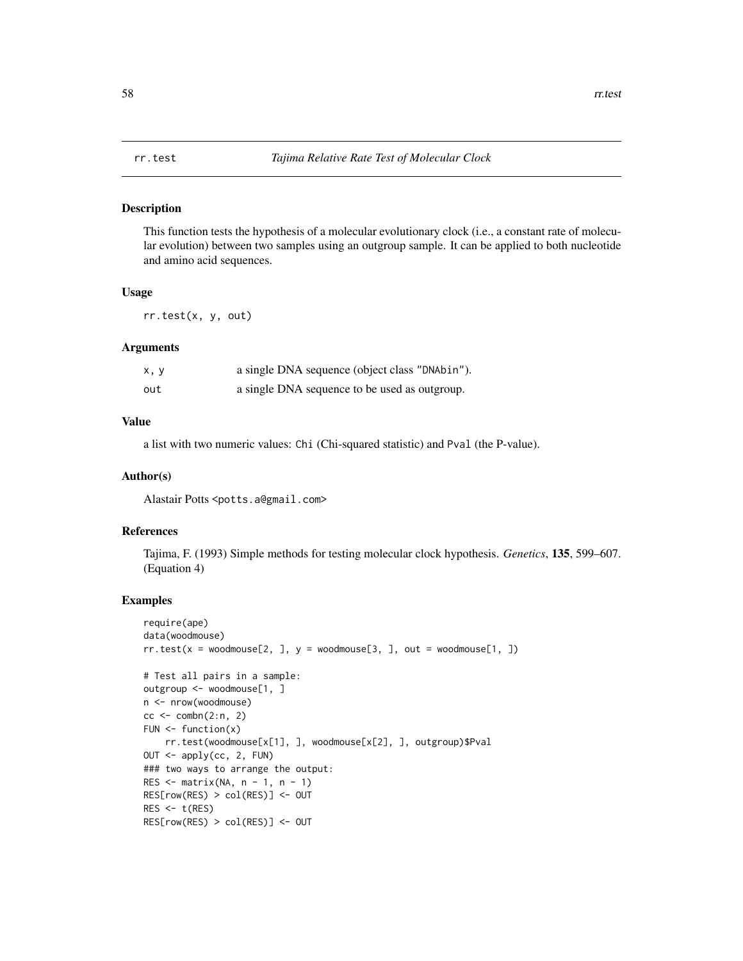#### Description

This function tests the hypothesis of a molecular evolutionary clock (i.e., a constant rate of molecular evolution) between two samples using an outgroup sample. It can be applied to both nucleotide and amino acid sequences.

# Usage

rr.test(x, y, out)

# Arguments

| x, y | a single DNA sequence (object class "DNAbin"). |
|------|------------------------------------------------|
| out  | a single DNA sequence to be used as outgroup.  |

# Value

a list with two numeric values: Chi (Chi-squared statistic) and Pval (the P-value).

#### Author(s)

Alastair Potts <potts.a@gmail.com>

#### References

Tajima, F. (1993) Simple methods for testing molecular clock hypothesis. *Genetics*, 135, 599–607. (Equation 4)

```
require(ape)
data(woodmouse)
rr.test(x = woodmouse[2, ], y = woodmouse[3, ], out = woodmouse[1, ])# Test all pairs in a sample:
outgroup <- woodmouse[1, ]
n <- nrow(woodmouse)
cc < - combn(2:n, 2)FUN \leq function(x)
    rr.test(woodmouse[x[1], ], woodmouse[x[2], ], outgroup)$Pval
OUT <- apply(cc, 2, FUN)
### two ways to arrange the output:
RES \leq matrix(NA, n - 1, n - 1)
RES[row(RES) > col(RES)] <- OUT
RES < -t(RES)RES[row(RES) > col(RES)] <- OUT
```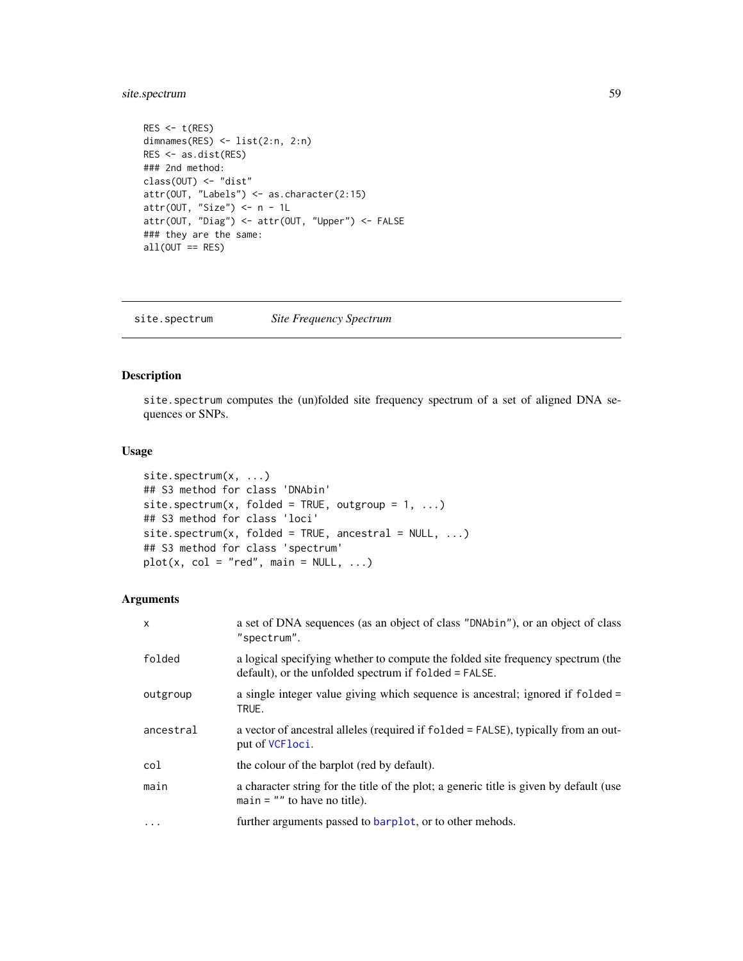# site.spectrum 59

```
RES < -t(RES)dimnames(RES) <- list(2:n, 2:n)
RES <- as.dist(RES)
### 2nd method:
class(OUT) <- "dist"
attr(OUT, "Labels") <- as.character(2:15)
attr(OUT, "Size") \leq -n - 1L
attr(OUT, "Diag") <- attr(OUT, "Upper") <- FALSE
### they are the same:
all(OUT == RES)
```
<span id="page-58-0"></span>site.spectrum *Site Frequency Spectrum*

# Description

site.spectrum computes the (un)folded site frequency spectrum of a set of aligned DNA sequences or SNPs.

#### Usage

```
site.spectrum(x, ...)
## S3 method for class 'DNAbin'
site.spectrum(x, folded = TRUE, outgroup = 1, ...)
## S3 method for class 'loci'
site.spectrum(x, folded = TRUE, ancestral = NULL, ...)## S3 method for class 'spectrum'
plot(x, col = "red", main = NULL, ...)
```
# Arguments

| $\mathsf{x}$ | a set of DNA sequences (as an object of class "DNAbin"), or an object of class<br>"spectrum".                                            |
|--------------|------------------------------------------------------------------------------------------------------------------------------------------|
| folded       | a logical specifying whether to compute the folded site frequency spectrum (the<br>default), or the unfolded spectrum if folded = FALSE. |
| outgroup     | a single integer value giving which sequence is ancestral; ignored if folded =<br>TRUE.                                                  |
| ancestral    | a vector of ancestral alleles (required if folded = FALSE), typically from an out-<br>put of VCF <sub>loci</sub> .                       |
| col          | the colour of the barplot (red by default).                                                                                              |
| main         | a character string for the title of the plot; a generic title is given by default (use<br>$main = ""$ to have no title).                 |
| $\cdot$      | further arguments passed to barplot, or to other mehods.                                                                                 |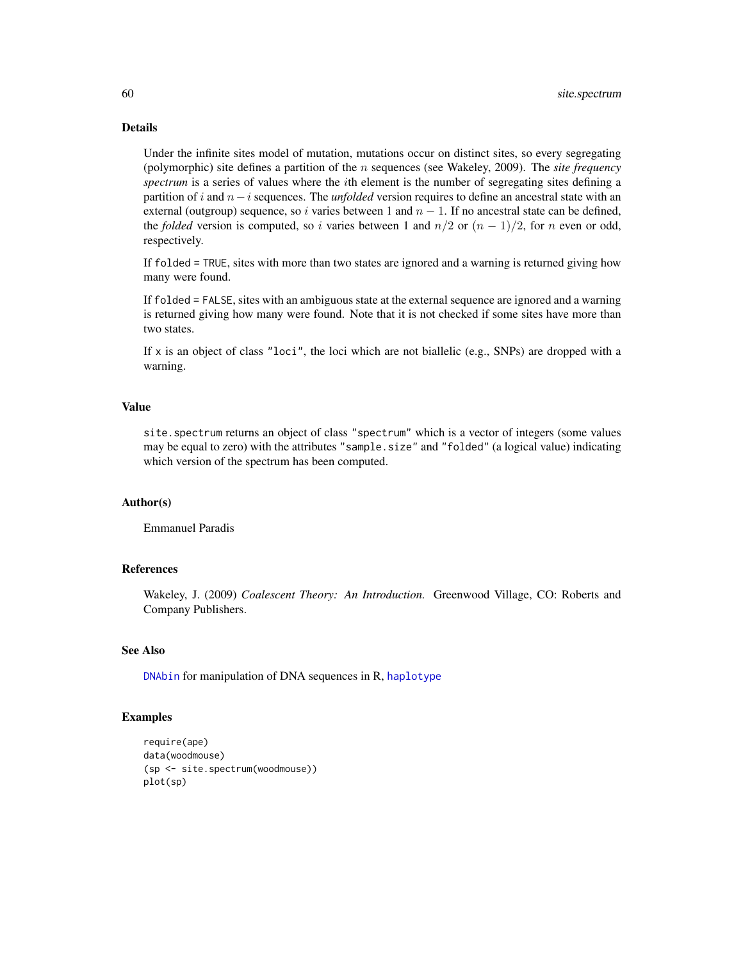# Details

Under the infinite sites model of mutation, mutations occur on distinct sites, so every segregating (polymorphic) site defines a partition of the n sequences (see Wakeley, 2009). The *site frequency spectrum* is a series of values where the ith element is the number of segregating sites defining a partition of i and n−i sequences. The *unfolded* version requires to define an ancestral state with an external (outgroup) sequence, so i varies between 1 and  $n - 1$ . If no ancestral state can be defined, the *folded* version is computed, so i varies between 1 and  $n/2$  or  $(n - 1)/2$ , for n even or odd, respectively.

If folded = TRUE, sites with more than two states are ignored and a warning is returned giving how many were found.

If folded = FALSE, sites with an ambiguous state at the external sequence are ignored and a warning is returned giving how many were found. Note that it is not checked if some sites have more than two states.

If x is an object of class "loci", the loci which are not biallelic (e.g., SNPs) are dropped with a warning.

#### Value

site.spectrum returns an object of class "spectrum" which is a vector of integers (some values may be equal to zero) with the attributes "sample.size" and "folded" (a logical value) indicating which version of the spectrum has been computed.

#### Author(s)

Emmanuel Paradis

#### References

Wakeley, J. (2009) *Coalescent Theory: An Introduction.* Greenwood Village, CO: Roberts and Company Publishers.

#### See Also

[DNAbin](#page-0-0) for manipulation of DNA sequences in R, [haplotype](#page-29-0)

```
require(ape)
data(woodmouse)
(sp <- site.spectrum(woodmouse))
plot(sp)
```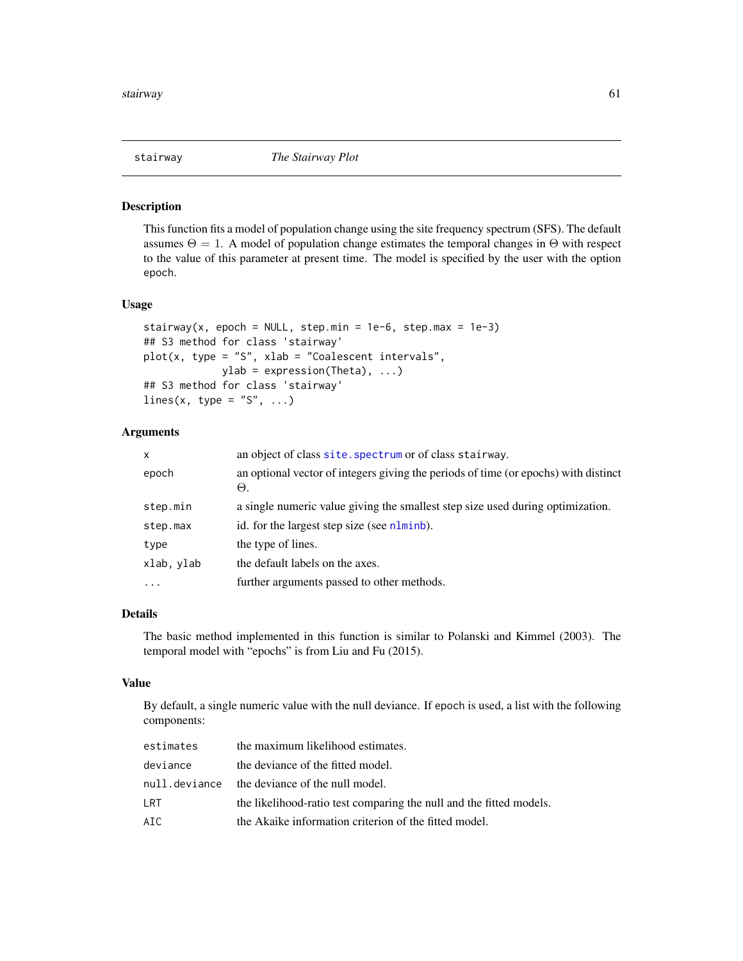# Description

This function fits a model of population change using the site frequency spectrum (SFS). The default assumes  $\Theta = 1$ . A model of population change estimates the temporal changes in  $\Theta$  with respect to the value of this parameter at present time. The model is specified by the user with the option epoch.

## Usage

```
stairway(x, epoch = NULL, step.min = 1e-6, step.max = 1e-3)
## S3 method for class 'stairway'
plot(x, type = "S", xlab = "Coalescent intervals",ylab = expression(Theta), ...)
## S3 method for class 'stairway'
lines(x, type = "S", \ldots)
```
# Arguments

| $\mathsf{x}$ | an object of class site. spectrum or of class stairway.                                   |
|--------------|-------------------------------------------------------------------------------------------|
| epoch        | an optional vector of integers giving the periods of time (or epochs) with distinct<br>Θ. |
| step.min     | a single numeric value giving the smallest step size used during optimization.            |
| step.max     | id. for the largest step size (see nlminb).                                               |
| type         | the type of lines.                                                                        |
| xlab, ylab   | the default labels on the axes.                                                           |
| $\ddotsc$    | further arguments passed to other methods.                                                |

# Details

The basic method implemented in this function is similar to Polanski and Kimmel (2003). The temporal model with "epochs" is from Liu and Fu (2015).

#### Value

By default, a single numeric value with the null deviance. If epoch is used, a list with the following components:

| estimates     | the maximum likelihood estimates.                                   |
|---------------|---------------------------------------------------------------------|
| deviance      | the deviance of the fitted model.                                   |
| null.deviance | the deviance of the null model.                                     |
| LRT           | the likelihood-ratio test comparing the null and the fitted models. |
| AIC.          | the Akaike information criterion of the fitted model.               |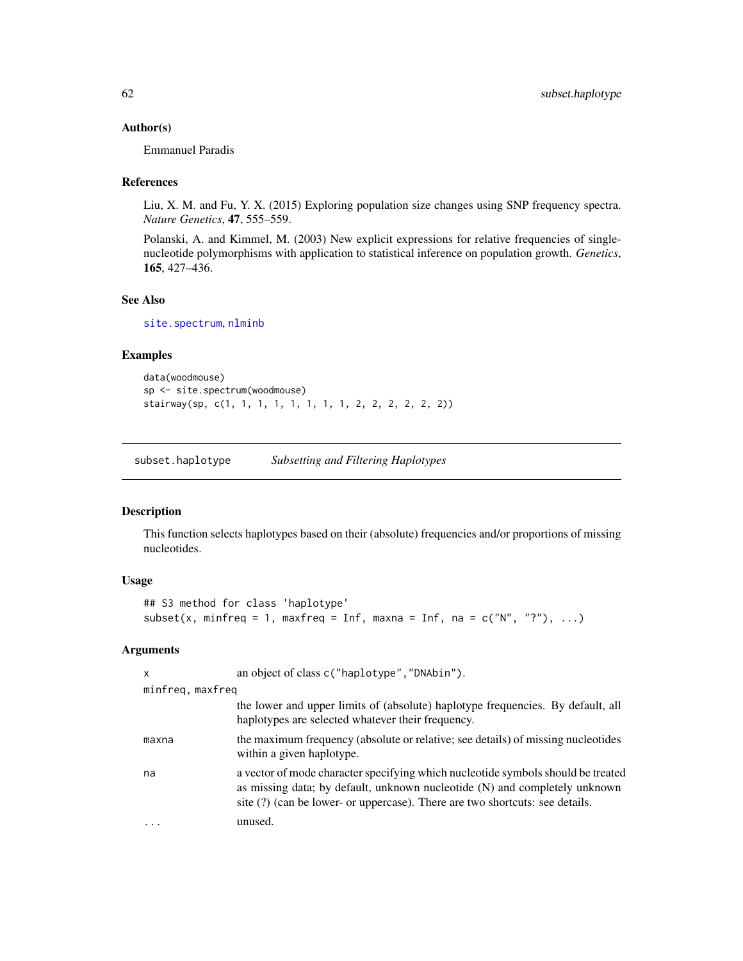### Author(s)

Emmanuel Paradis

#### References

Liu, X. M. and Fu, Y. X. (2015) Exploring population size changes using SNP frequency spectra. *Nature Genetics*, 47, 555–559.

Polanski, A. and Kimmel, M. (2003) New explicit expressions for relative frequencies of singlenucleotide polymorphisms with application to statistical inference on population growth. *Genetics*, 165, 427–436.

# See Also

[site.spectrum](#page-58-0), [nlminb](#page-0-0)

## Examples

```
data(woodmouse)
sp <- site.spectrum(woodmouse)
stairway(sp, c(1, 1, 1, 1, 1, 1, 1, 1, 2, 2, 2, 2, 2, 2))
```
subset.haplotype *Subsetting and Filtering Haplotypes*

# Description

This function selects haplotypes based on their (absolute) frequencies and/or proportions of missing nucleotides.

# Usage

```
## S3 method for class 'haplotype'
subset(x, minfreq = 1, maxfreq = Inf, maxna = Inf, na = c("N", "?"), ...)
```
## Arguments

| $\mathsf{x}$     | an object of class c("haplotype", "DNAbin").                                                                                                                                                                                                   |
|------------------|------------------------------------------------------------------------------------------------------------------------------------------------------------------------------------------------------------------------------------------------|
| minfreg, maxfreg |                                                                                                                                                                                                                                                |
|                  | the lower and upper limits of (absolute) haplotype frequencies. By default, all<br>haplotypes are selected whatever their frequency.                                                                                                           |
| maxna            | the maximum frequency (absolute or relative; see details) of missing nucleotides<br>within a given haplotype.                                                                                                                                  |
| na               | a vector of mode character specifying which nucleotide symbols should be treated<br>as missing data; by default, unknown nucleotide (N) and completely unknown<br>site (?) (can be lower- or uppercase). There are two shortcuts: see details. |
|                  | unused.                                                                                                                                                                                                                                        |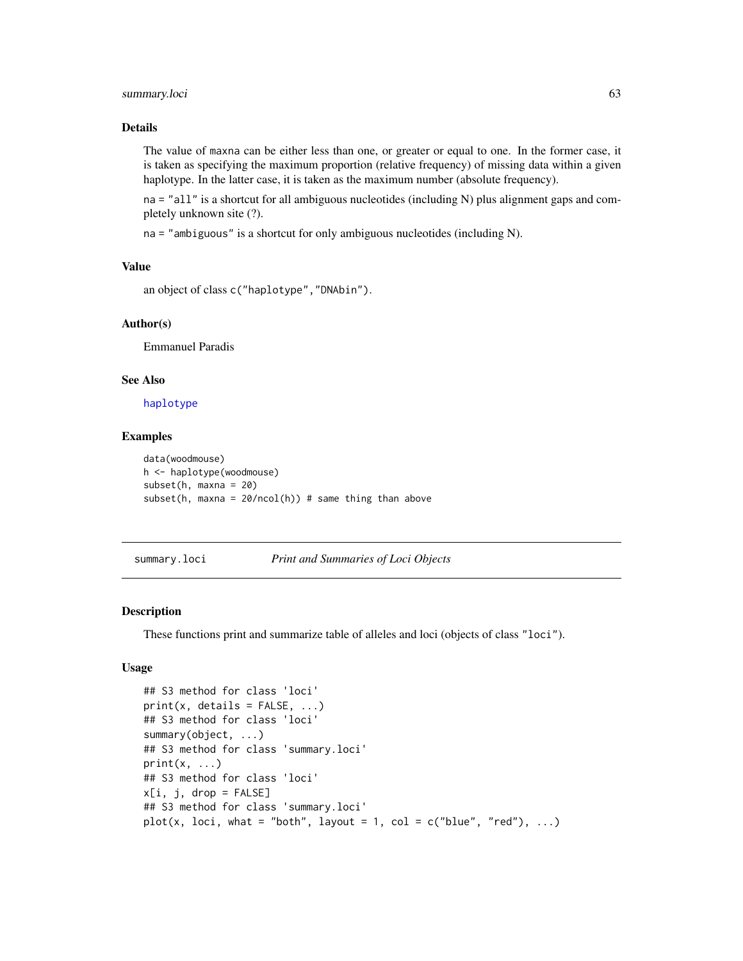## summary.loci 63

### Details

The value of maxna can be either less than one, or greater or equal to one. In the former case, it is taken as specifying the maximum proportion (relative frequency) of missing data within a given haplotype. In the latter case, it is taken as the maximum number (absolute frequency).

na = "all" is a shortcut for all ambiguous nucleotides (including N) plus alignment gaps and completely unknown site (?).

na = "ambiguous" is a shortcut for only ambiguous nucleotides (including N).

# Value

```
an object of class c("haplotype","DNAbin").
```
## Author(s)

Emmanuel Paradis

# See Also

[haplotype](#page-29-0)

#### Examples

```
data(woodmouse)
h <- haplotype(woodmouse)
subset(h, maxna = 20)
subset(h, maxna = 20/ncol(h)) # same thing than above
```
<span id="page-62-0"></span>summary.loci *Print and Summaries of Loci Objects*

## Description

These functions print and summarize table of alleles and loci (objects of class "loci").

# Usage

```
## S3 method for class 'loci'
print(x, details = FALSE, ...)## S3 method for class 'loci'
summary(object, ...)
## S3 method for class 'summary.loci'
print(x, \ldots)## S3 method for class 'loci'
x[i, j, drop = FALSE]## S3 method for class 'summary.loci'
plot(x, loci, what = "both", layout = 1, col = c("blue", "red"), ...)
```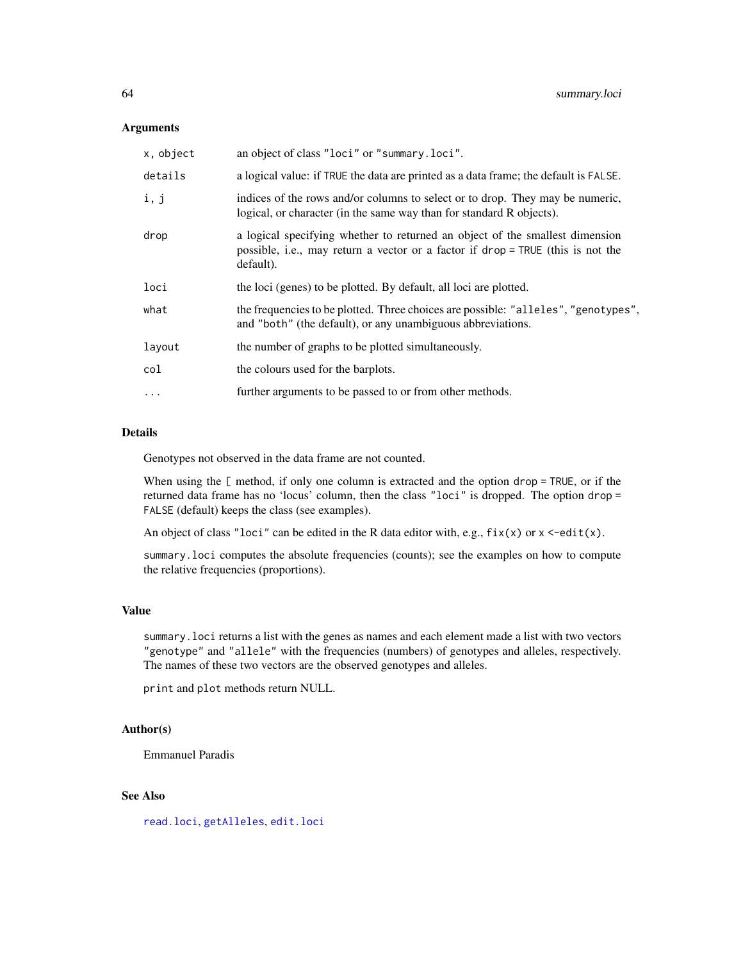### Arguments

| x, object | an object of class "loci" or "summary.loci".                                                                                                                                 |
|-----------|------------------------------------------------------------------------------------------------------------------------------------------------------------------------------|
| details   | a logical value: if TRUE the data are printed as a data frame; the default is FALSE.                                                                                         |
| i, j      | indices of the rows and/or columns to select or to drop. They may be numeric,<br>logical, or character (in the same way than for standard R objects).                        |
| drop      | a logical specifying whether to returned an object of the smallest dimension<br>possible, i.e., may return a vector or a factor if drop = TRUE (this is not the<br>default). |
| loci      | the loci (genes) to be plotted. By default, all loci are plotted.                                                                                                            |
| what      | the frequencies to be plotted. Three choices are possible: "alleles", "genotypes",<br>and "both" (the default), or any unambiguous abbreviations.                            |
| layout    | the number of graphs to be plotted simultaneously.                                                                                                                           |
| col       | the colours used for the barplots.                                                                                                                                           |
| $\cdots$  | further arguments to be passed to or from other methods.                                                                                                                     |
|           |                                                                                                                                                                              |

# Details

Genotypes not observed in the data frame are not counted.

When using the [ method, if only one column is extracted and the option drop = TRUE, or if the returned data frame has no 'locus' column, then the class "loci" is dropped. The option drop = FALSE (default) keeps the class (see examples).

An object of class "loci" can be edited in the R data editor with, e.g.,  $fix(x)$  or  $x \leq -edit(x)$ .

summary.loci computes the absolute frequencies (counts); see the examples on how to compute the relative frequencies (proportions).

## Value

summary.loci returns a list with the genes as names and each element made a list with two vectors "genotype" and "allele" with the frequencies (numbers) of genotypes and alleles, respectively. The names of these two vectors are the observed genotypes and alleles.

print and plot methods return NULL.

# Author(s)

Emmanuel Paradis

# See Also

[read.loci](#page-52-1), [getAlleles](#page-73-0), [edit.loci](#page-16-0)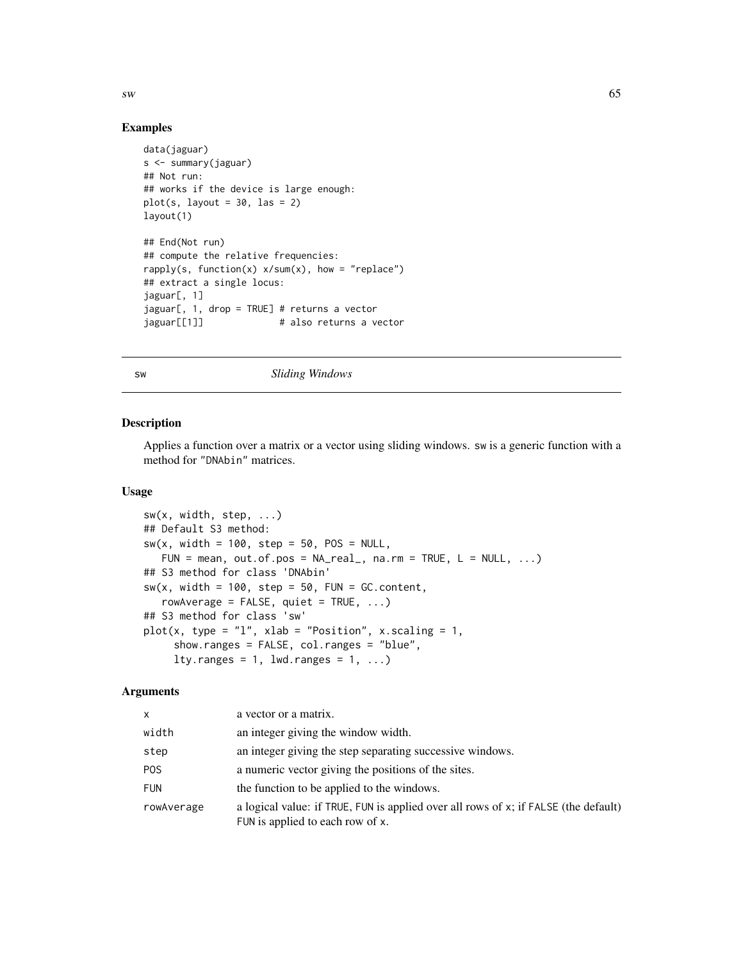$sw$  65

# Examples

```
data(jaguar)
s <- summary(jaguar)
## Not run:
## works if the device is large enough:
plot(s, layout = 30, las = 2)layout(1)
## End(Not run)
## compute the relative frequencies:
rapply(s, function(x) x/sum(x), how = "replace")## extract a single locus:
jaguar[, 1]
jaguar[, 1, drop = TRUE] # returns a vector
jaguar[[1]] \qquad \qquad \qquad # also returns a vector
```
#### sw *Sliding Windows*

#### Description

Applies a function over a matrix or a vector using sliding windows. sw is a generic function with a method for "DNAbin" matrices.

## Usage

```
sw(x, width, step, ...)
## Default S3 method:
sw(x, width = 100, step = 50, POS = NULL,FUN = mean, out.of.pos = NA\_real, na.rm = TRUE, L = NULL, ...)
## S3 method for class 'DNAbin'
sw(x, width = 100, step = 50, FUN = GC.content,rowAverage = FALSE, quiet = TRUE, \ldots)
## S3 method for class 'sw'
plot(x, type = "l", xlab = "Position", x.scaling = 1,show.ranges = FALSE, col.ranges = "blue",
     lty.ranges = 1, lwd.ranges = 1, \dots)
```
## Arguments

| X.               | a vector or a matrix.                                                                                                   |
|------------------|-------------------------------------------------------------------------------------------------------------------------|
| width            | an integer giving the window width.                                                                                     |
| step             | an integer giving the step separating successive windows.                                                               |
| P <sub>O</sub> S | a numeric vector giving the positions of the sites.                                                                     |
| <b>FUN</b>       | the function to be applied to the windows.                                                                              |
| rowAverage       | a logical value: if TRUE, FUN is applied over all rows of x; if FALSE (the default)<br>FUN is applied to each row of x. |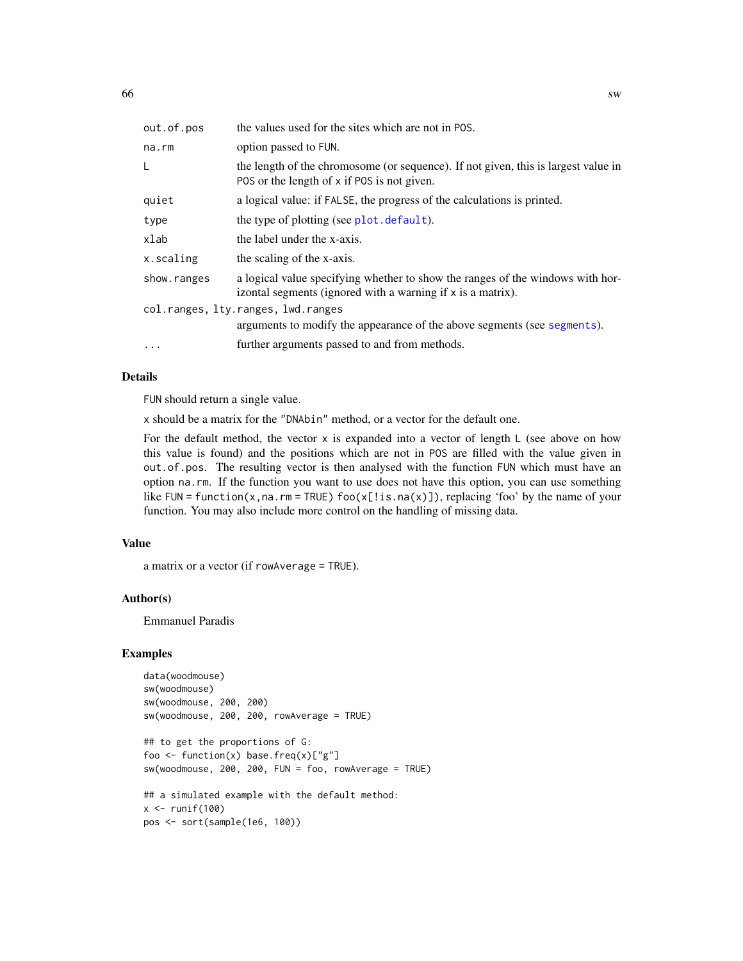| out.of.pos                         | the values used for the sites which are not in POS.                                                                                           |
|------------------------------------|-----------------------------------------------------------------------------------------------------------------------------------------------|
| na.rm                              | option passed to FUN.                                                                                                                         |
| L                                  | the length of the chromosome (or sequence). If not given, this is largest value in<br>POS or the length of x if POS is not given.             |
| quiet                              | a logical value: if FALSE, the progress of the calculations is printed.                                                                       |
| type                               | the type of plotting (see plot. default).                                                                                                     |
| xlab                               | the label under the x-axis.                                                                                                                   |
| x.scaling                          | the scaling of the x-axis.                                                                                                                    |
| show.ranges                        | a logical value specifying whether to show the ranges of the windows with hor-<br>izontal segments (ignored with a warning if x is a matrix). |
| col.ranges, lty.ranges, lwd.ranges |                                                                                                                                               |
|                                    | arguments to modify the appearance of the above segments (see segments).                                                                      |
| .                                  | further arguments passed to and from methods.                                                                                                 |

# Details

FUN should return a single value.

x should be a matrix for the "DNAbin" method, or a vector for the default one.

For the default method, the vector  $x$  is expanded into a vector of length  $\mathsf{L}$  (see above on how this value is found) and the positions which are not in POS are filled with the value given in out.of.pos. The resulting vector is then analysed with the function FUN which must have an option na.rm. If the function you want to use does not have this option, you can use something like FUN = function(x,na.rm = TRUE) foo(x[!is.na(x)]), replacing 'foo' by the name of your function. You may also include more control on the handling of missing data.

# Value

a matrix or a vector (if rowAverage = TRUE).

## Author(s)

Emmanuel Paradis

pos <- sort(sample(1e6, 100))

```
data(woodmouse)
sw(woodmouse)
sw(woodmouse, 200, 200)
sw(woodmouse, 200, 200, rowAverage = TRUE)
## to get the proportions of G:
foo \leq function(x) base.freq(x)["g"]
sw(woodmouse, 200, 200, FUN = foo, rowAverage = TRUE)
## a simulated example with the default method:
x \leftarrow runif(100)
```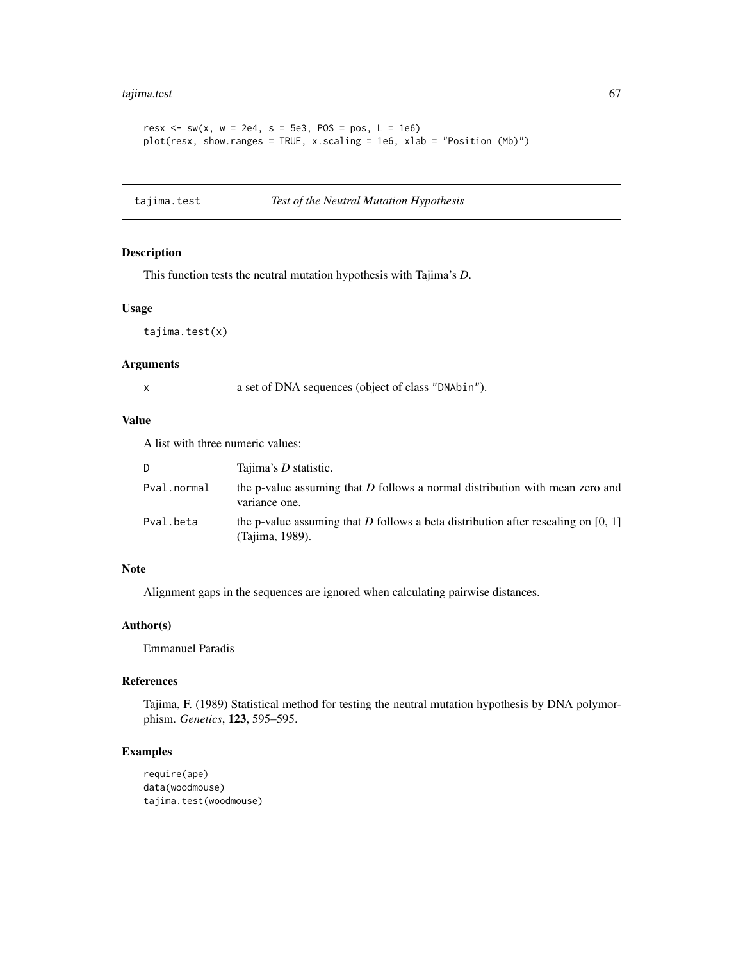# tajima.test 67

```
resx \le - sw(x, w = 2e4, s = 5e3, POS = pos, L = 1e6)
plot(resx, show.ranges = TRUE, x.scaling = 1e6, xlab = "Position (Mb)")
```
tajima.test *Test of the Neutral Mutation Hypothesis*

## Description

This function tests the neutral mutation hypothesis with Tajima's *D*.

# Usage

tajima.test(x)

#### Arguments

x a set of DNA sequences (object of class "DNAbin").

# Value

A list with three numeric values:

| D.          | Tajima's <i>D</i> statistic.                                                                           |
|-------------|--------------------------------------------------------------------------------------------------------|
| Pval.normal | the p-value assuming that D follows a normal distribution with mean zero and<br>variance one.          |
| Pval.beta   | the p-value assuming that D follows a beta distribution after rescaling on $[0, 1]$<br>(Tajima, 1989). |

# Note

Alignment gaps in the sequences are ignored when calculating pairwise distances.

# Author(s)

Emmanuel Paradis

# References

Tajima, F. (1989) Statistical method for testing the neutral mutation hypothesis by DNA polymorphism. *Genetics*, 123, 595–595.

```
require(ape)
data(woodmouse)
tajima.test(woodmouse)
```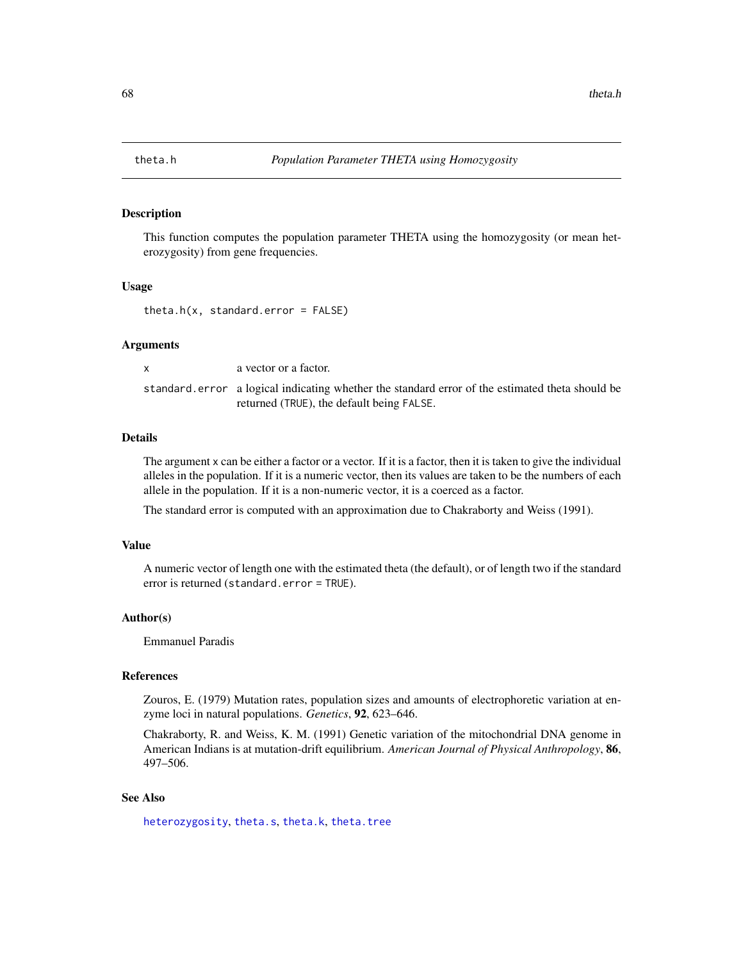<span id="page-67-0"></span>

## Description

This function computes the population parameter THETA using the homozygosity (or mean heterozygosity) from gene frequencies.

## Usage

 $theta.h(x, standard_error = FALSE)$ 

#### Arguments

x a vector or a factor.

standard.error a logical indicating whether the standard error of the estimated theta should be returned (TRUE), the default being FALSE.

#### Details

The argument x can be either a factor or a vector. If it is a factor, then it is taken to give the individual alleles in the population. If it is a numeric vector, then its values are taken to be the numbers of each allele in the population. If it is a non-numeric vector, it is a coerced as a factor.

The standard error is computed with an approximation due to Chakraborty and Weiss (1991).

#### Value

A numeric vector of length one with the estimated theta (the default), or of length two if the standard error is returned (standard.error = TRUE).

#### Author(s)

Emmanuel Paradis

#### References

Zouros, E. (1979) Mutation rates, population sizes and amounts of electrophoretic variation at enzyme loci in natural populations. *Genetics*, 92, 623–646.

Chakraborty, R. and Weiss, K. M. (1991) Genetic variation of the mitochondrial DNA genome in American Indians is at mutation-drift equilibrium. *American Journal of Physical Anthropology*, 86, 497–506.

# See Also

[heterozygosity](#page-33-0), [theta.s](#page-70-0), [theta.k](#page-68-0), [theta.tree](#page-71-0)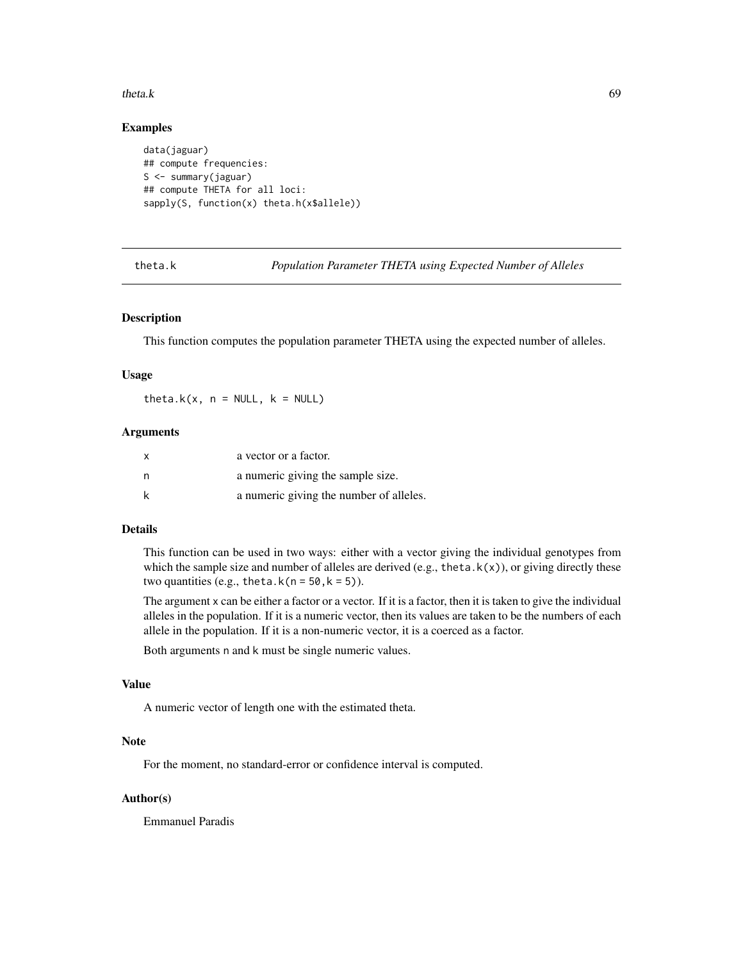#### $theta. k$  69

# Examples

```
data(jaguar)
## compute frequencies:
S <- summary(jaguar)
## compute THETA for all loci:
sapply(S, function(x) theta.h(x$allele))
```
<span id="page-68-0"></span>theta.k *Population Parameter THETA using Expected Number of Alleles*

## Description

This function computes the population parameter THETA using the expected number of alleles.

#### Usage

theta.k(x,  $n = NULL$ ,  $k = NULL$ )

## Arguments

| X | a vector or a factor.                   |
|---|-----------------------------------------|
| n | a numeric giving the sample size.       |
| k | a numeric giving the number of alleles. |

# Details

This function can be used in two ways: either with a vector giving the individual genotypes from which the sample size and number of alleles are derived (e.g., theta.k(x)), or giving directly these two quantities (e.g., theta.k( $n = 50, k = 5$ )).

The argument x can be either a factor or a vector. If it is a factor, then it is taken to give the individual alleles in the population. If it is a numeric vector, then its values are taken to be the numbers of each allele in the population. If it is a non-numeric vector, it is a coerced as a factor.

Both arguments n and k must be single numeric values.

#### Value

A numeric vector of length one with the estimated theta.

# Note

For the moment, no standard-error or confidence interval is computed.

# Author(s)

Emmanuel Paradis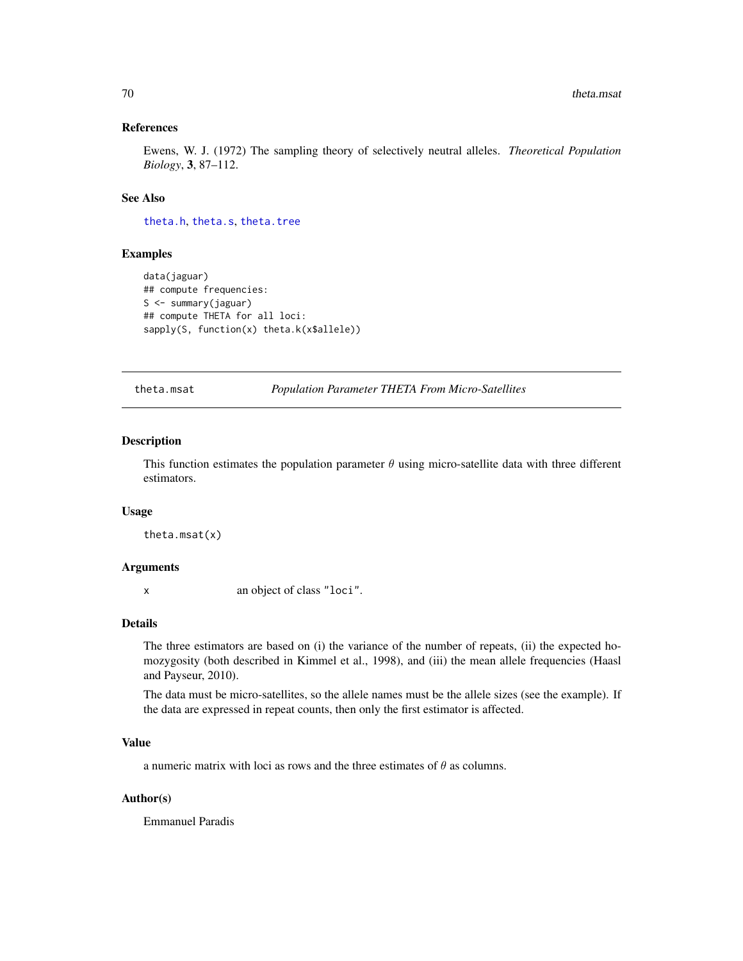## References

Ewens, W. J. (1972) The sampling theory of selectively neutral alleles. *Theoretical Population Biology*, 3, 87–112.

## See Also

[theta.h](#page-67-0), [theta.s](#page-70-0), [theta.tree](#page-71-0)

# Examples

```
data(jaguar)
## compute frequencies:
S <- summary(jaguar)
## compute THETA for all loci:
sapply(S, function(x) theta.k(x$allele))
```
theta.msat *Population Parameter THETA From Micro-Satellites*

## Description

This function estimates the population parameter  $\theta$  using micro-satellite data with three different estimators.

#### Usage

theta.msat(x)

# Arguments

x an object of class "loci".

## Details

The three estimators are based on (i) the variance of the number of repeats, (ii) the expected homozygosity (both described in Kimmel et al., 1998), and (iii) the mean allele frequencies (Haasl and Payseur, 2010).

The data must be micro-satellites, so the allele names must be the allele sizes (see the example). If the data are expressed in repeat counts, then only the first estimator is affected.

# Value

a numeric matrix with loci as rows and the three estimates of  $\theta$  as columns.

## Author(s)

Emmanuel Paradis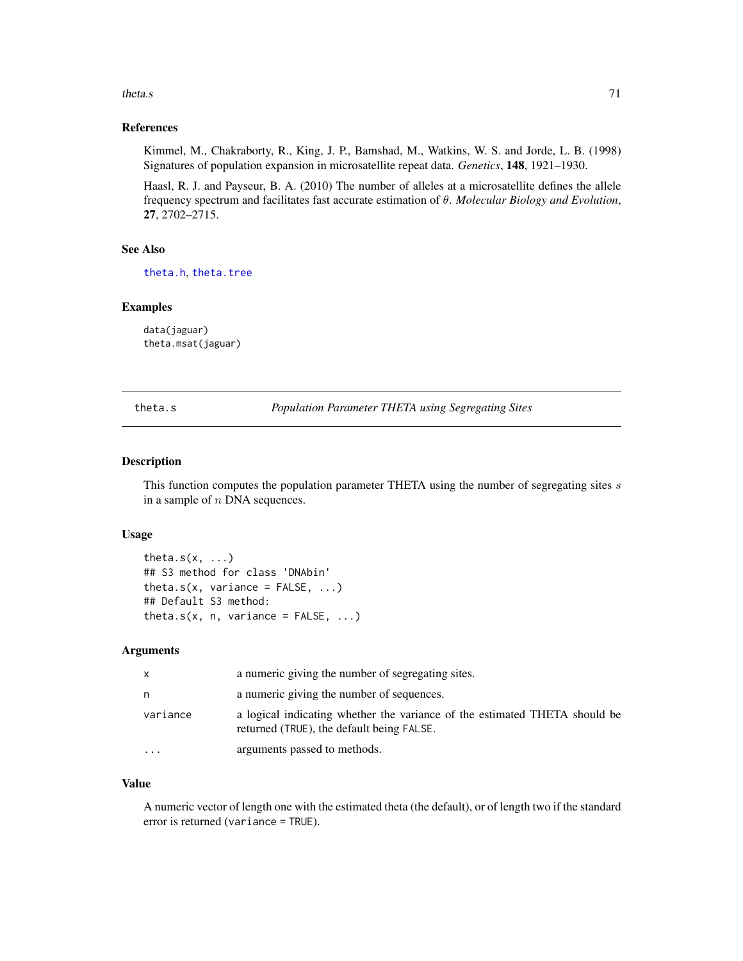#### theta.s  $\frac{71}{2}$

# References

Kimmel, M., Chakraborty, R., King, J. P., Bamshad, M., Watkins, W. S. and Jorde, L. B. (1998) Signatures of population expansion in microsatellite repeat data. *Genetics*, 148, 1921–1930.

Haasl, R. J. and Payseur, B. A. (2010) The number of alleles at a microsatellite defines the allele frequency spectrum and facilitates fast accurate estimation of θ. *Molecular Biology and Evolution*, 27, 2702–2715.

# See Also

[theta.h](#page-67-0), [theta.tree](#page-71-0)

## Examples

data(jaguar) theta.msat(jaguar)

<span id="page-70-0"></span>theta.s *Population Parameter THETA using Segregating Sites*

# Description

This function computes the population parameter THETA using the number of segregating sites s in a sample of  $n$  DNA sequences.

#### Usage

```
theta.s(x, \ldots)## S3 method for class 'DNAbin'
theta.s(x, variance = FALSE, ...)
## Default S3 method:
theta.s(x, n, variance = FALSE, ...)
```
#### Arguments

| X                       | a numeric giving the number of segregating sites.                                                                       |
|-------------------------|-------------------------------------------------------------------------------------------------------------------------|
| n                       | a numeric giving the number of sequences.                                                                               |
| variance                | a logical indicating whether the variance of the estimated THETA should be<br>returned (TRUE), the default being FALSE. |
| $\cdot$ $\cdot$ $\cdot$ | arguments passed to methods.                                                                                            |

# Value

A numeric vector of length one with the estimated theta (the default), or of length two if the standard error is returned (variance = TRUE).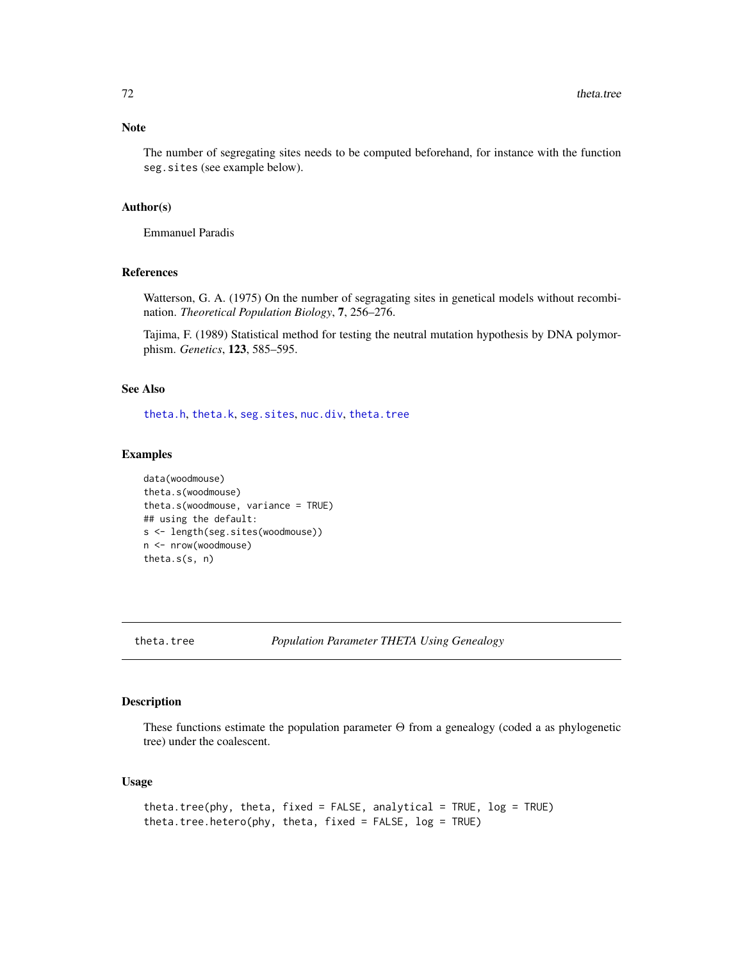## Note

The number of segregating sites needs to be computed beforehand, for instance with the function seg.sites (see example below).

## Author(s)

Emmanuel Paradis

# References

Watterson, G. A. (1975) On the number of segragating sites in genetical models without recombination. *Theoretical Population Biology*, 7, 256–276.

Tajima, F. (1989) Statistical method for testing the neutral mutation hypothesis by DNA polymorphism. *Genetics*, 123, 585–595.

## See Also

[theta.h](#page-67-0), [theta.k](#page-68-0), [seg.sites](#page-0-0), [nuc.div](#page-48-0), [theta.tree](#page-71-0)

#### Examples

```
data(woodmouse)
theta.s(woodmouse)
theta.s(woodmouse, variance = TRUE)
## using the default:
s <- length(seg.sites(woodmouse))
n <- nrow(woodmouse)
theta.s(s, n)
```
<span id="page-71-0"></span>theta.tree *Population Parameter THETA Using Genealogy*

# Description

These functions estimate the population parameter  $\Theta$  from a genealogy (coded a as phylogenetic tree) under the coalescent.

#### Usage

```
theta.tree(phy, theta, fixed = FALSE, analytical = TRUE, log = TRUE)
theta.tree.hetero(phy, theta, fixed = FALSE, log = TRUE)
```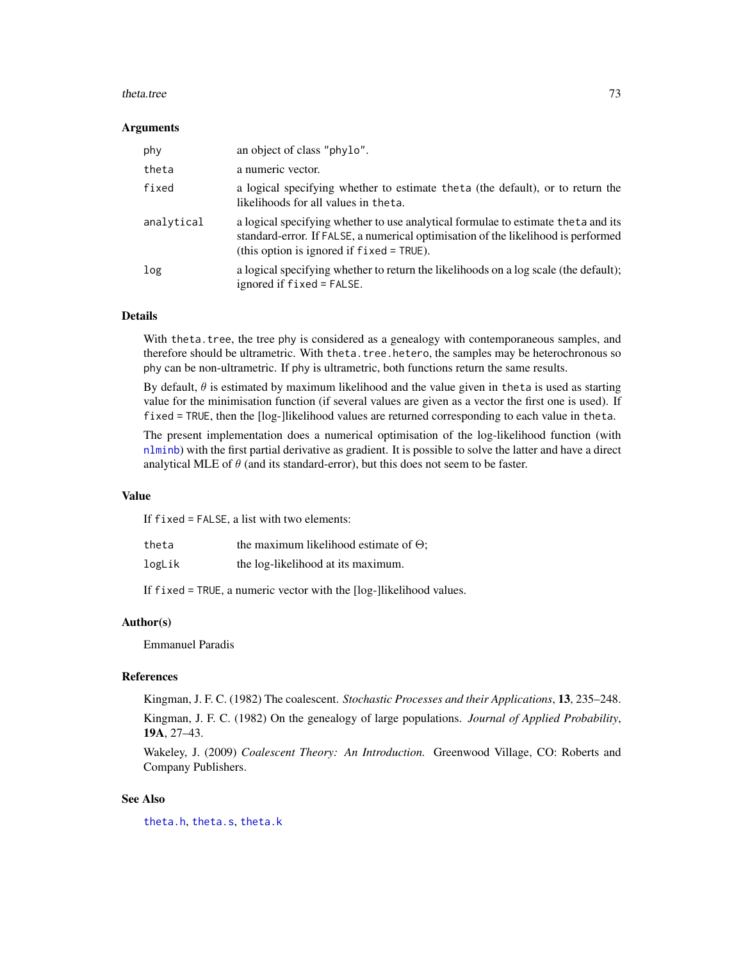#### <span id="page-72-0"></span>theta.tree 73

#### **Arguments**

| phy        | an object of class "phylo".                                                                                                                                                                                            |
|------------|------------------------------------------------------------------------------------------------------------------------------------------------------------------------------------------------------------------------|
| theta      | a numeric vector.                                                                                                                                                                                                      |
| fixed      | a logical specifying whether to estimate theta (the default), or to return the<br>likelihoods for all values in theta.                                                                                                 |
| analytical | a logical specifying whether to use analytical formulae to estimate theta and its<br>standard-error. If FALSE, a numerical optimisation of the likelihood is performed<br>(this option is ignored if $fixed = TRUE$ ). |
| log        | a logical specifying whether to return the likelihoods on a log scale (the default);<br>ignored if fixed = FALSE.                                                                                                      |

### Details

With theta. tree, the tree phy is considered as a genealogy with contemporaneous samples, and therefore should be ultrametric. With theta.tree.hetero, the samples may be heterochronous so phy can be non-ultrametric. If phy is ultrametric, both functions return the same results.

By default,  $\theta$  is estimated by maximum likelihood and the value given in theta is used as starting value for the minimisation function (if several values are given as a vector the first one is used). If fixed = TRUE, then the [log-]likelihood values are returned corresponding to each value in theta.

The present implementation does a numerical optimisation of the log-likelihood function (with [nlminb](#page-0-0)) with the first partial derivative as gradient. It is possible to solve the latter and have a direct analytical MLE of  $\theta$  (and its standard-error), but this does not seem to be faster.

#### Value

If fixed = FALSE, a list with two elements:

the ta the maximum likelihood estimate of  $\Theta$ ;

logLik the log-likelihood at its maximum.

If fixed = TRUE, a numeric vector with the [log-]likelihood values.

### Author(s)

Emmanuel Paradis

#### References

Kingman, J. F. C. (1982) The coalescent. *Stochastic Processes and their Applications*, 13, 235–248. Kingman, J. F. C. (1982) On the genealogy of large populations. *Journal of Applied Probability*, 19A, 27–43.

Wakeley, J. (2009) *Coalescent Theory: An Introduction.* Greenwood Village, CO: Roberts and Company Publishers.

#### See Also

[theta.h](#page-67-0), [theta.s](#page-70-0), [theta.k](#page-68-0)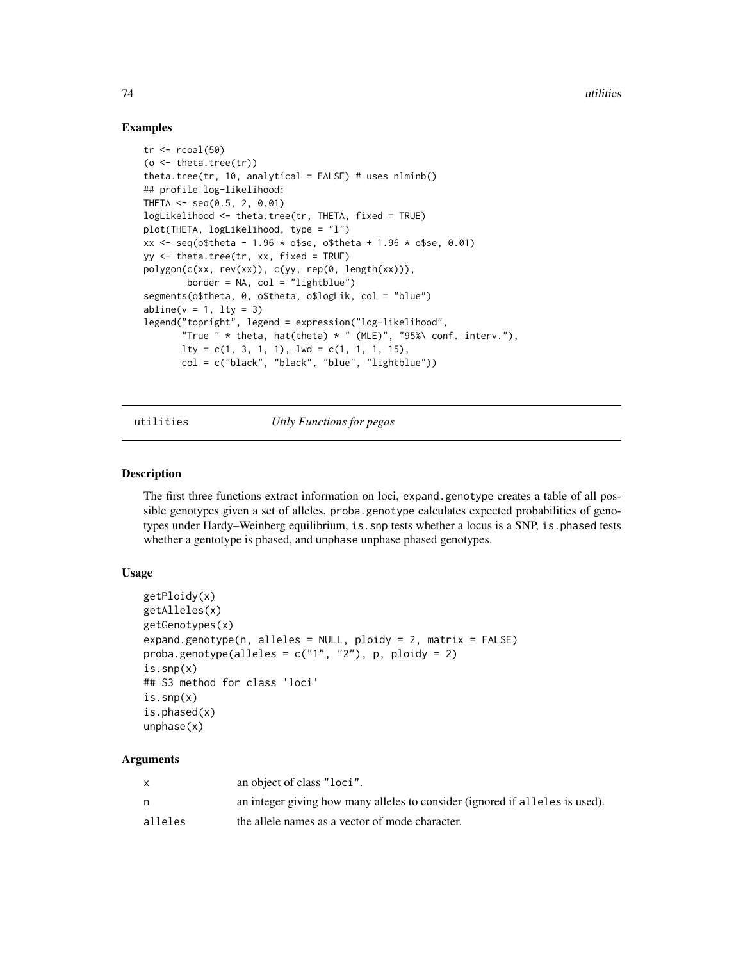#### <span id="page-73-0"></span>Examples

```
tr < -r \text{coal}(50)(o \leq theta.tree(tr))
theta.tree(tr, 10, analytical = FALSE) # uses nlminb()## profile log-likelihood:
THETA <- seq(0.5, 2, 0.01)
logLikelihood <- theta.tree(tr, THETA, fixed = TRUE)
plot(THETA, logLikelihood, type = "l")
xx \leq - seq(o$theta - 1.96 * o$se, o$theta + 1.96 * o$se, 0.01)
yy <- theta.tree(tr, xx, fixed = TRUE)
polygon(c(xx, rev(xx)), c(yy, rep(0, length(xx))),
        border = NA, col = "lightblue")
segments(o$theta, 0, o$theta, o$logLik, col = "blue")
abline(v = 1, lty = 3)legend("topright", legend = expression("log-likelihood",
       "True " * theta, hat(theta) * " (MLE)", "95%\ conf. interv."),
       lty = c(1, 3, 1, 1), lwd = c(1, 1, 1, 15),col = c("black", "black", "blue", "lightblue"))
```
utilities *Utily Functions for pegas*

#### Description

The first three functions extract information on loci, expand.genotype creates a table of all possible genotypes given a set of alleles, proba.genotype calculates expected probabilities of genotypes under Hardy–Weinberg equilibrium, is. snp tests whether a locus is a SNP, is. phased tests whether a gentotype is phased, and unphase unphase phased genotypes.

#### Usage

```
getPloidy(x)
getAlleles(x)
getGenotypes(x)
expand.genotype(n, alleles = NULL, ploidy = 2, matrix = FALSE)
proba.genotype(alleles = c("1", "2"), p, ploidy = 2)
is.snp(x)## S3 method for class 'loci'
is.snp(x)
is.phased(x)
unphase(x)
```
# Arguments

|         | an object of class "loci".                                                   |
|---------|------------------------------------------------------------------------------|
|         | an integer giving how many alleles to consider (ignored if alleles is used). |
| alleles | the allele names as a vector of mode character.                              |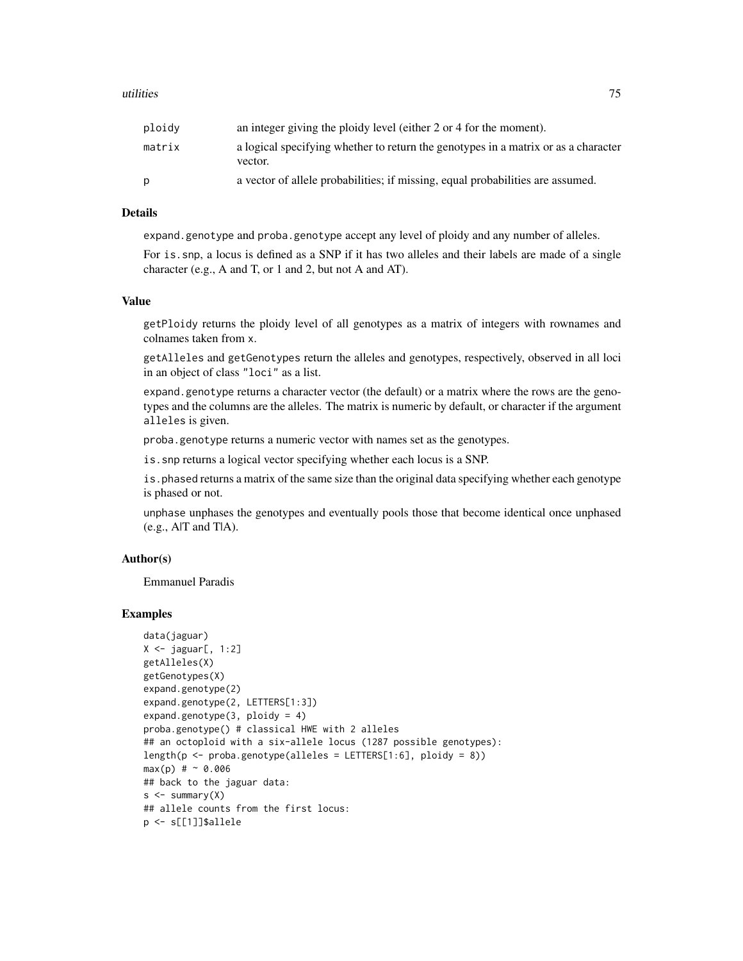#### utilities 75

| ploidy | an integer giving the ploidy level (either 2 or 4 for the moment).                            |
|--------|-----------------------------------------------------------------------------------------------|
| matrix | a logical specifying whether to return the genotypes in a matrix or as a character<br>vector. |
|        | a vector of allele probabilities; if missing, equal probabilities are assumed.                |

#### **Details**

expand.genotype and proba.genotype accept any level of ploidy and any number of alleles.

For is.snp, a locus is defined as a SNP if it has two alleles and their labels are made of a single character (e.g., A and T, or 1 and 2, but not A and AT).

#### Value

getPloidy returns the ploidy level of all genotypes as a matrix of integers with rownames and colnames taken from x.

getAlleles and getGenotypes return the alleles and genotypes, respectively, observed in all loci in an object of class "loci" as a list.

expand.genotype returns a character vector (the default) or a matrix where the rows are the genotypes and the columns are the alleles. The matrix is numeric by default, or character if the argument alleles is given.

proba.genotype returns a numeric vector with names set as the genotypes.

is.snp returns a logical vector specifying whether each locus is a SNP.

is. phased returns a matrix of the same size than the original data specifying whether each genotype is phased or not.

unphase unphases the genotypes and eventually pools those that become identical once unphased (e.g., A|T and T|A).

# Author(s)

Emmanuel Paradis

#### Examples

```
data(jaguar)
X \leftarrow jaguar[, 1:2]
getAlleles(X)
getGenotypes(X)
expand.genotype(2)
expand.genotype(2, LETTERS[1:3])
expand.genotype(3, ploidy = 4)
proba.genotype() # classical HWE with 2 alleles
## an octoploid with a six-allele locus (1287 possible genotypes):
length(p \leq-proba.genotype(alleles = LETTER[1:6], ploidy = 8))max(p) # ~ 0.006
## back to the jaguar data:
s < - summary(X)
## allele counts from the first locus:
p <- s[[1]]$allele
```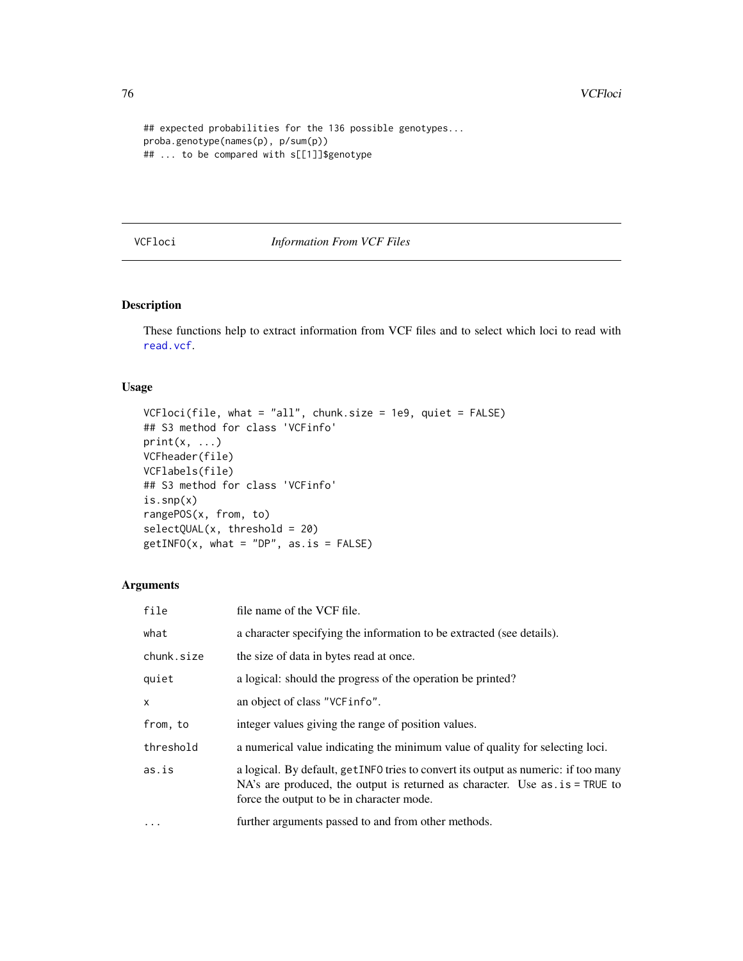```
## expected probabilities for the 136 possible genotypes...
proba.genotype(names(p), p/sum(p))
## ... to be compared with s[[1]]$genotype
```
# VCFloci *Information From VCF Files*

#### Description

These functions help to extract information from VCF files and to select which loci to read with [read.vcf](#page-53-0).

# Usage

```
VCFloci(file, what = "all", chunk.size = 1e9, quiet = FALSE)
## S3 method for class 'VCFinfo'
print(x, ...)VCFheader(file)
VCFlabels(file)
## S3 method for class 'VCFinfo'
is.snp(x)
rangePOS(x, from, to)
selectQUAL(x, threshold = 20)
getINFO(x, what = "DP", as.is = FALSE)
```
## Arguments

| file       | file name of the VCF file.                                                                                                                                                                                        |
|------------|-------------------------------------------------------------------------------------------------------------------------------------------------------------------------------------------------------------------|
| what       | a character specifying the information to be extracted (see details).                                                                                                                                             |
| chunk.size | the size of data in bytes read at once.                                                                                                                                                                           |
| quiet      | a logical: should the progress of the operation be printed?                                                                                                                                                       |
| x          | an object of class "VCF info".                                                                                                                                                                                    |
| from, to   | integer values giving the range of position values.                                                                                                                                                               |
| threshold  | a numerical value indicating the minimum value of quality for selecting loci.                                                                                                                                     |
| as.is      | a logical. By default, get INFO tries to convert its output as numeric: if too many<br>NA's are produced, the output is returned as character. Use $as.is = TRUE$ to<br>force the output to be in character mode. |
| .          | further arguments passed to and from other methods.                                                                                                                                                               |

<span id="page-75-0"></span>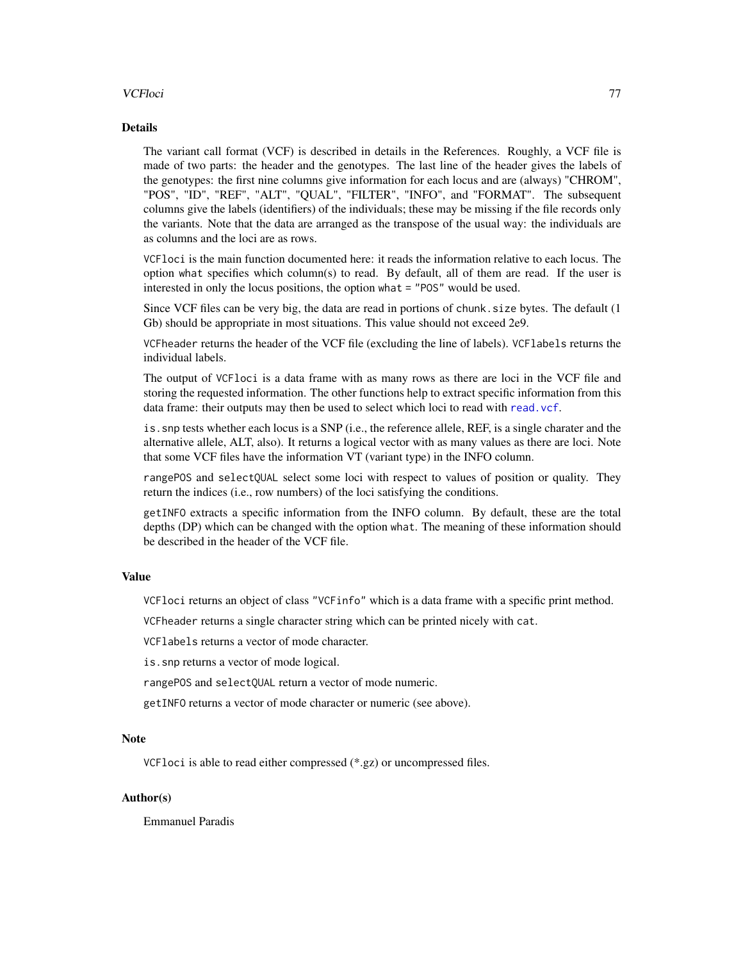#### VCFloci 77

#### Details

The variant call format (VCF) is described in details in the References. Roughly, a VCF file is made of two parts: the header and the genotypes. The last line of the header gives the labels of the genotypes: the first nine columns give information for each locus and are (always) "CHROM", "POS", "ID", "REF", "ALT", "QUAL", "FILTER", "INFO", and "FORMAT". The subsequent columns give the labels (identifiers) of the individuals; these may be missing if the file records only the variants. Note that the data are arranged as the transpose of the usual way: the individuals are as columns and the loci are as rows.

VCFloci is the main function documented here: it reads the information relative to each locus. The option what specifies which column(s) to read. By default, all of them are read. If the user is interested in only the locus positions, the option what = "POS" would be used.

Since VCF files can be very big, the data are read in portions of chunk. size bytes. The default (1) Gb) should be appropriate in most situations. This value should not exceed 2e9.

VCFheader returns the header of the VCF file (excluding the line of labels). VCFlabels returns the individual labels.

The output of VCFloci is a data frame with as many rows as there are loci in the VCF file and storing the requested information. The other functions help to extract specific information from this data frame: their outputs may then be used to select which loci to read with [read.vcf](#page-53-0).

is.snp tests whether each locus is a SNP (i.e., the reference allele, REF, is a single charater and the alternative allele, ALT, also). It returns a logical vector with as many values as there are loci. Note that some VCF files have the information VT (variant type) in the INFO column.

rangePOS and selectQUAL select some loci with respect to values of position or quality. They return the indices (i.e., row numbers) of the loci satisfying the conditions.

getINFO extracts a specific information from the INFO column. By default, these are the total depths (DP) which can be changed with the option what. The meaning of these information should be described in the header of the VCF file.

#### Value

VCFloci returns an object of class "VCFinfo" which is a data frame with a specific print method.

VCFheader returns a single character string which can be printed nicely with cat.

VCFlabels returns a vector of mode character.

is.snp returns a vector of mode logical.

rangePOS and selectQUAL return a vector of mode numeric.

getINFO returns a vector of mode character or numeric (see above).

#### Note

VCFloci is able to read either compressed (\*.gz) or uncompressed files.

#### Author(s)

Emmanuel Paradis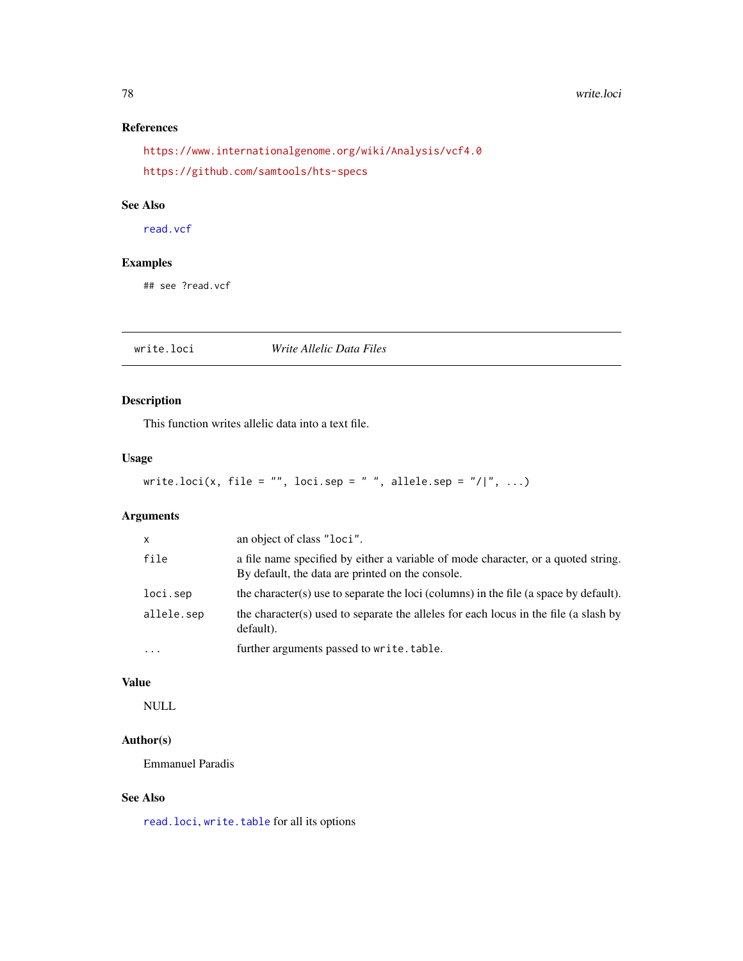#### 78 write.loci

# References

<https://www.internationalgenome.org/wiki/Analysis/vcf4.0> <https://github.com/samtools/hts-specs>

#### See Also

[read.vcf](#page-53-0)

# Examples

## see ?read.vcf

write.loci *Write Allelic Data Files*

# Description

This function writes allelic data into a text file.

### Usage

```
write.loci(x, file = "", loci.sep = " ", allele.sep = "/|", ...)
```
# Arguments

| $\mathsf{x}$ | an object of class "loci".                                                                                                            |
|--------------|---------------------------------------------------------------------------------------------------------------------------------------|
| file         | a file name specified by either a variable of mode character, or a quoted string.<br>By default, the data are printed on the console. |
| loci.sep     | the character(s) use to separate the loci (columns) in the file (a space by default).                                                 |
| allele.sep   | the character(s) used to separate the alleles for each locus in the file (a slash by<br>default).                                     |
| $\cdots$     | further arguments passed to write.table.                                                                                              |

#### Value

NULL

# Author(s)

Emmanuel Paradis

# See Also

[read.loci](#page-52-0), [write.table](#page-0-0) for all its options

<span id="page-77-0"></span>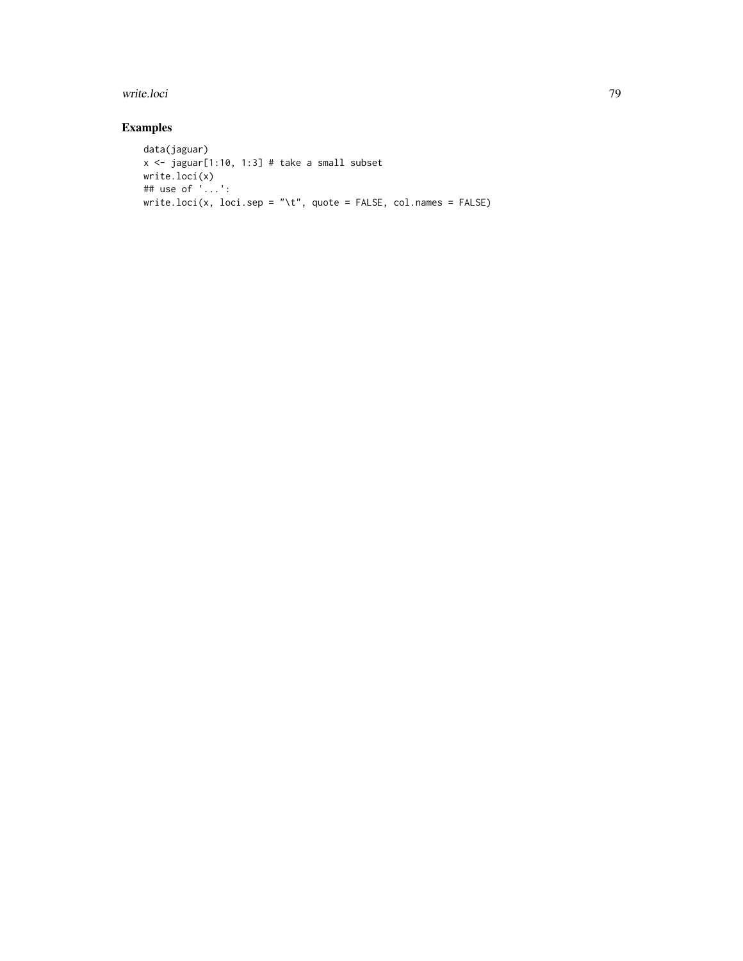#### write.loci **79**

# Examples

```
data(jaguar)
x \leq -jaguar[1:10, 1:3] # take a small subset
write.loci(x)
## use of '...':
write.loci(x, loci.sep = "\t", quote = FALSE, col.names = FALSE)
```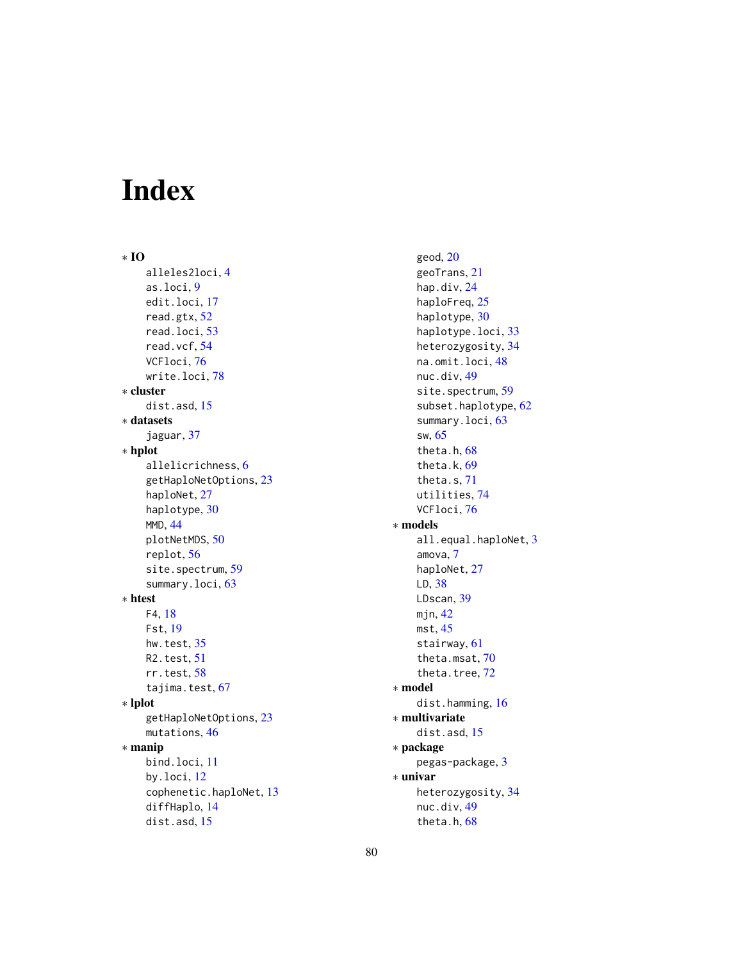# Index

∗ IO alleles2loci, [4](#page-3-0) as.loci, [9](#page-8-0) edit.loci, [17](#page-16-0) read.gtx, [52](#page-51-0) read.loci, [53](#page-52-1) read.vcf, [54](#page-53-1) VCFloci, [76](#page-75-0) write.loci, [78](#page-77-0) ∗ cluster dist.asd, [15](#page-14-0) ∗ datasets jaguar, [37](#page-36-0) ∗ hplot allelicrichness, [6](#page-5-0) getHaploNetOptions, [23](#page-22-0) haploNet, [27](#page-26-0) haplotype, [30](#page-29-0) MMD, [44](#page-43-0) plotNetMDS, [50](#page-49-0) replot, [56](#page-55-0) site.spectrum, [59](#page-58-0) summary.loci, [63](#page-62-0) ∗ htest F4, [18](#page-17-0) Fst, [19](#page-18-0) hw.test, [35](#page-34-0) R2.test, [51](#page-50-0) rr.test, [58](#page-57-0) tajima.test, [67](#page-66-0) ∗ lplot getHaploNetOptions, [23](#page-22-0) mutations, [46](#page-45-0) ∗ manip bind.loci, [11](#page-10-0) by.loci, [12](#page-11-0) cophenetic.haploNet, [13](#page-12-0) diffHaplo, [14](#page-13-0) dist.asd, [15](#page-14-0)

geod, [20](#page-19-0) geoTrans, [21](#page-20-0) hap.div, [24](#page-23-0) haploFreq, [25](#page-24-0) haplotype, [30](#page-29-0) haplotype.loci, [33](#page-32-0) heterozygosity, [34](#page-33-0) na.omit.loci, [48](#page-47-0) nuc.div, [49](#page-48-0) site.spectrum, [59](#page-58-0) subset.haplotype, [62](#page-61-0) summary.loci, [63](#page-62-0) sw, [65](#page-64-0) theta.h, [68](#page-67-1) theta.k, [69](#page-68-1) theta.s, [71](#page-70-1) utilities, [74](#page-73-0) VCFloci, [76](#page-75-0) ∗ models all.equal.haploNet, [3](#page-2-0) amova, [7](#page-6-0) haploNet, [27](#page-26-0) LD, [38](#page-37-0) LDscan, [39](#page-38-0) mjn, [42](#page-41-0) mst, [45](#page-44-0) stairway, [61](#page-60-0) theta.msat, [70](#page-69-0) theta.tree, [72](#page-71-0) ∗ model dist.hamming, [16](#page-15-0) ∗ multivariate dist.asd, [15](#page-14-0) ∗ package pegas-package, [3](#page-2-0) ∗ univar heterozygosity, [34](#page-33-0) nuc.div, [49](#page-48-0) theta.h, [68](#page-67-1)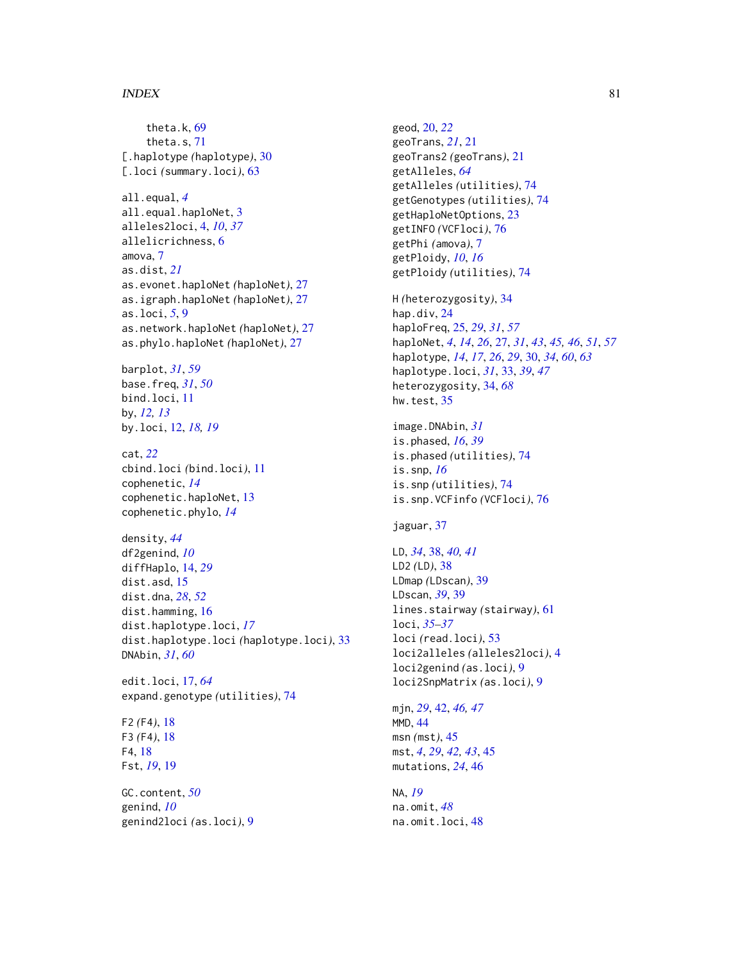#### INDEX  $81$

theta.k, [69](#page-68-1) theta.s, [71](#page-70-1) [.haplotype *(*haplotype*)*, [30](#page-29-0) [.loci *(*summary.loci*)*, [63](#page-62-0) all.equal, *[4](#page-3-0)* all.equal.haploNet, [3](#page-2-0) alleles2loci, [4,](#page-3-0) *[10](#page-9-0)*, *[37](#page-36-0)* allelicrichness, [6](#page-5-0) amova, [7](#page-6-0) as.dist, *[21](#page-20-0)* as.evonet.haploNet *(*haploNet*)*, [27](#page-26-0) as.igraph.haploNet *(*haploNet*)*, [27](#page-26-0) as.loci, *[5](#page-4-0)*, [9](#page-8-0) as.network.haploNet *(*haploNet*)*, [27](#page-26-0) as.phylo.haploNet *(*haploNet*)*, [27](#page-26-0) barplot, *[31](#page-30-0)*, *[59](#page-58-0)* base.freq, *[31](#page-30-0)*, *[50](#page-49-0)* bind.loci, [11](#page-10-0) by, *[12,](#page-11-0) [13](#page-12-0)* by.loci, [12,](#page-11-0) *[18,](#page-17-0) [19](#page-18-0)* cat, *[22](#page-21-0)* cbind.loci *(*bind.loci*)*, [11](#page-10-0) cophenetic, *[14](#page-13-0)* cophenetic.haploNet, [13](#page-12-0) cophenetic.phylo, *[14](#page-13-0)* density, *[44](#page-43-0)* df2genind, *[10](#page-9-0)* diffHaplo, [14,](#page-13-0) *[29](#page-28-0)* dist.asd, [15](#page-14-0) dist.dna, *[28](#page-27-0)*, *[52](#page-51-0)* dist.hamming, [16](#page-15-0) dist.haplotype.loci, *[17](#page-16-0)* dist.haplotype.loci *(*haplotype.loci*)*, [33](#page-32-0) DNAbin, *[31](#page-30-0)*, *[60](#page-59-0)* edit.loci, [17,](#page-16-0) *[64](#page-63-0)* expand.genotype *(*utilities*)*, [74](#page-73-0) F2 *(*F4*)*, [18](#page-17-0) F3 *(*F4*)*, [18](#page-17-0) F4, [18](#page-17-0) Fst, *[19](#page-18-0)*, [19](#page-18-0)

GC.content, *[50](#page-49-0)* genind, *[10](#page-9-0)* genind2loci *(*as.loci*)*, [9](#page-8-0)

geod, [20,](#page-19-0) *[22](#page-21-0)* geoTrans, *[21](#page-20-0)*, [21](#page-20-0) geoTrans2 *(*geoTrans*)*, [21](#page-20-0) getAlleles, *[64](#page-63-0)* getAlleles *(*utilities*)*, [74](#page-73-0) getGenotypes *(*utilities*)*, [74](#page-73-0) getHaploNetOptions, [23](#page-22-0) getINFO *(*VCFloci*)*, [76](#page-75-0) getPhi *(*amova*)*, [7](#page-6-0) getPloidy, *[10](#page-9-0)*, *[16](#page-15-0)* getPloidy *(*utilities*)*, [74](#page-73-0) H *(*heterozygosity*)*, [34](#page-33-0) hap.div, [24](#page-23-0) haploFreq, [25,](#page-24-0) *[29](#page-28-0)*, *[31](#page-30-0)*, *[57](#page-56-0)* haploNet, *[4](#page-3-0)*, *[14](#page-13-0)*, *[26](#page-25-0)*, [27,](#page-26-0) *[31](#page-30-0)*, *[43](#page-42-0)*, *[45,](#page-44-0) [46](#page-45-0)*, *[51](#page-50-0)*, *[57](#page-56-0)* haplotype, *[14](#page-13-0)*, *[17](#page-16-0)*, *[26](#page-25-0)*, *[29](#page-28-0)*, [30,](#page-29-0) *[34](#page-33-0)*, *[60](#page-59-0)*, *[63](#page-62-0)* haplotype.loci, *[31](#page-30-0)*, [33,](#page-32-0) *[39](#page-38-0)*, *[47](#page-46-0)* heterozygosity, [34,](#page-33-0) *[68](#page-67-1)* hw.test, [35](#page-34-0) image.DNAbin, *[31](#page-30-0)* is.phased, *[16](#page-15-0)*, *[39](#page-38-0)* is.phased *(*utilities*)*, [74](#page-73-0) is.snp, *[16](#page-15-0)* is.snp *(*utilities*)*, [74](#page-73-0) is.snp.VCFinfo *(*VCFloci*)*, [76](#page-75-0) jaguar, [37](#page-36-0) LD, *[34](#page-33-0)*, [38,](#page-37-0) *[40,](#page-39-0) [41](#page-40-0)* LD2 *(*LD*)*, [38](#page-37-0) LDmap *(*LDscan*)*, [39](#page-38-0) LDscan, *[39](#page-38-0)*, [39](#page-38-0) lines.stairway *(*stairway*)*, [61](#page-60-0) loci, *[35–](#page-34-0)[37](#page-36-0)* loci *(*read.loci*)*, [53](#page-52-1) loci2alleles *(*alleles2loci*)*, [4](#page-3-0) loci2genind *(*as.loci*)*, [9](#page-8-0) loci2SnpMatrix *(*as.loci*)*, [9](#page-8-0) mjn, *[29](#page-28-0)*, [42,](#page-41-0) *[46,](#page-45-0) [47](#page-46-0)* MMD, [44](#page-43-0) msn *(*mst*)*, [45](#page-44-0) mst, *[4](#page-3-0)*, *[29](#page-28-0)*, *[42,](#page-41-0) [43](#page-42-0)*, [45](#page-44-0) mutations, *[24](#page-23-0)*, [46](#page-45-0) NA, *[19](#page-18-0)*

na.omit, *[48](#page-47-0)* na.omit.loci, [48](#page-47-0)